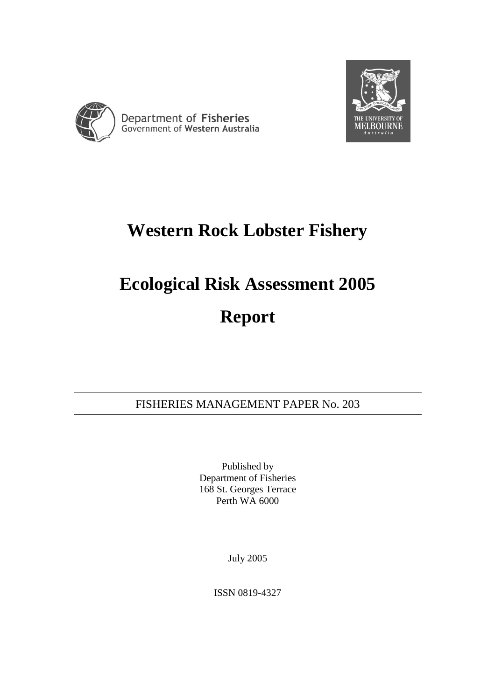



## **Western Rock Lobster Fishery**

# **Ecological Risk Assessment 2005 Report**

FISHERIES MANAGEMENT PAPER No. 203

Published by Department of Fisheries 168 St. Georges Terrace Perth WA 6000

July 2005

ISSN 0819-4327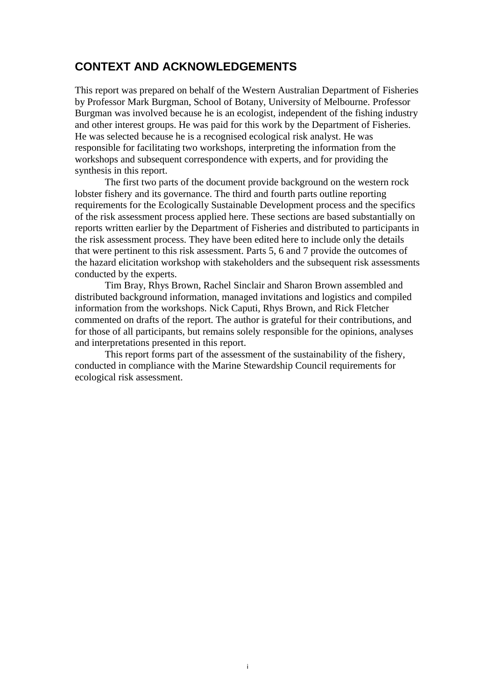## **CONTEXT AND ACKNOWLEDGEMENTS**

This report was prepared on behalf of the Western Australian Department of Fisheries by Professor Mark Burgman, School of Botany, University of Melbourne. Professor Burgman was involved because he is an ecologist, independent of the fishing industry and other interest groups. He was paid for this work by the Department of Fisheries. He was selected because he is a recognised ecological risk analyst. He was responsible for facilitating two workshops, interpreting the information from the workshops and subsequent correspondence with experts, and for providing the synthesis in this report.

The first two parts of the document provide background on the western rock lobster fishery and its governance. The third and fourth parts outline reporting requirements for the Ecologically Sustainable Development process and the specifics of the risk assessment process applied here. These sections are based substantially on reports written earlier by the Department of Fisheries and distributed to participants in the risk assessment process. They have been edited here to include only the details that were pertinent to this risk assessment. Parts 5, 6 and 7 provide the outcomes of the hazard elicitation workshop with stakeholders and the subsequent risk assessments conducted by the experts.

Tim Bray, Rhys Brown, Rachel Sinclair and Sharon Brown assembled and distributed background information, managed invitations and logistics and compiled information from the workshops. Nick Caputi, Rhys Brown, and Rick Fletcher commented on drafts of the report. The author is grateful for their contributions, and for those of all participants, but remains solely responsible for the opinions, analyses and interpretations presented in this report.

This report forms part of the assessment of the sustainability of the fishery, conducted in compliance with the Marine Stewardship Council requirements for ecological risk assessment.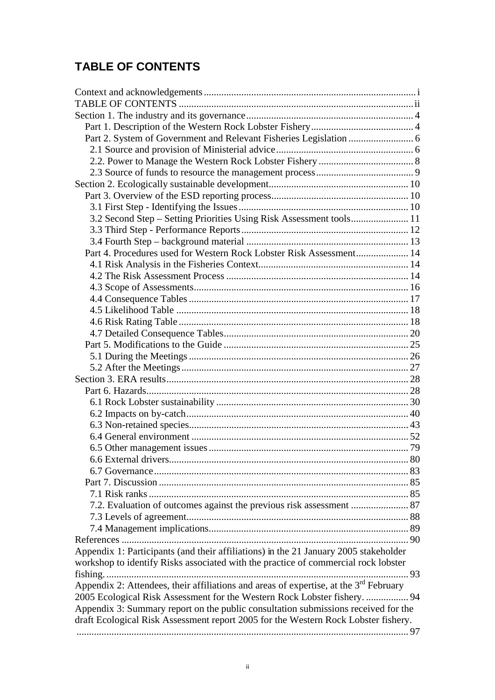## **TABLE OF CONTENTS**

| 3.2 Second Step - Setting Priorities Using Risk Assessment tools 11                     |  |
|-----------------------------------------------------------------------------------------|--|
|                                                                                         |  |
|                                                                                         |  |
| Part 4. Procedures used for Western Rock Lobster Risk Assessment 14                     |  |
|                                                                                         |  |
|                                                                                         |  |
|                                                                                         |  |
|                                                                                         |  |
|                                                                                         |  |
|                                                                                         |  |
|                                                                                         |  |
|                                                                                         |  |
|                                                                                         |  |
|                                                                                         |  |
|                                                                                         |  |
|                                                                                         |  |
|                                                                                         |  |
|                                                                                         |  |
|                                                                                         |  |
|                                                                                         |  |
|                                                                                         |  |
|                                                                                         |  |
|                                                                                         |  |
|                                                                                         |  |
|                                                                                         |  |
|                                                                                         |  |
|                                                                                         |  |
|                                                                                         |  |
|                                                                                         |  |
|                                                                                         |  |
| Appendix 1: Participants (and their affiliations) in the 21 January 2005 stakeholder    |  |
|                                                                                         |  |
| workshop to identify Risks associated with the practice of commercial rock lobster      |  |
|                                                                                         |  |
| Appendix 2: Attendees, their affiliations and areas of expertise, at the $3rd$ February |  |
| 2005 Ecological Risk Assessment for the Western Rock Lobster fishery.  94               |  |
| Appendix 3: Summary report on the public consultation submissions received for the      |  |
| draft Ecological Risk Assessment report 2005 for the Western Rock Lobster fishery.      |  |
|                                                                                         |  |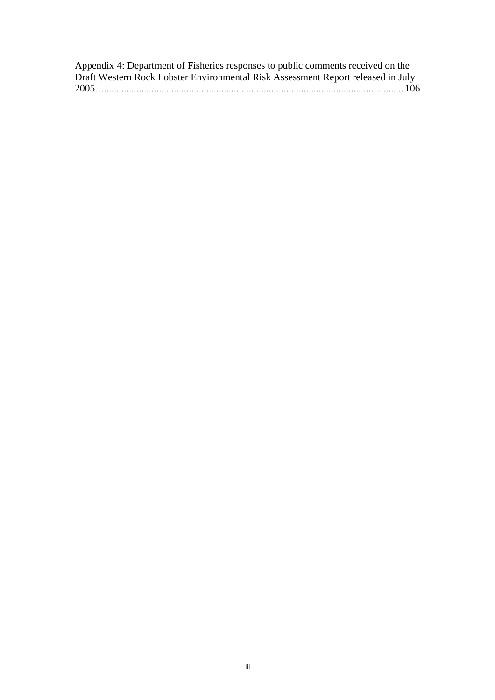| Appendix 4: Department of Fisheries responses to public comments received on the |  |
|----------------------------------------------------------------------------------|--|
| Draft Western Rock Lobster Environmental Risk Assessment Report released in July |  |
|                                                                                  |  |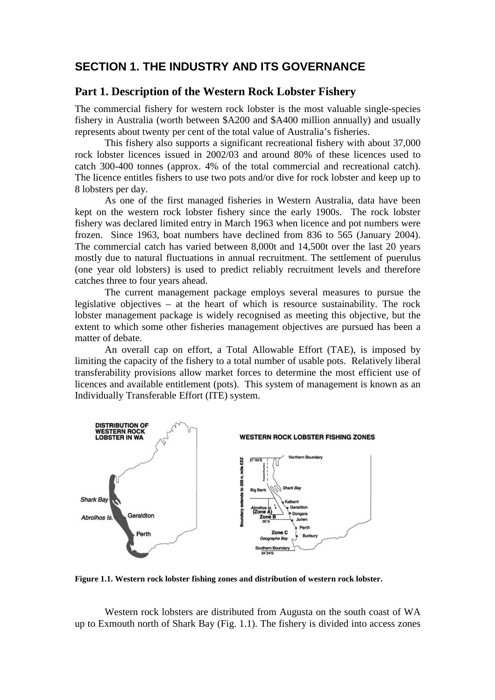## **SECTION 1. THE INDUSTRY AND ITS GOVERNANCE**

#### **Part 1. Description of the Western Rock Lobster Fishery**

The commercial fishery for western rock lobster is the most valuable single-species fishery in Australia (worth between \$A200 and \$A400 million annually) and usually represents about twenty per cent of the total value of Australia's fisheries.

 This fishery also supports a significant recreational fishery with about 37,000 rock lobster licences issued in 2002/03 and around 80% of these licences used to catch 300-400 tonnes (approx. 4% of the total commercial and recreational catch). The licence entitles fishers to use two pots and/or dive for rock lobster and keep up to 8 lobsters per day.

 As one of the first managed fisheries in Western Australia, data have been kept on the western rock lobster fishery since the early 1900s. The rock lobster fishery was declared limited entry in March 1963 when licence and pot numbers were frozen. Since 1963, boat numbers have declined from 836 to 565 (January 2004). The commercial catch has varied between 8,000t and 14,500t over the last 20 years mostly due to natural fluctuations in annual recruitment. The settlement of puerulus (one year old lobsters) is used to predict reliably recruitment levels and therefore catches three to four years ahead.

 The current management package employs several measures to pursue the legislative objectives – at the heart of which is resource sustainability. The rock lobster management package is widely recognised as meeting this objective, but the extent to which some other fisheries management objectives are pursued has been a matter of debate.

 An overall cap on effort, a Total Allowable Effort (TAE), is imposed by limiting the capacity of the fishery to a total number of usable pots. Relatively liberal transferability provisions allow market forces to determine the most efficient use of licences and available entitlement (pots). This system of management is known as an Individually Transferable Effort (ITE) system.



**Figure 1.1. Western rock lobster fishing zones and distribution of western rock lobster.** 

Western rock lobsters are distributed from Augusta on the south coast of WA up to Exmouth north of Shark Bay (Fig. 1.1). The fishery is divided into access zones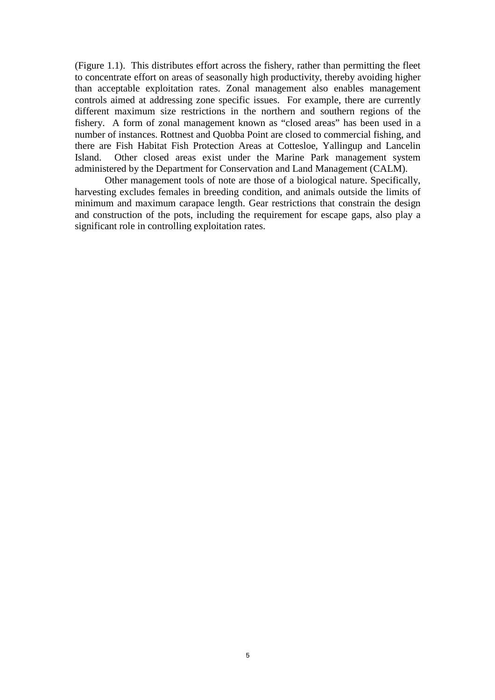(Figure 1.1). This distributes effort across the fishery, rather than permitting the fleet to concentrate effort on areas of seasonally high productivity, thereby avoiding higher than acceptable exploitation rates. Zonal management also enables management controls aimed at addressing zone specific issues. For example, there are currently different maximum size restrictions in the northern and southern regions of the fishery. A form of zonal management known as "closed areas" has been used in a number of instances. Rottnest and Quobba Point are closed to commercial fishing, and there are Fish Habitat Fish Protection Areas at Cottesloe, Yallingup and Lancelin Island. Other closed areas exist under the Marine Park management system administered by the Department for Conservation and Land Management (CALM).

 Other management tools of note are those of a biological nature. Specifically, harvesting excludes females in breeding condition, and animals outside the limits of minimum and maximum carapace length. Gear restrictions that constrain the design and construction of the pots, including the requirement for escape gaps, also play a significant role in controlling exploitation rates.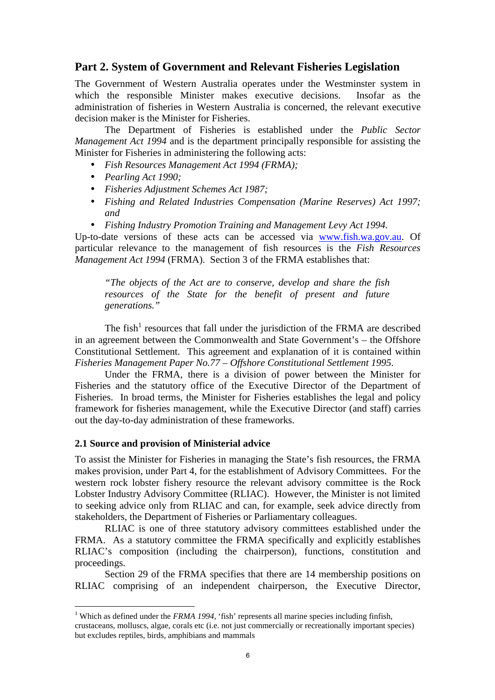#### **Part 2. System of Government and Relevant Fisheries Legislation**

The Government of Western Australia operates under the Westminster system in which the responsible Minister makes executive decisions. Insofar as the administration of fisheries in Western Australia is concerned, the relevant executive decision maker is the Minister for Fisheries.

 The Department of Fisheries is established under the *Public Sector Management Act 1994* and is the department principally responsible for assisting the Minister for Fisheries in administering the following acts:

- *Fish Resources Management Act 1994 (FRMA);*
- *Pearling Act 1990;*
- *Fisheries Adjustment Schemes Act 1987;*
- *Fishing and Related Industries Compensation (Marine Reserves) Act 1997; and*
- *Fishing Industry Promotion Training and Management Levy Act 1994.*

Up-to-date versions of these acts can be accessed via www.fish.wa.gov.au. Of particular relevance to the management of fish resources is the *Fish Resources Management Act 1994* (FRMA). Section 3 of the FRMA establishes that:

*"The objects of the Act are to conserve, develop and share the fish resources of the State for the benefit of present and future generations."* 

The fish<sup>1</sup> resources that fall under the jurisdiction of the FRMA are described in an agreement between the Commonwealth and State Government's – the Offshore Constitutional Settlement. This agreement and explanation of it is contained within *Fisheries Management Paper No.77 – Offshore Constitutional Settlement 1995*.

 Under the FRMA, there is a division of power between the Minister for Fisheries and the statutory office of the Executive Director of the Department of Fisheries. In broad terms, the Minister for Fisheries establishes the legal and policy framework for fisheries management, while the Executive Director (and staff) carries out the day-to-day administration of these frameworks.

#### **2.1 Source and provision of Ministerial advice**

 $\overline{a}$ 

To assist the Minister for Fisheries in managing the State's fish resources, the FRMA makes provision, under Part 4, for the establishment of Advisory Committees. For the western rock lobster fishery resource the relevant advisory committee is the Rock Lobster Industry Advisory Committee (RLIAC). However, the Minister is not limited to seeking advice only from RLIAC and can, for example, seek advice directly from stakeholders, the Department of Fisheries or Parliamentary colleagues.

 RLIAC is one of three statutory advisory committees established under the FRMA. As a statutory committee the FRMA specifically and explicitly establishes RLIAC's composition (including the chairperson), functions, constitution and proceedings.

 Section 29 of the FRMA specifies that there are 14 membership positions on RLIAC comprising of an independent chairperson, the Executive Director,

<sup>&</sup>lt;sup>1</sup> Which as defined under the *FRMA 1994*, 'fish' represents all marine species including finfish, crustaceans, molluscs, algae, corals etc (i.e. not just commercially or recreationally important species) but excludes reptiles, birds, amphibians and mammals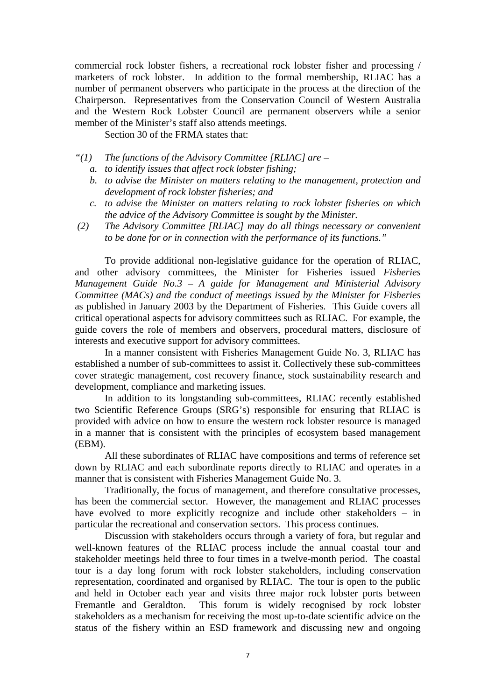commercial rock lobster fishers, a recreational rock lobster fisher and processing / marketers of rock lobster. In addition to the formal membership, RLIAC has a number of permanent observers who participate in the process at the direction of the Chairperson. Representatives from the Conservation Council of Western Australia and the Western Rock Lobster Council are permanent observers while a senior member of the Minister's staff also attends meetings.

Section 30 of the FRMA states that:

- *"(1) The functions of the Advisory Committee [RLIAC] are* 
	- *a. to identify issues that affect rock lobster fishing;*
	- *b. to advise the Minister on matters relating to the management, protection and development of rock lobster fisheries; and*
	- *c. to advise the Minister on matters relating to rock lobster fisheries on which the advice of the Advisory Committee is sought by the Minister.*
- *(2) The Advisory Committee [RLIAC] may do all things necessary or convenient to be done for or in connection with the performance of its functions."*

 To provide additional non-legislative guidance for the operation of RLIAC, and other advisory committees, the Minister for Fisheries issued *Fisheries Management Guide No.3 – A guide for Management and Ministerial Advisory Committee (MACs) and the conduct of meetings issued by the Minister for Fisheries*  as published in January 2003 by the Department of Fisheries*.* This Guide covers all critical operational aspects for advisory committees such as RLIAC. For example, the guide covers the role of members and observers, procedural matters, disclosure of interests and executive support for advisory committees.

 In a manner consistent with Fisheries Management Guide No. 3, RLIAC has established a number of sub-committees to assist it. Collectively these sub-committees cover strategic management, cost recovery finance, stock sustainability research and development, compliance and marketing issues.

 In addition to its longstanding sub-committees, RLIAC recently established two Scientific Reference Groups (SRG's) responsible for ensuring that RLIAC is provided with advice on how to ensure the western rock lobster resource is managed in a manner that is consistent with the principles of ecosystem based management (EBM).

 All these subordinates of RLIAC have compositions and terms of reference set down by RLIAC and each subordinate reports directly to RLIAC and operates in a manner that is consistent with Fisheries Management Guide No. 3.

Traditionally, the focus of management, and therefore consultative processes, has been the commercial sector. However, the management and RLIAC processes have evolved to more explicitly recognize and include other stakeholders – in particular the recreational and conservation sectors. This process continues.

Discussion with stakeholders occurs through a variety of fora, but regular and well-known features of the RLIAC process include the annual coastal tour and stakeholder meetings held three to four times in a twelve-month period. The coastal tour is a day long forum with rock lobster stakeholders, including conservation representation, coordinated and organised by RLIAC. The tour is open to the public and held in October each year and visits three major rock lobster ports between Fremantle and Geraldton. This forum is widely recognised by rock lobster stakeholders as a mechanism for receiving the most up-to-date scientific advice on the status of the fishery within an ESD framework and discussing new and ongoing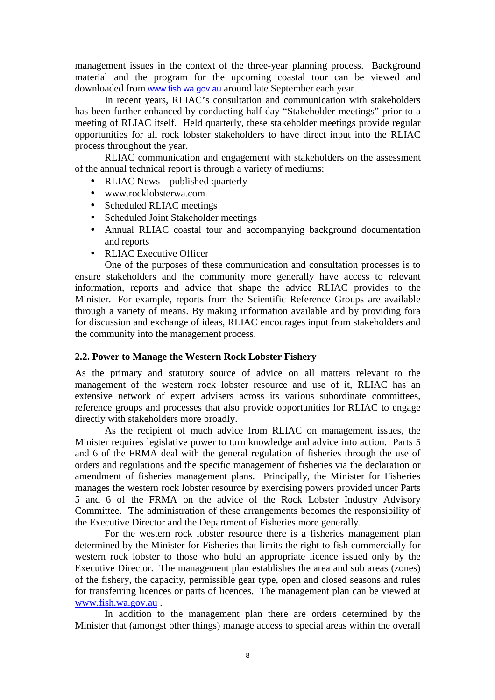management issues in the context of the three-year planning process. Background material and the program for the upcoming coastal tour can be viewed and downloaded from www.fish.wa.gov.au around late September each year.

In recent years, RLIAC's consultation and communication with stakeholders has been further enhanced by conducting half day "Stakeholder meetings" prior to a meeting of RLIAC itself. Held quarterly, these stakeholder meetings provide regular opportunities for all rock lobster stakeholders to have direct input into the RLIAC process throughout the year.

 RLIAC communication and engagement with stakeholders on the assessment of the annual technical report is through a variety of mediums:

- RLIAC News published quarterly
- www.rocklobsterwa.com.
- Scheduled RLIAC meetings
- Scheduled Joint Stakeholder meetings
- Annual RLIAC coastal tour and accompanying background documentation and reports
- RLIAC Executive Officer

One of the purposes of these communication and consultation processes is to ensure stakeholders and the community more generally have access to relevant information, reports and advice that shape the advice RLIAC provides to the Minister. For example, reports from the Scientific Reference Groups are available through a variety of means. By making information available and by providing fora for discussion and exchange of ideas, RLIAC encourages input from stakeholders and the community into the management process.

#### **2.2. Power to Manage the Western Rock Lobster Fishery**

As the primary and statutory source of advice on all matters relevant to the management of the western rock lobster resource and use of it, RLIAC has an extensive network of expert advisers across its various subordinate committees, reference groups and processes that also provide opportunities for RLIAC to engage directly with stakeholders more broadly.

 As the recipient of much advice from RLIAC on management issues, the Minister requires legislative power to turn knowledge and advice into action. Parts 5 and 6 of the FRMA deal with the general regulation of fisheries through the use of orders and regulations and the specific management of fisheries via the declaration or amendment of fisheries management plans. Principally, the Minister for Fisheries manages the western rock lobster resource by exercising powers provided under Parts 5 and 6 of the FRMA on the advice of the Rock Lobster Industry Advisory Committee. The administration of these arrangements becomes the responsibility of the Executive Director and the Department of Fisheries more generally.

For the western rock lobster resource there is a fisheries management plan determined by the Minister for Fisheries that limits the right to fish commercially for western rock lobster to those who hold an appropriate licence issued only by the Executive Director. The management plan establishes the area and sub areas (zones) of the fishery, the capacity, permissible gear type, open and closed seasons and rules for transferring licences or parts of licences. The management plan can be viewed at www.fish.wa.gov.au .

 In addition to the management plan there are orders determined by the Minister that (amongst other things) manage access to special areas within the overall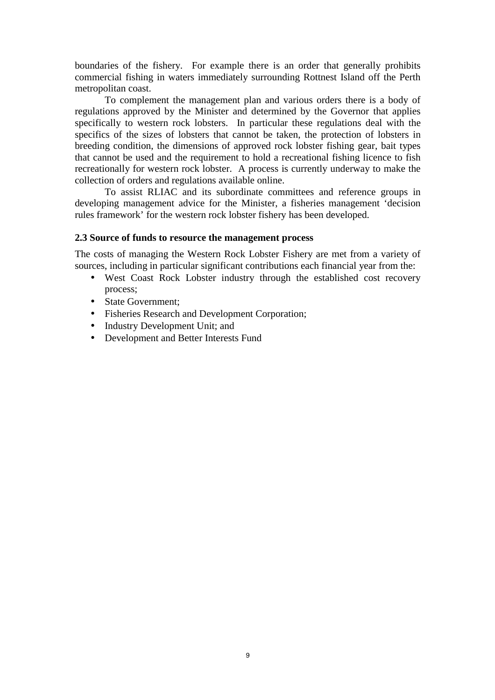boundaries of the fishery. For example there is an order that generally prohibits commercial fishing in waters immediately surrounding Rottnest Island off the Perth metropolitan coast.

 To complement the management plan and various orders there is a body of regulations approved by the Minister and determined by the Governor that applies specifically to western rock lobsters. In particular these regulations deal with the specifics of the sizes of lobsters that cannot be taken, the protection of lobsters in breeding condition, the dimensions of approved rock lobster fishing gear, bait types that cannot be used and the requirement to hold a recreational fishing licence to fish recreationally for western rock lobster. A process is currently underway to make the collection of orders and regulations available online.

 To assist RLIAC and its subordinate committees and reference groups in developing management advice for the Minister, a fisheries management 'decision rules framework' for the western rock lobster fishery has been developed.

#### **2.3 Source of funds to resource the management process**

The costs of managing the Western Rock Lobster Fishery are met from a variety of sources, including in particular significant contributions each financial year from the:

- West Coast Rock Lobster industry through the established cost recovery process;
- State Government:
- Fisheries Research and Development Corporation;
- Industry Development Unit; and
- Development and Better Interests Fund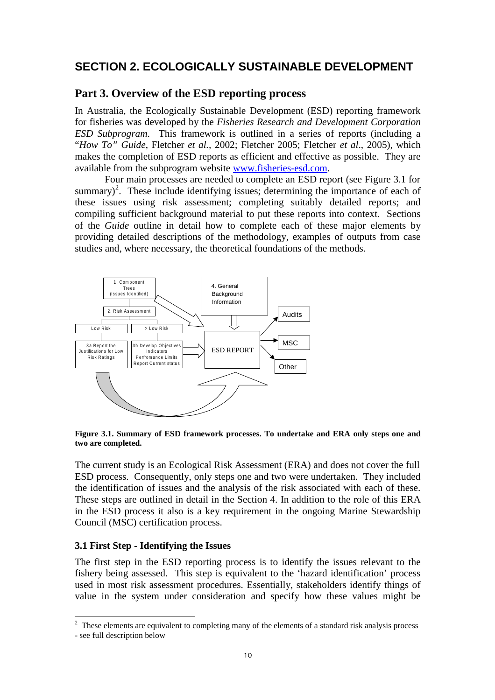## **SECTION 2. ECOLOGICALLY SUSTAINABLE DEVELOPMENT**

#### **Part 3. Overview of the ESD reporting process**

In Australia, the Ecologically Sustainable Development (ESD) reporting framework for fisheries was developed by the *Fisheries Research and Development Corporation ESD Subprogram*. This framework is outlined in a series of reports (including a "*How To" Guide*, Fletcher *et al.,* 2002; Fletcher 2005; Fletcher *et al*., 2005), which makes the completion of ESD reports as efficient and effective as possible. They are available from the subprogram website www.fisheries-esd.com.

 Four main processes are needed to complete an ESD report (see Figure 3.1 for summary)<sup>2</sup>. These include identifying issues; determining the importance of each of these issues using risk assessment; completing suitably detailed reports; and compiling sufficient background material to put these reports into context. Sections of the *Guide* outline in detail how to complete each of these major elements by providing detailed descriptions of the methodology, examples of outputs from case studies and, where necessary, the theoretical foundations of the methods.



**Figure 3.1. Summary of ESD framework processes. To undertake and ERA only steps one and two are completed.** 

The current study is an Ecological Risk Assessment (ERA) and does not cover the full ESD process. Consequently, only steps one and two were undertaken. They included the identification of issues and the analysis of the risk associated with each of these. These steps are outlined in detail in the Section 4. In addition to the role of this ERA in the ESD process it also is a key requirement in the ongoing Marine Stewardship Council (MSC) certification process.

#### **3.1 First Step - Identifying the Issues**

 $\overline{a}$ 

The first step in the ESD reporting process is to identify the issues relevant to the fishery being assessed. This step is equivalent to the 'hazard identification' process used in most risk assessment procedures. Essentially, stakeholders identify things of value in the system under consideration and specify how these values might be

 $2$  These elements are equivalent to completing many of the elements of a standard risk analysis process - see full description below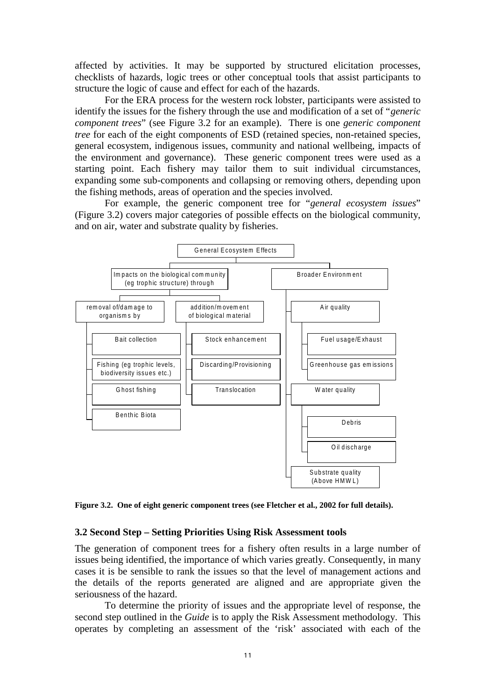affected by activities. It may be supported by structured elicitation processes, checklists of hazards, logic trees or other conceptual tools that assist participants to structure the logic of cause and effect for each of the hazards.

 For the ERA process for the western rock lobster, participants were assisted to identify the issues for the fishery through the use and modification of a set of "*generic component trees*" (see Figure 3.2 for an example). There is one *generic component tree* for each of the eight components of ESD (retained species, non-retained species, general ecosystem, indigenous issues, community and national wellbeing, impacts of the environment and governance). These generic component trees were used as a starting point. Each fishery may tailor them to suit individual circumstances, expanding some sub-components and collapsing or removing others, depending upon the fishing methods, areas of operation and the species involved.

 For example, the generic component tree for "*general ecosystem issues*" (Figure 3.2) covers major categories of possible effects on the biological community, and on air, water and substrate quality by fisheries.



**Figure 3.2. One of eight generic component trees (see Fletcher et al., 2002 for full details).** 

#### **3.2 Second Step – Setting Priorities Using Risk Assessment tools**

The generation of component trees for a fishery often results in a large number of issues being identified, the importance of which varies greatly. Consequently, in many cases it is be sensible to rank the issues so that the level of management actions and the details of the reports generated are aligned and are appropriate given the seriousness of the hazard.

 To determine the priority of issues and the appropriate level of response, the second step outlined in the *Guide* is to apply the Risk Assessment methodology. This operates by completing an assessment of the 'risk' associated with each of the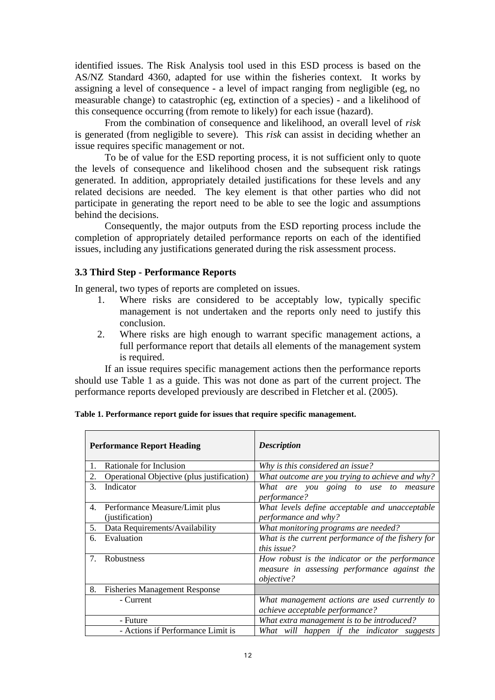identified issues. The Risk Analysis tool used in this ESD process is based on the AS/NZ Standard 4360, adapted for use within the fisheries context. It works by assigning a level of consequence - a level of impact ranging from negligible (eg, no measurable change) to catastrophic (eg, extinction of a species) - and a likelihood of this consequence occurring (from remote to likely) for each issue (hazard).

 From the combination of consequence and likelihood, an overall level of *risk* is generated (from negligible to severe). This *risk* can assist in deciding whether an issue requires specific management or not.

 To be of value for the ESD reporting process, it is not sufficient only to quote the levels of consequence and likelihood chosen and the subsequent risk ratings generated. In addition, appropriately detailed justifications for these levels and any related decisions are needed. The key element is that other parties who did not participate in generating the report need to be able to see the logic and assumptions behind the decisions.

Consequently, the major outputs from the ESD reporting process include the completion of appropriately detailed performance reports on each of the identified issues, including any justifications generated during the risk assessment process.

#### **3.3 Third Step - Performance Reports**

In general, two types of reports are completed on issues.

- 1. Where risks are considered to be acceptably low, typically specific management is not undertaken and the reports only need to justify this conclusion.
- 2. Where risks are high enough to warrant specific management actions, a full performance report that details all elements of the management system is required.

 If an issue requires specific management actions then the performance reports should use Table 1 as a guide. This was not done as part of the current project. The performance reports developed previously are described in Fletcher et al. (2005).

|    | <b>Performance Report Heading</b>          | <b>Description</b>                                   |
|----|--------------------------------------------|------------------------------------------------------|
| 1. | Rationale for Inclusion                    | Why is this considered an issue?                     |
| 2. | Operational Objective (plus justification) | What outcome are you trying to achieve and why?      |
| 3. | Indicator                                  | What are you going to use to measure<br>performance? |
| 4. | Performance Measure/Limit plus             | What levels define acceptable and unacceptable       |
|    | (justification)                            | performance and why?                                 |
| 5. | Data Requirements/Availability             | What monitoring programs are needed?                 |
| 6. | Evaluation                                 | What is the current performance of the fishery for   |
|    |                                            | this issue?                                          |
| 7. | <b>Robustness</b>                          | How robust is the indicator or the performance       |
|    |                                            | measure in assessing performance against the         |
|    |                                            | <i>objective?</i>                                    |
| 8. | <b>Fisheries Management Response</b>       |                                                      |
|    | - Current                                  | What management actions are used currently to        |
|    |                                            | achieve acceptable performance?                      |
|    | - Future                                   | What extra management is to be introduced?           |
|    | - Actions if Performance Limit is          | What will happen if the indicator suggests           |

| Table 1. Performance report guide for issues that require specific management. |  |
|--------------------------------------------------------------------------------|--|
|--------------------------------------------------------------------------------|--|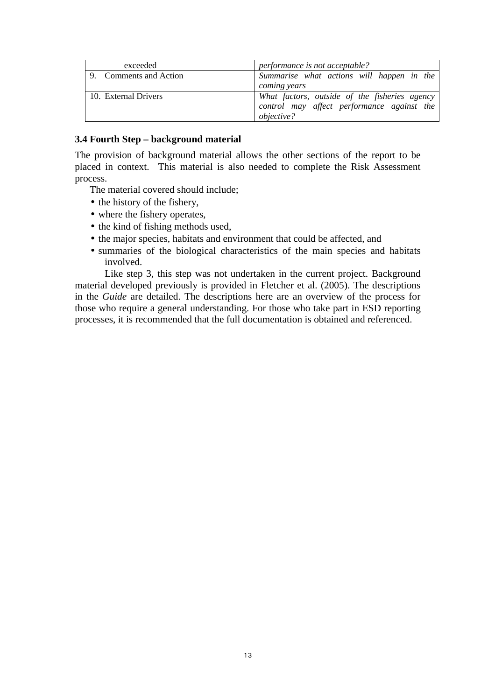| exceeded               | performance is not acceptable?                                                                                   |
|------------------------|------------------------------------------------------------------------------------------------------------------|
| 9. Comments and Action | Summarise what actions will happen in the<br>coming years                                                        |
| 10. External Drivers   | What factors, outside of the fisheries agency<br>control may affect performance against the<br><i>objective?</i> |

#### **3.4 Fourth Step – background material**

The provision of background material allows the other sections of the report to be placed in context. This material is also needed to complete the Risk Assessment process.

The material covered should include;

- the history of the fishery,
- where the fishery operates,
- the kind of fishing methods used,
- the major species, habitats and environment that could be affected, and
- summaries of the biological characteristics of the main species and habitats involved.

Like step 3, this step was not undertaken in the current project. Background material developed previously is provided in Fletcher et al. (2005). The descriptions in the *Guide* are detailed. The descriptions here are an overview of the process for those who require a general understanding. For those who take part in ESD reporting processes, it is recommended that the full documentation is obtained and referenced.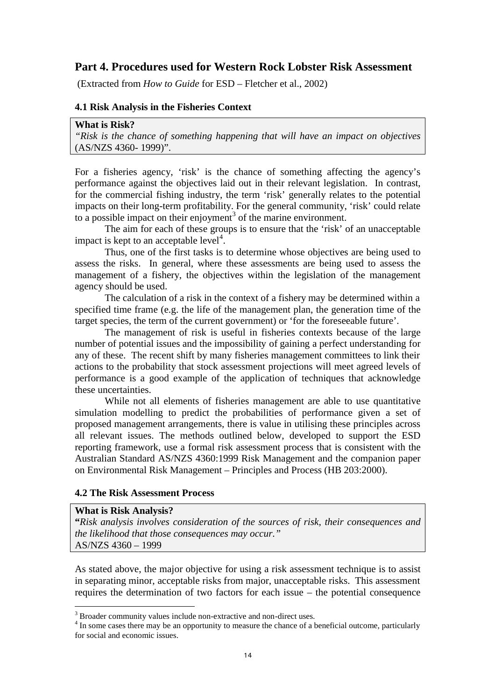#### **Part 4. Procedures used for Western Rock Lobster Risk Assessment**

(Extracted from *How to Guide* for ESD – Fletcher et al., 2002)

#### **4.1 Risk Analysis in the Fisheries Context**

| What is Risk?                                                                      |  |  |  |  |
|------------------------------------------------------------------------------------|--|--|--|--|
| "Risk is the chance of something happening that will have an impact on objectives" |  |  |  |  |
| $(AS/NZS 4360-1999)$ ".                                                            |  |  |  |  |

For a fisheries agency, 'risk' is the chance of something affecting the agency's performance against the objectives laid out in their relevant legislation. In contrast, for the commercial fishing industry, the term 'risk' generally relates to the potential impacts on their long-term profitability. For the general community, 'risk' could relate to a possible impact on their enjoyment<sup>3</sup> of the marine environment.

The aim for each of these groups is to ensure that the 'risk' of an unacceptable impact is kept to an acceptable level<sup>4</sup>.

 Thus, one of the first tasks is to determine whose objectives are being used to assess the risks. In general, where these assessments are being used to assess the management of a fishery, the objectives within the legislation of the management agency should be used.

 The calculation of a risk in the context of a fishery may be determined within a specified time frame (e.g. the life of the management plan, the generation time of the target species, the term of the current government) or 'for the foreseeable future'.

 The management of risk is useful in fisheries contexts because of the large number of potential issues and the impossibility of gaining a perfect understanding for any of these. The recent shift by many fisheries management committees to link their actions to the probability that stock assessment projections will meet agreed levels of performance is a good example of the application of techniques that acknowledge these uncertainties.

 While not all elements of fisheries management are able to use quantitative simulation modelling to predict the probabilities of performance given a set of proposed management arrangements, there is value in utilising these principles across all relevant issues. The methods outlined below, developed to support the ESD reporting framework, use a formal risk assessment process that is consistent with the Australian Standard AS/NZS 4360:1999 Risk Management and the companion paper on Environmental Risk Management – Principles and Process (HB 203:2000).

#### **4.2 The Risk Assessment Process**

#### **What is Risk Analysis?**

 $\overline{a}$ 

**"***Risk analysis involves consideration of the sources of risk, their consequences and the likelihood that those consequences may occur."*  AS/NZS 4360 – 1999

As stated above, the major objective for using a risk assessment technique is to assist in separating minor, acceptable risks from major, unacceptable risks. This assessment requires the determination of two factors for each issue – the potential consequence

<sup>&</sup>lt;sup>3</sup> Broader community values include non-extractive and non-direct uses.

<sup>&</sup>lt;sup>4</sup> In some cases there may be an opportunity to measure the chance of a beneficial outcome, particularly for social and economic issues.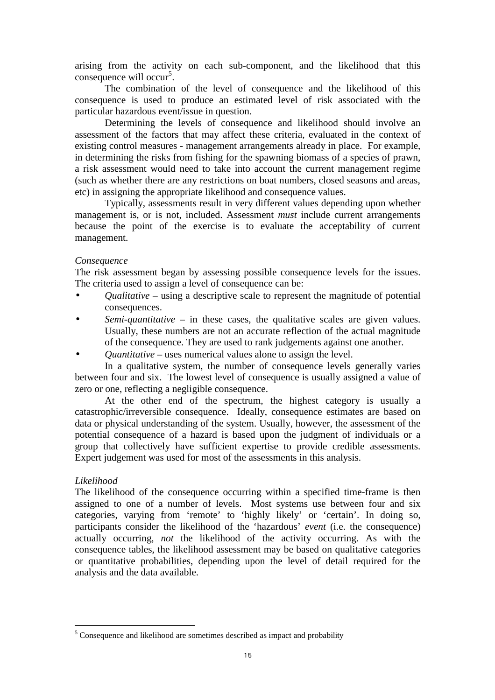arising from the activity on each sub-component, and the likelihood that this consequence will occur<sup>5</sup>.

The combination of the level of consequence and the likelihood of this consequence is used to produce an estimated level of risk associated with the particular hazardous event/issue in question.

 Determining the levels of consequence and likelihood should involve an assessment of the factors that may affect these criteria, evaluated in the context of existing control measures - management arrangements already in place. For example, in determining the risks from fishing for the spawning biomass of a species of prawn, a risk assessment would need to take into account the current management regime (such as whether there are any restrictions on boat numbers, closed seasons and areas, etc) in assigning the appropriate likelihood and consequence values.

 Typically, assessments result in very different values depending upon whether management is, or is not, included. Assessment *must* include current arrangements because the point of the exercise is to evaluate the acceptability of current management.

#### *Consequence*

The risk assessment began by assessing possible consequence levels for the issues. The criteria used to assign a level of consequence can be:

- *Qualitative* using a descriptive scale to represent the magnitude of potential consequences.
- *Semi-quantitative* in these cases, the qualitative scales are given values. Usually, these numbers are not an accurate reflection of the actual magnitude of the consequence. They are used to rank judgements against one another.
- *Quantitative* uses numerical values alone to assign the level.

In a qualitative system, the number of consequence levels generally varies between four and six. The lowest level of consequence is usually assigned a value of zero or one, reflecting a negligible consequence.

 At the other end of the spectrum, the highest category is usually a catastrophic/irreversible consequence. Ideally, consequence estimates are based on data or physical understanding of the system. Usually, however, the assessment of the potential consequence of a hazard is based upon the judgment of individuals or a group that collectively have sufficient expertise to provide credible assessments. Expert judgement was used for most of the assessments in this analysis.

#### *Likelihood*

 $\overline{a}$ 

The likelihood of the consequence occurring within a specified time-frame is then assigned to one of a number of levels. Most systems use between four and six categories, varying from 'remote' to 'highly likely' or 'certain'. In doing so, participants consider the likelihood of the 'hazardous' *event* (i.e. the consequence) actually occurring, *not* the likelihood of the activity occurring. As with the consequence tables, the likelihood assessment may be based on qualitative categories or quantitative probabilities, depending upon the level of detail required for the analysis and the data available.

<sup>&</sup>lt;sup>5</sup> Consequence and likelihood are sometimes described as impact and probability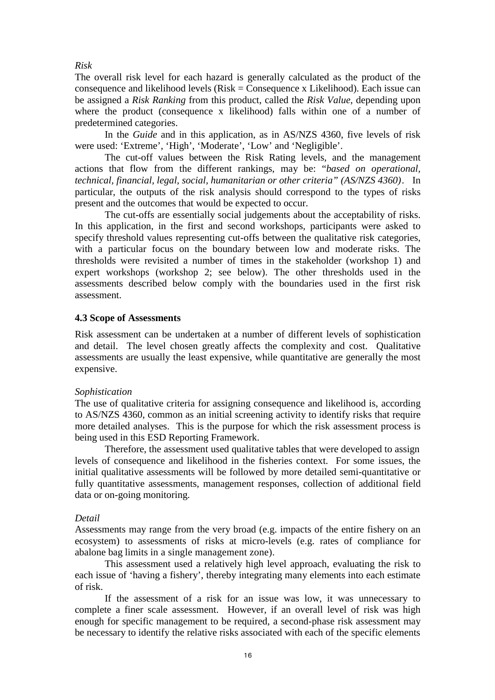#### *Risk*

The overall risk level for each hazard is generally calculated as the product of the consequence and likelihood levels  $(Risk = Consequence x Likelihood)$ . Each issue can be assigned a *Risk Ranking* from this product, called the *Risk Value*, depending upon where the product (consequence x likelihood) falls within one of a number of predetermined categories.

 In the *Guide* and in this application, as in AS/NZS 4360, five levels of risk were used: 'Extreme', 'High', 'Moderate', 'Low' and 'Negligible'.

 The cut-off values between the Risk Rating levels, and the management actions that flow from the different rankings, may be: "*based on operational, technical, financial, legal, social, humanitarian or other criteria" (AS/NZS 4360)*. In particular, the outputs of the risk analysis should correspond to the types of risks present and the outcomes that would be expected to occur.

The cut-offs are essentially social judgements about the acceptability of risks. In this application, in the first and second workshops, participants were asked to specify threshold values representing cut-offs between the qualitative risk categories, with a particular focus on the boundary between low and moderate risks. The thresholds were revisited a number of times in the stakeholder (workshop 1) and expert workshops (workshop 2; see below). The other thresholds used in the assessments described below comply with the boundaries used in the first risk assessment.

#### **4.3 Scope of Assessments**

Risk assessment can be undertaken at a number of different levels of sophistication and detail. The level chosen greatly affects the complexity and cost. Qualitative assessments are usually the least expensive, while quantitative are generally the most expensive.

#### *Sophistication*

The use of qualitative criteria for assigning consequence and likelihood is, according to AS/NZS 4360, common as an initial screening activity to identify risks that require more detailed analyses. This is the purpose for which the risk assessment process is being used in this ESD Reporting Framework.

Therefore, the assessment used qualitative tables that were developed to assign levels of consequence and likelihood in the fisheries context. For some issues, the initial qualitative assessments will be followed by more detailed semi-quantitative or fully quantitative assessments, management responses, collection of additional field data or on-going monitoring.

#### *Detail*

Assessments may range from the very broad (e.g. impacts of the entire fishery on an ecosystem) to assessments of risks at micro-levels (e.g. rates of compliance for abalone bag limits in a single management zone).

 This assessment used a relatively high level approach, evaluating the risk to each issue of 'having a fishery', thereby integrating many elements into each estimate of risk.

 If the assessment of a risk for an issue was low, it was unnecessary to complete a finer scale assessment. However, if an overall level of risk was high enough for specific management to be required, a second-phase risk assessment may be necessary to identify the relative risks associated with each of the specific elements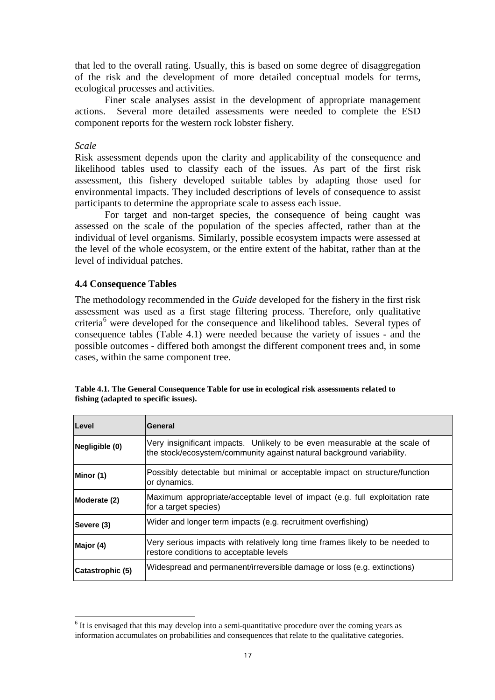that led to the overall rating. Usually, this is based on some degree of disaggregation of the risk and the development of more detailed conceptual models for terms, ecological processes and activities.

 Finer scale analyses assist in the development of appropriate management actions. Several more detailed assessments were needed to complete the ESD component reports for the western rock lobster fishery.

*Scale* 

 $\overline{a}$ 

Risk assessment depends upon the clarity and applicability of the consequence and likelihood tables used to classify each of the issues. As part of the first risk assessment, this fishery developed suitable tables by adapting those used for environmental impacts. They included descriptions of levels of consequence to assist participants to determine the appropriate scale to assess each issue.

 For target and non-target species, the consequence of being caught was assessed on the scale of the population of the species affected, rather than at the individual of level organisms. Similarly, possible ecosystem impacts were assessed at the level of the whole ecosystem, or the entire extent of the habitat, rather than at the level of individual patches.

#### **4.4 Consequence Tables**

The methodology recommended in the *Guide* developed for the fishery in the first risk assessment was used as a first stage filtering process. Therefore, only qualitative criteria<sup>6</sup> were developed for the consequence and likelihood tables. Several types of consequence tables (Table 4.1) were needed because the variety of issues - and the possible outcomes - differed both amongst the different component trees and, in some cases, within the same component tree.

| Level            | General                                                                                                                                             |
|------------------|-----------------------------------------------------------------------------------------------------------------------------------------------------|
| Negligible (0)   | Very insignificant impacts. Unlikely to be even measurable at the scale of<br>the stock/ecosystem/community against natural background variability. |
| Minor (1)        | Possibly detectable but minimal or acceptable impact on structure/function<br>or dynamics.                                                          |
| Moderate (2)     | Maximum appropriate/acceptable level of impact (e.g. full exploitation rate<br>for a target species)                                                |
| Severe (3)       | Wider and longer term impacts (e.g. recruitment overfishing)                                                                                        |
| Major (4)        | Very serious impacts with relatively long time frames likely to be needed to<br>restore conditions to acceptable levels                             |
| Catastrophic (5) | Widespread and permanent/irreversible damage or loss (e.g. extinctions)                                                                             |

**Table 4.1. The General Consequence Table for use in ecological risk assessments related to fishing (adapted to specific issues).** 

<sup>&</sup>lt;sup>6</sup> It is envisaged that this may develop into a semi-quantitative procedure over the coming years as information accumulates on probabilities and consequences that relate to the qualitative categories.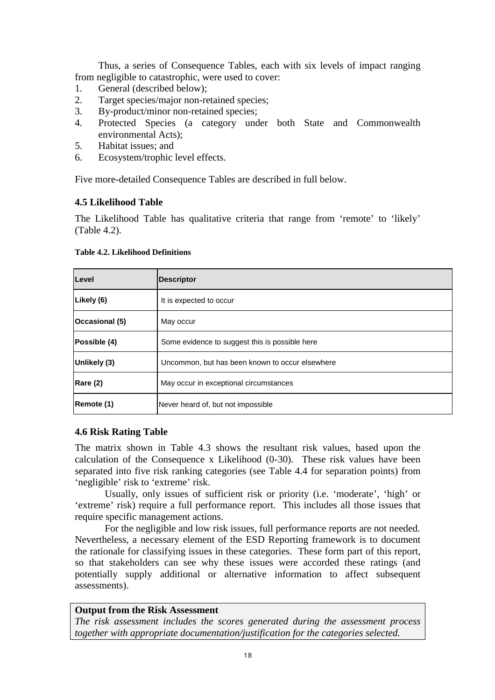Thus, a series of Consequence Tables, each with six levels of impact ranging from negligible to catastrophic, were used to cover:

- 1. General (described below);
- 2. Target species/major non-retained species;
- 3. By-product/minor non-retained species;
- 4. Protected Species (a category under both State and Commonwealth environmental Acts);
- 5. Habitat issues; and
- 6. Ecosystem/trophic level effects.

Five more-detailed Consequence Tables are described in full below.

#### **4.5 Likelihood Table**

The Likelihood Table has qualitative criteria that range from 'remote' to 'likely' (Table 4.2).

| Level                                                           | <b>Descriptor</b>                              |
|-----------------------------------------------------------------|------------------------------------------------|
| Likely (6)                                                      | It is expected to occur                        |
| Occasional (5)                                                  | May occur                                      |
| Possible (4)                                                    | Some evidence to suggest this is possible here |
| Unlikely (3)<br>Uncommon, but has been known to occur elsewhere |                                                |
| Rare (2)                                                        | May occur in exceptional circumstances         |
| Remote (1)                                                      | Never heard of, but not impossible             |

#### **Table 4.2. Likelihood Definitions**

#### **4.6 Risk Rating Table**

The matrix shown in Table 4.3 shows the resultant risk values, based upon the calculation of the Consequence x Likelihood  $(0-30)$ . These risk values have been separated into five risk ranking categories (see Table 4.4 for separation points) from 'negligible' risk to 'extreme' risk.

Usually, only issues of sufficient risk or priority (i.e. 'moderate', 'high' or 'extreme' risk) require a full performance report. This includes all those issues that require specific management actions.

For the negligible and low risk issues, full performance reports are not needed. Nevertheless, a necessary element of the ESD Reporting framework is to document the rationale for classifying issues in these categories. These form part of this report, so that stakeholders can see why these issues were accorded these ratings (and potentially supply additional or alternative information to affect subsequent assessments).

#### **Output from the Risk Assessment**

*The risk assessment includes the scores generated during the assessment process together with appropriate documentation/justification for the categories selected.*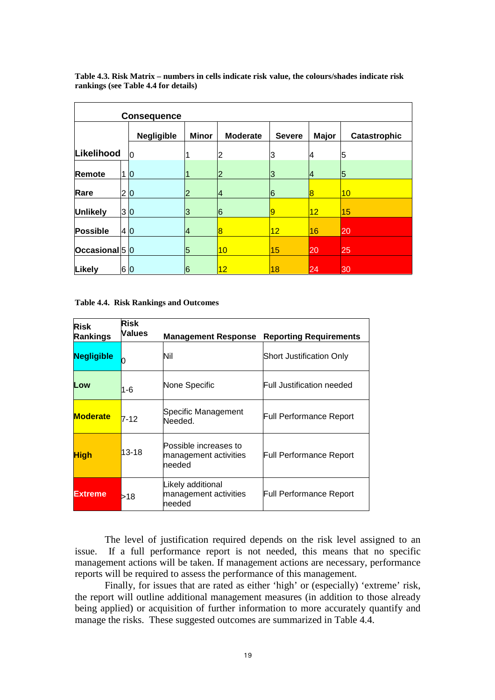|                 | <b>Consequence</b> |                   |              |                   |               |                 |                     |
|-----------------|--------------------|-------------------|--------------|-------------------|---------------|-----------------|---------------------|
|                 |                    | <b>Negligible</b> | <b>Minor</b> | <b>Moderate</b>   | <b>Severe</b> | <b>Major</b>    | <b>Catastrophic</b> |
| Likelihood      |                    | 10                |              | 2                 | 3             | 4               | 5                   |
| Remote          |                    | $\overline{0}$    |              | 2                 | З             | 14              | 5                   |
| Rare            | 2 0                |                   |              | 14                | 6             | 18              | 10                  |
| <b>Unlikely</b> | 3 0                |                   | 3            | 6                 | 9             | 12 <sup>°</sup> | 15                  |
| Possible        | 4 0                |                   | 14           | $\bf{8}$          | $12\,$        | 16              | 20                  |
| Occasional 5 0  |                    |                   | 5            | 10                | 15            | 20              | 25                  |
| Likely          | 6 0                |                   | 6            | $12 \overline{ }$ | 18            | 24              | 30                  |

**Table 4.3. Risk Matrix – numbers in cells indicate risk value, the colours/shades indicate risk rankings (see Table 4.4 for details)** 

**Table 4.4. Risk Rankings and Outcomes** 

| <b>Risk</b><br><b>Rankings</b> | <b>Risk</b><br>Values | <b>Management Response</b>                               | <b>Reporting Requirements</b>  |
|--------------------------------|-----------------------|----------------------------------------------------------|--------------------------------|
| <b>Negligible</b>              |                       | Nil                                                      | Short Justification Only       |
| Low                            | 1-6                   | None Specific                                            | Full Justification needed.     |
| <b>Moderate</b>                | $7-12$                | Specific Management<br>Needed.                           | Full Performance Report        |
| <b>High</b>                    | $13 - 18$             | Possible increases to<br>management activities<br>needed | <b>Full Performance Report</b> |
| <b>Extreme</b>                 | >18                   | Likely additional<br>management activities<br>needed     | Full Performance Report        |

The level of justification required depends on the risk level assigned to an issue. If a full performance report is not needed, this means that no specific management actions will be taken. If management actions are necessary, performance reports will be required to assess the performance of this management.

 Finally, for issues that are rated as either 'high' or (especially) 'extreme' risk, the report will outline additional management measures (in addition to those already being applied) or acquisition of further information to more accurately quantify and manage the risks. These suggested outcomes are summarized in Table 4.4.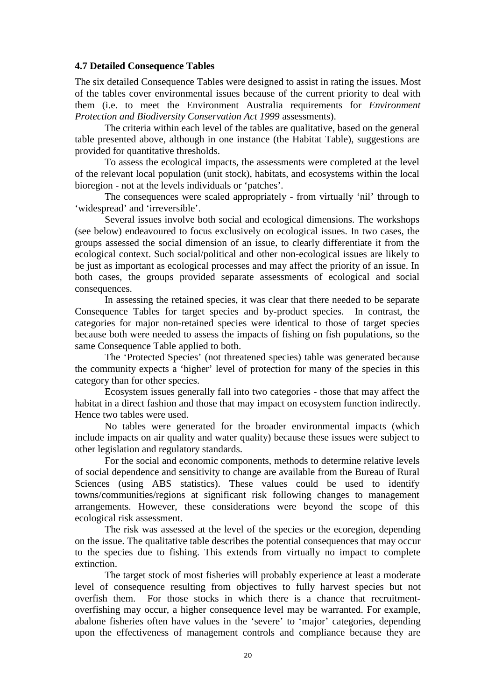#### **4.7 Detailed Consequence Tables**

The six detailed Consequence Tables were designed to assist in rating the issues. Most of the tables cover environmental issues because of the current priority to deal with them (i.e. to meet the Environment Australia requirements for *Environment Protection and Biodiversity Conservation Act 1999* assessments).

 The criteria within each level of the tables are qualitative, based on the general table presented above, although in one instance (the Habitat Table), suggestions are provided for quantitative thresholds.

To assess the ecological impacts, the assessments were completed at the level of the relevant local population (unit stock), habitats, and ecosystems within the local bioregion - not at the levels individuals or 'patches'.

The consequences were scaled appropriately - from virtually 'nil' through to 'widespread' and 'irreversible'.

 Several issues involve both social and ecological dimensions. The workshops (see below) endeavoured to focus exclusively on ecological issues. In two cases, the groups assessed the social dimension of an issue, to clearly differentiate it from the ecological context. Such social/political and other non-ecological issues are likely to be just as important as ecological processes and may affect the priority of an issue. In both cases, the groups provided separate assessments of ecological and social consequences.

In assessing the retained species, it was clear that there needed to be separate Consequence Tables for target species and by-product species. In contrast, the categories for major non-retained species were identical to those of target species because both were needed to assess the impacts of fishing on fish populations, so the same Consequence Table applied to both.

 The 'Protected Species' (not threatened species) table was generated because the community expects a 'higher' level of protection for many of the species in this category than for other species.

 Ecosystem issues generally fall into two categories - those that may affect the habitat in a direct fashion and those that may impact on ecosystem function indirectly. Hence two tables were used.

 No tables were generated for the broader environmental impacts (which include impacts on air quality and water quality) because these issues were subject to other legislation and regulatory standards.

For the social and economic components, methods to determine relative levels of social dependence and sensitivity to change are available from the Bureau of Rural Sciences (using ABS statistics). These values could be used to identify towns/communities/regions at significant risk following changes to management arrangements. However, these considerations were beyond the scope of this ecological risk assessment.

The risk was assessed at the level of the species or the ecoregion, depending on the issue. The qualitative table describes the potential consequences that may occur to the species due to fishing. This extends from virtually no impact to complete extinction.

 The target stock of most fisheries will probably experience at least a moderate level of consequence resulting from objectives to fully harvest species but not overfish them. For those stocks in which there is a chance that recruitmentoverfishing may occur, a higher consequence level may be warranted. For example, abalone fisheries often have values in the 'severe' to 'major' categories, depending upon the effectiveness of management controls and compliance because they are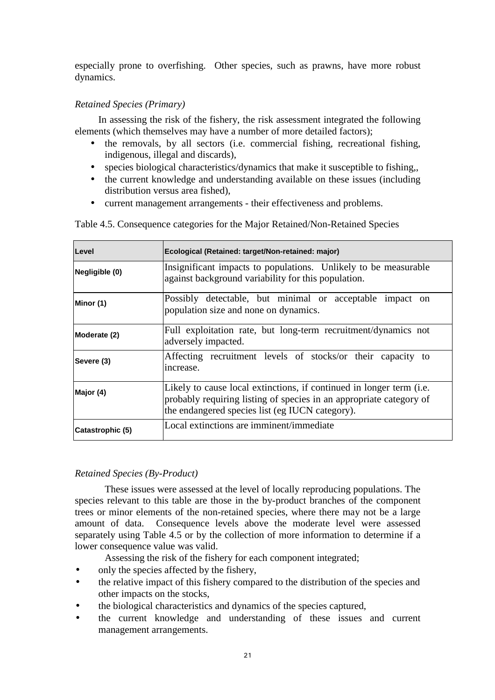especially prone to overfishing. Other species, such as prawns, have more robust dynamics.

#### *Retained Species (Primary)*

In assessing the risk of the fishery, the risk assessment integrated the following elements (which themselves may have a number of more detailed factors);

- the removals, by all sectors (i.e. commercial fishing, recreational fishing, indigenous, illegal and discards),
- species biological characteristics/dynamics that make it susceptible to fishing,
- the current knowledge and understanding available on these issues (including distribution versus area fished),
- current management arrangements their effectiveness and problems.

| Level            | Ecological (Retained: target/Non-retained: major)                                                                                                                                              |
|------------------|------------------------------------------------------------------------------------------------------------------------------------------------------------------------------------------------|
| Negligible (0)   | Insignificant impacts to populations. Unlikely to be measurable<br>against background variability for this population.                                                                         |
| Minor (1)        | Possibly detectable, but minimal or acceptable impact on<br>population size and none on dynamics.                                                                                              |
| Moderate (2)     | Full exploitation rate, but long-term recruitment/dynamics not<br>adversely impacted.                                                                                                          |
| Severe (3)       | Affecting recruitment levels of stocks/or their capacity to<br>increase.                                                                                                                       |
| Major (4)        | Likely to cause local extinctions, if continued in longer term (i.e.<br>probably requiring listing of species in an appropriate category of<br>the endangered species list (eg IUCN category). |
| Catastrophic (5) | Local extinctions are imminent/immediate                                                                                                                                                       |

Table 4.5. Consequence categories for the Major Retained/Non-Retained Species

#### *Retained Species (By-Product)*

These issues were assessed at the level of locally reproducing populations. The species relevant to this table are those in the by-product branches of the component trees or minor elements of the non-retained species, where there may not be a large amount of data. Consequence levels above the moderate level were assessed separately using Table 4.5 or by the collection of more information to determine if a lower consequence value was valid.

Assessing the risk of the fishery for each component integrated;

- only the species affected by the fishery,
- the relative impact of this fishery compared to the distribution of the species and other impacts on the stocks,
- the biological characteristics and dynamics of the species captured,
- the current knowledge and understanding of these issues and current management arrangements.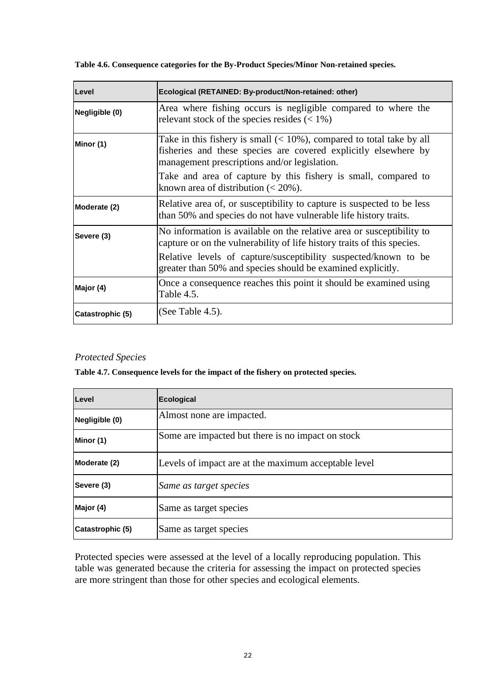**Table 4.6. Consequence categories for the By-Product Species/Minor Non-retained species.** 

| Level                                                                                                                                                                                                    | Ecological (RETAINED: By-product/Non-retained: other)                                                                                            |  |  |
|----------------------------------------------------------------------------------------------------------------------------------------------------------------------------------------------------------|--------------------------------------------------------------------------------------------------------------------------------------------------|--|--|
| Negligible (0)                                                                                                                                                                                           | Area where fishing occurs is negligible compared to where the<br>relevant stock of the species resides $(< 1\%)$                                 |  |  |
| Take in this fishery is small $(< 10\%)$ , compared to total take by all<br>Minor (1)<br>fisheries and these species are covered explicitly elsewhere by<br>management prescriptions and/or legislation. |                                                                                                                                                  |  |  |
|                                                                                                                                                                                                          | Take and area of capture by this fishery is small, compared to<br>known area of distribution $(< 20\%$ ).                                        |  |  |
| Moderate (2)                                                                                                                                                                                             | Relative area of, or susceptibility to capture is suspected to be less<br>than 50% and species do not have vulnerable life history traits.       |  |  |
| Severe (3)                                                                                                                                                                                               | No information is available on the relative area or susceptibility to<br>capture or on the vulnerability of life history traits of this species. |  |  |
|                                                                                                                                                                                                          | Relative levels of capture/susceptibility suspected/known to be<br>greater than 50% and species should be examined explicitly.                   |  |  |
| Major (4)                                                                                                                                                                                                | Once a consequence reaches this point it should be examined using<br>Table 4.5.                                                                  |  |  |
| Catastrophic (5)                                                                                                                                                                                         | (See Table 4.5).                                                                                                                                 |  |  |

#### *Protected Species*

**Table 4.7. Consequence levels for the impact of the fishery on protected species.** 

| Level            | <b>Ecological</b>                                    |
|------------------|------------------------------------------------------|
| Negligible (0)   | Almost none are impacted.                            |
| Minor (1)        | Some are impacted but there is no impact on stock    |
| Moderate (2)     | Levels of impact are at the maximum acceptable level |
| Severe (3)       | Same as target species                               |
| Major (4)        | Same as target species                               |
| Catastrophic (5) | Same as target species                               |

Protected species were assessed at the level of a locally reproducing population. This table was generated because the criteria for assessing the impact on protected species are more stringent than those for other species and ecological elements.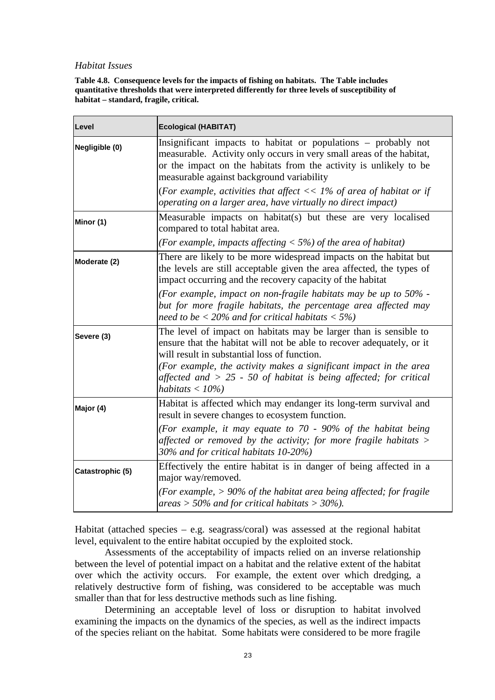#### *Habitat Issues*

**Table 4.8. Consequence levels for the impacts of fishing on habitats. The Table includes quantitative thresholds that were interpreted differently for three levels of susceptibility of habitat – standard, fragile, critical.** 

| Level            | <b>Ecological (HABITAT)</b>                                                                                                                                                                                                                                                                                                                                 |  |  |
|------------------|-------------------------------------------------------------------------------------------------------------------------------------------------------------------------------------------------------------------------------------------------------------------------------------------------------------------------------------------------------------|--|--|
| Negligible (0)   | Insignificant impacts to habitat or populations - probably not<br>measurable. Activity only occurs in very small areas of the habitat,<br>or the impact on the habitats from the activity is unlikely to be<br>measurable against background variability                                                                                                    |  |  |
|                  | (For example, activities that affect $<< 1\%$ of area of habitat or if<br>operating on a larger area, have virtually no direct impact)                                                                                                                                                                                                                      |  |  |
| Minor (1)        | Measurable impacts on habitat(s) but these are very localised<br>compared to total habitat area.                                                                                                                                                                                                                                                            |  |  |
|                  | (For example, impacts affecting $\langle 5\% \rangle$ of the area of habitat)                                                                                                                                                                                                                                                                               |  |  |
| Moderate (2)     | There are likely to be more widespread impacts on the habitat but<br>the levels are still acceptable given the area affected, the types of<br>impact occurring and the recovery capacity of the habitat                                                                                                                                                     |  |  |
|                  | (For example, impact on non-fragile habitats may be up to $50\%$ -<br>but for more fragile habitats, the percentage area affected may<br>need to be $<$ 20% and for critical habitats $<$ 5%)                                                                                                                                                               |  |  |
| Severe (3)       | The level of impact on habitats may be larger than is sensible to<br>ensure that the habitat will not be able to recover adequately, or it<br>will result in substantial loss of function.<br>(For example, the activity makes a significant impact in the area<br>affected and $> 25$ - 50 of habitat is being affected; for critical<br>habitats $<$ 10%) |  |  |
| Major (4)        | Habitat is affected which may endanger its long-term survival and<br>result in severe changes to ecosystem function.                                                                                                                                                                                                                                        |  |  |
|                  | (For example, it may equate to $70$ - 90% of the habitat being<br>affected or removed by the activity; for more fragile habitats $>$<br>30% and for critical habitats 10-20%)                                                                                                                                                                               |  |  |
| Catastrophic (5) | Effectively the entire habitat is in danger of being affected in a<br>major way/removed.<br>(For example, $> 90\%$ of the habitat area being affected; for fragile                                                                                                                                                                                          |  |  |
|                  | areas > 50% and for critical habitats > $30\%$ ).                                                                                                                                                                                                                                                                                                           |  |  |

Habitat (attached species – e.g. seagrass/coral) was assessed at the regional habitat level, equivalent to the entire habitat occupied by the exploited stock.

Assessments of the acceptability of impacts relied on an inverse relationship between the level of potential impact on a habitat and the relative extent of the habitat over which the activity occurs. For example, the extent over which dredging, a relatively destructive form of fishing, was considered to be acceptable was much smaller than that for less destructive methods such as line fishing.

 Determining an acceptable level of loss or disruption to habitat involved examining the impacts on the dynamics of the species, as well as the indirect impacts of the species reliant on the habitat. Some habitats were considered to be more fragile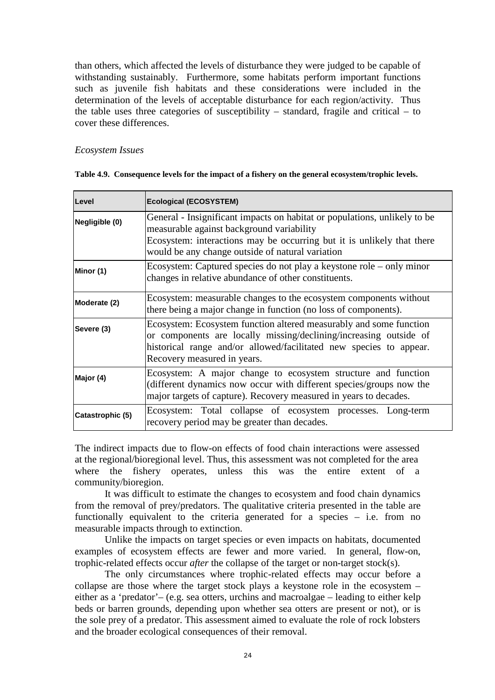than others, which affected the levels of disturbance they were judged to be capable of withstanding sustainably. Furthermore, some habitats perform important functions such as juvenile fish habitats and these considerations were included in the determination of the levels of acceptable disturbance for each region/activity. Thus the table uses three categories of susceptibility – standard, fragile and critical – to cover these differences.

#### *Ecosystem Issues*

| Level            | <b>Ecological (ECOSYSTEM)</b>                                                                                                                                                                                                                        |  |  |  |  |
|------------------|------------------------------------------------------------------------------------------------------------------------------------------------------------------------------------------------------------------------------------------------------|--|--|--|--|
| Negligible (0)   | General - Insignificant impacts on habitat or populations, unlikely to be<br>measurable against background variability<br>Ecosystem: interactions may be occurring but it is unlikely that there<br>would be any change outside of natural variation |  |  |  |  |
| Minor (1)        | Ecosystem: Captured species do not play a keystone role – only minor<br>changes in relative abundance of other constituents.                                                                                                                         |  |  |  |  |
| Moderate (2)     | Ecosystem: measurable changes to the ecosystem components without<br>there being a major change in function (no loss of components).                                                                                                                 |  |  |  |  |
| Severe (3)       | Ecosystem: Ecosystem function altered measurably and some function<br>or components are locally missing/declining/increasing outside of<br>historical range and/or allowed/facilitated new species to appear.<br>Recovery measured in years.         |  |  |  |  |
| Major (4)        | Ecosystem: A major change to ecosystem structure and function<br>(different dynamics now occur with different species/groups now the<br>major targets of capture). Recovery measured in years to decades.                                            |  |  |  |  |
| Catastrophic (5) | Ecosystem: Total collapse of ecosystem processes. Long-term<br>recovery period may be greater than decades.                                                                                                                                          |  |  |  |  |

|  |  |  | Table 4.9. Consequence levels for the impact of a fishery on the general ecosystem/trophic levels. |  |
|--|--|--|----------------------------------------------------------------------------------------------------|--|
|  |  |  |                                                                                                    |  |

The indirect impacts due to flow-on effects of food chain interactions were assessed at the regional/bioregional level. Thus, this assessment was not completed for the area where the fishery operates, unless this was the entire extent of a community/bioregion.

 It was difficult to estimate the changes to ecosystem and food chain dynamics from the removal of prey/predators. The qualitative criteria presented in the table are functionally equivalent to the criteria generated for a species – i.e. from no measurable impacts through to extinction.

 Unlike the impacts on target species or even impacts on habitats, documented examples of ecosystem effects are fewer and more varied. In general, flow-on, trophic-related effects occur *after* the collapse of the target or non-target stock(s).

 The only circumstances where trophic-related effects may occur before a collapse are those where the target stock plays a keystone role in the ecosystem – either as a 'predator'– (e.g. sea otters, urchins and macroalgae – leading to either kelp beds or barren grounds, depending upon whether sea otters are present or not), or is the sole prey of a predator. This assessment aimed to evaluate the role of rock lobsters and the broader ecological consequences of their removal.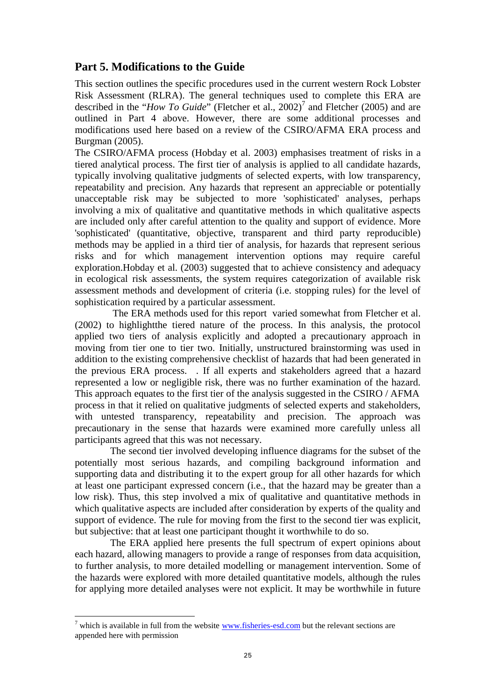## **Part 5. Modifications to the Guide**

This section outlines the specific procedures used in the current western Rock Lobster Risk Assessment (RLRA). The general techniques used to complete this ERA are described in the "*How To Guide*" (Fletcher et al., 2002)<sup>7</sup> and Fletcher (2005) and are outlined in Part 4 above. However, there are some additional processes and modifications used here based on a review of the CSIRO/AFMA ERA process and Burgman (2005).

The CSIRO/AFMA process (Hobday et al. 2003) emphasises treatment of risks in a tiered analytical process. The first tier of analysis is applied to all candidate hazards, typically involving qualitative judgments of selected experts, with low transparency, repeatability and precision. Any hazards that represent an appreciable or potentially unacceptable risk may be subjected to more 'sophisticated' analyses, perhaps involving a mix of qualitative and quantitative methods in which qualitative aspects are included only after careful attention to the quality and support of evidence. More 'sophisticated' (quantitative, objective, transparent and third party reproducible) methods may be applied in a third tier of analysis, for hazards that represent serious risks and for which management intervention options may require careful exploration.Hobday et al. (2003) suggested that to achieve consistency and adequacy in ecological risk assessments, the system requires categorization of available risk assessment methods and development of criteria (i.e. stopping rules) for the level of sophistication required by a particular assessment.

 The ERA methods used for this report varied somewhat from Fletcher et al. (2002) to highlightthe tiered nature of the process. In this analysis, the protocol applied two tiers of analysis explicitly and adopted a precautionary approach in moving from tier one to tier two. Initially, unstructured brainstorming was used in addition to the existing comprehensive checklist of hazards that had been generated in the previous ERA process. . If all experts and stakeholders agreed that a hazard represented a low or negligible risk, there was no further examination of the hazard. This approach equates to the first tier of the analysis suggested in the CSIRO / AFMA process in that it relied on qualitative judgments of selected experts and stakeholders, with untested transparency, repeatability and precision. The approach was precautionary in the sense that hazards were examined more carefully unless all participants agreed that this was not necessary.

The second tier involved developing influence diagrams for the subset of the potentially most serious hazards, and compiling background information and supporting data and distributing it to the expert group for all other hazards for which at least one participant expressed concern (i.e., that the hazard may be greater than a low risk). Thus, this step involved a mix of qualitative and quantitative methods in which qualitative aspects are included after consideration by experts of the quality and support of evidence. The rule for moving from the first to the second tier was explicit, but subjective: that at least one participant thought it worthwhile to do so.

The ERA applied here presents the full spectrum of expert opinions about each hazard, allowing managers to provide a range of responses from data acquisition, to further analysis, to more detailed modelling or management intervention. Some of the hazards were explored with more detailed quantitative models, although the rules for applying more detailed analyses were not explicit. It may be worthwhile in future

 $\overline{a}$ 

 $<sup>7</sup>$  which is available in full from the website  $\frac{www.fisheries-esd.com}{www.fisheries-esd.com}$  but the relevant sections are</sup> appended here with permission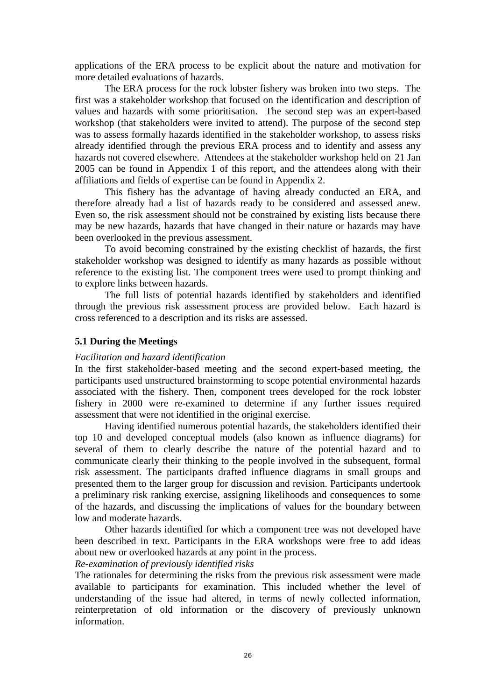applications of the ERA process to be explicit about the nature and motivation for more detailed evaluations of hazards.

The ERA process for the rock lobster fishery was broken into two steps. The first was a stakeholder workshop that focused on the identification and description of values and hazards with some prioritisation. The second step was an expert-based workshop (that stakeholders were invited to attend). The purpose of the second step was to assess formally hazards identified in the stakeholder workshop, to assess risks already identified through the previous ERA process and to identify and assess any hazards not covered elsewhere. Attendees at the stakeholder workshop held on 21 Jan 2005 can be found in Appendix 1 of this report, and the attendees along with their affiliations and fields of expertise can be found in Appendix 2.

 This fishery has the advantage of having already conducted an ERA, and therefore already had a list of hazards ready to be considered and assessed anew. Even so, the risk assessment should not be constrained by existing lists because there may be new hazards, hazards that have changed in their nature or hazards may have been overlooked in the previous assessment.

 To avoid becoming constrained by the existing checklist of hazards, the first stakeholder workshop was designed to identify as many hazards as possible without reference to the existing list. The component trees were used to prompt thinking and to explore links between hazards.

The full lists of potential hazards identified by stakeholders and identified through the previous risk assessment process are provided below. Each hazard is cross referenced to a description and its risks are assessed.

#### **5.1 During the Meetings**

#### *Facilitation and hazard identification*

In the first stakeholder-based meeting and the second expert-based meeting, the participants used unstructured brainstorming to scope potential environmental hazards associated with the fishery. Then, component trees developed for the rock lobster fishery in 2000 were re-examined to determine if any further issues required assessment that were not identified in the original exercise.

Having identified numerous potential hazards, the stakeholders identified their top 10 and developed conceptual models (also known as influence diagrams) for several of them to clearly describe the nature of the potential hazard and to communicate clearly their thinking to the people involved in the subsequent, formal risk assessment. The participants drafted influence diagrams in small groups and presented them to the larger group for discussion and revision. Participants undertook a preliminary risk ranking exercise, assigning likelihoods and consequences to some of the hazards, and discussing the implications of values for the boundary between low and moderate hazards.

Other hazards identified for which a component tree was not developed have been described in text. Participants in the ERA workshops were free to add ideas about new or overlooked hazards at any point in the process.

*Re-examination of previously identified risks* 

The rationales for determining the risks from the previous risk assessment were made available to participants for examination. This included whether the level of understanding of the issue had altered, in terms of newly collected information, reinterpretation of old information or the discovery of previously unknown information.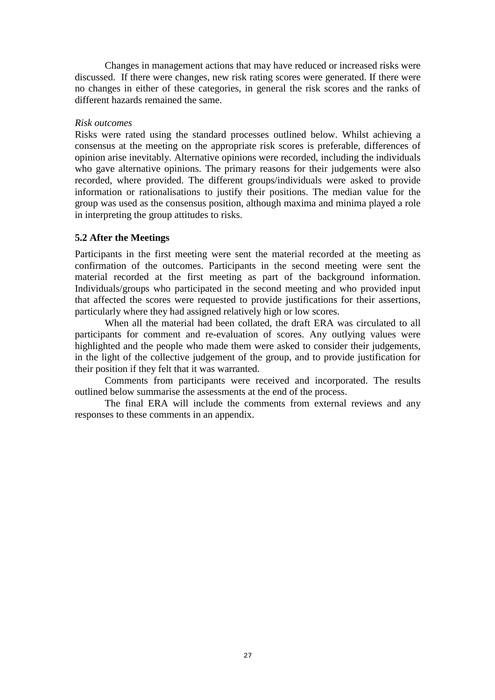Changes in management actions that may have reduced or increased risks were discussed. If there were changes, new risk rating scores were generated. If there were no changes in either of these categories, in general the risk scores and the ranks of different hazards remained the same.

#### *Risk outcomes*

Risks were rated using the standard processes outlined below. Whilst achieving a consensus at the meeting on the appropriate risk scores is preferable, differences of opinion arise inevitably. Alternative opinions were recorded, including the individuals who gave alternative opinions. The primary reasons for their judgements were also recorded, where provided. The different groups/individuals were asked to provide information or rationalisations to justify their positions. The median value for the group was used as the consensus position, although maxima and minima played a role in interpreting the group attitudes to risks.

#### **5.2 After the Meetings**

Participants in the first meeting were sent the material recorded at the meeting as confirmation of the outcomes. Participants in the second meeting were sent the material recorded at the first meeting as part of the background information. Individuals/groups who participated in the second meeting and who provided input that affected the scores were requested to provide justifications for their assertions, particularly where they had assigned relatively high or low scores.

 When all the material had been collated, the draft ERA was circulated to all participants for comment and re-evaluation of scores. Any outlying values were highlighted and the people who made them were asked to consider their judgements, in the light of the collective judgement of the group, and to provide justification for their position if they felt that it was warranted.

 Comments from participants were received and incorporated. The results outlined below summarise the assessments at the end of the process.

The final ERA will include the comments from external reviews and any responses to these comments in an appendix.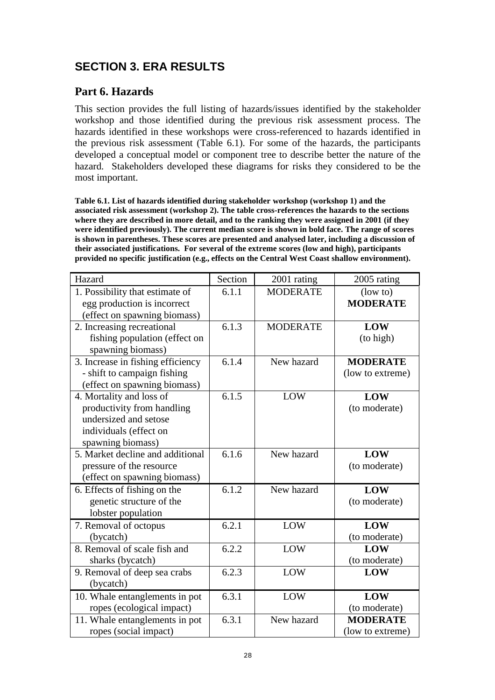## **SECTION 3. ERA RESULTS**

## **Part 6. Hazards**

This section provides the full listing of hazards/issues identified by the stakeholder workshop and those identified during the previous risk assessment process. The hazards identified in these workshops were cross-referenced to hazards identified in the previous risk assessment (Table 6.1). For some of the hazards, the participants developed a conceptual model or component tree to describe better the nature of the hazard. Stakeholders developed these diagrams for risks they considered to be the most important.

**Table 6.1. List of hazards identified during stakeholder workshop (workshop 1) and the associated risk assessment (workshop 2). The table cross-references the hazards to the sections where they are described in more detail, and to the ranking they were assigned in 2001 (if they were identified previously). The current median score is shown in bold face. The range of scores is shown in parentheses. These scores are presented and analysed later, including a discussion of their associated justifications. For several of the extreme scores (low and high), participants provided no specific justification (e.g., effects on the Central West Coast shallow environment).** 

| Hazard                            | Section | 2001 rating     | 2005 rating      |
|-----------------------------------|---------|-----------------|------------------|
| 1. Possibility that estimate of   | 6.1.1   | <b>MODERATE</b> | $($ low to $)$   |
| egg production is incorrect       |         |                 | <b>MODERATE</b>  |
| (effect on spawning biomass)      |         |                 |                  |
| 2. Increasing recreational        | 6.1.3   | <b>MODERATE</b> | <b>LOW</b>       |
| fishing population (effect on     |         |                 | (to high)        |
| spawning biomass)                 |         |                 |                  |
| 3. Increase in fishing efficiency | 6.1.4   | New hazard      | <b>MODERATE</b>  |
| - shift to campaign fishing       |         |                 | (low to extreme) |
| (effect on spawning biomass)      |         |                 |                  |
| 4. Mortality and loss of          | 6.1.5   | LOW             | <b>LOW</b>       |
| productivity from handling        |         |                 | (to moderate)    |
| undersized and setose             |         |                 |                  |
| individuals (effect on            |         |                 |                  |
| spawning biomass)                 |         |                 |                  |
| 5. Market decline and additional  | 6.1.6   | New hazard      | LOW              |
| pressure of the resource          |         |                 | (to moderate)    |
| (effect on spawning biomass)      |         |                 |                  |
| 6. Effects of fishing on the      | 6.1.2   | New hazard      | <b>LOW</b>       |
| genetic structure of the          |         |                 | (to moderate)    |
| lobster population                |         |                 |                  |
| 7. Removal of octopus             | 6.2.1   | LOW             | <b>LOW</b>       |
| (bycatch)                         |         |                 | (to moderate)    |
| 8. Removal of scale fish and      | 6.2.2   | LOW             | LOW              |
| sharks (bycatch)                  |         |                 | (to moderate)    |
| 9. Removal of deep sea crabs      | 6.2.3   | LOW             | LOW              |
| (bycatch)                         |         |                 |                  |
| 10. Whale entanglements in pot    | 6.3.1   | LOW             | LOW              |
| ropes (ecological impact)         |         |                 | (to moderate)    |
| 11. Whale entanglements in pot    | 6.3.1   | New hazard      | <b>MODERATE</b>  |
| ropes (social impact)             |         |                 | (low to extreme) |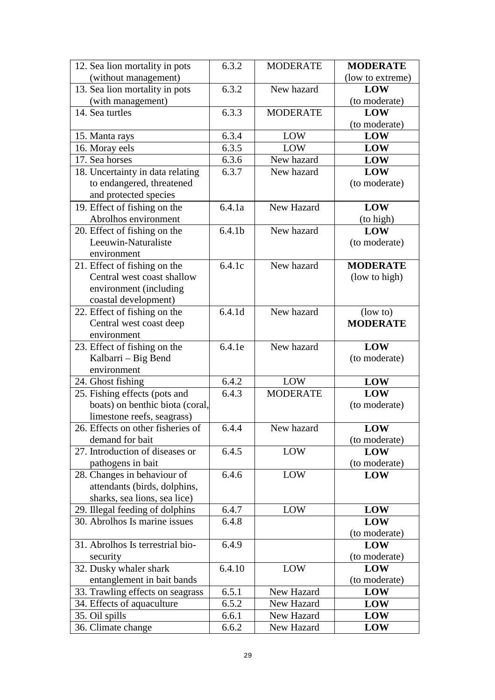| 12. Sea lion mortality in pots       | 6.3.2              | <b>MODERATE</b>          | <b>MODERATE</b>  |
|--------------------------------------|--------------------|--------------------------|------------------|
| (without management)                 |                    |                          | (low to extreme) |
| 13. Sea lion mortality in pots       | 6.3.2              | New hazard               | LOW              |
| (with management)                    |                    |                          | (to moderate)    |
| 14. Sea turtles                      | 6.3.3              | <b>MODERATE</b>          | <b>LOW</b>       |
|                                      |                    |                          | (to moderate)    |
| 15. Manta rays                       | 6.3.4              | LOW                      | <b>LOW</b>       |
| 16. Moray eels                       | 6.3.5              | <b>LOW</b>               | <b>LOW</b>       |
| 17. Sea horses                       | 6.3.6              | New hazard               | LOW              |
| 18. Uncertainty in data relating     | 6.3.7              | New hazard               | LOW              |
| to endangered, threatened            |                    |                          | (to moderate)    |
| and protected species                |                    |                          |                  |
| 19. Effect of fishing on the         | 6.4.1a             | New Hazard               | <b>LOW</b>       |
| Abrolhos environment                 |                    |                          | (to high)        |
| 20. Effect of fishing on the         | 6.4.1 <sub>b</sub> | New hazard               | <b>LOW</b>       |
| Leeuwin-Naturaliste                  |                    |                          | (to moderate)    |
| environment                          |                    |                          |                  |
| 21. Effect of fishing on the         | 6.4.1c             | New hazard               | <b>MODERATE</b>  |
| Central west coast shallow           |                    |                          | (low to high)    |
| environment (including               |                    |                          |                  |
| coastal development)                 |                    |                          |                  |
| 22. Effect of fishing on the         | 6.4.1d             | New hazard               | $\frac{1}{2}$    |
| Central west coast deep              |                    |                          | <b>MODERATE</b>  |
| environment                          |                    |                          |                  |
| 23. Effect of fishing on the         | 6.4.1e             | New hazard               | <b>LOW</b>       |
| Kalbarri – Big Bend                  |                    |                          | (to moderate)    |
| environment                          |                    |                          |                  |
| 24. Ghost fishing                    | 6.4.2              | LOW                      | LOW              |
| 25. Fishing effects (pots and        | 6.4.3              | <b>MODERATE</b>          | <b>LOW</b>       |
| boats) on benthic biota (coral,      |                    |                          | (to moderate)    |
| limestone reefs, seagrass)           |                    |                          |                  |
| 26. Effects on other fisheries of    | 6.4.4              | New hazard               | LOW              |
| demand for bait                      |                    |                          |                  |
|                                      |                    |                          | (to moderate)    |
| 27. Introduction of diseases or      | 6.4.5              | LOW                      | LOW              |
| pathogens in bait                    |                    |                          | (to moderate)    |
| 28. Changes in behaviour of          | 6.4.6              | LOW                      | LOW              |
| attendants (birds, dolphins,         |                    |                          |                  |
| sharks, sea lions, sea lice)         |                    |                          |                  |
| 29. Illegal feeding of dolphins      | 6.4.7              | LOW                      | LOW              |
| 30. Abrolhos Is marine issues        | 6.4.8              |                          | <b>LOW</b>       |
|                                      |                    |                          | (to moderate)    |
| 31. Abrolhos Is terrestrial bio-     | 6.4.9              |                          | LOW              |
| security                             |                    |                          | (to moderate)    |
| 32. Dusky whaler shark               | 6.4.10             | LOW                      | LOW              |
| entanglement in bait bands           |                    |                          | (to moderate)    |
| 33. Trawling effects on seagrass     | 6.5.1              | New Hazard               | LOW              |
| 34. Effects of aquaculture           | 6.5.2              | New Hazard               | LOW              |
| 35. Oil spills<br>36. Climate change | 6.6.1<br>6.6.2     | New Hazard<br>New Hazard | LOW<br>LOW       |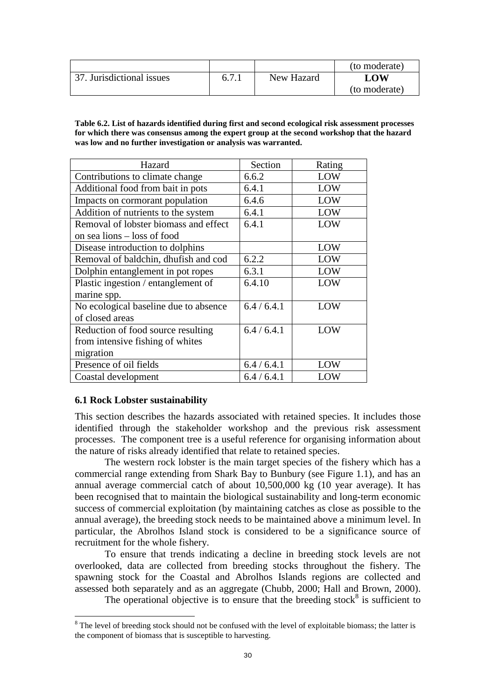|                           |       |            | (to moderate) |
|---------------------------|-------|------------|---------------|
| 37. Jurisdictional issues | 6.7.1 | New Hazard | LOW           |
|                           |       |            | (to moderate) |

**Table 6.2. List of hazards identified during first and second ecological risk assessment processes for which there was consensus among the expert group at the second workshop that the hazard was low and no further investigation or analysis was warranted.** 

| Hazard                                | Section     | Rating |
|---------------------------------------|-------------|--------|
| Contributions to climate change       | 6.6.2       | LOW    |
| Additional food from bait in pots     | 6.4.1       | LOW    |
| Impacts on cormorant population       | 6.4.6       | LOW    |
| Addition of nutrients to the system   | 6.4.1       | LOW    |
| Removal of lobster biomass and effect | 6.4.1       | LOW    |
| on sea lions – loss of food           |             |        |
| Disease introduction to dolphins      |             | LOW    |
| Removal of baldchin, dhufish and cod  | 6.2.2       | LOW    |
| Dolphin entanglement in pot ropes     | 6.3.1       | LOW    |
| Plastic ingestion / entanglement of   | 6.4.10      | LOW    |
| marine spp.                           |             |        |
| No ecological baseline due to absence | 6.4/6.4.1   | LOW    |
| of closed areas                       |             |        |
| Reduction of food source resulting    | 6.4/6.4.1   | LOW    |
| from intensive fishing of whites      |             |        |
| migration                             |             |        |
| Presence of oil fields                | 6.4 / 6.4.1 | LOW    |
| Coastal development                   | 6.4/6.4.1   | LOW    |

#### **6.1 Rock Lobster sustainability**

This section describes the hazards associated with retained species. It includes those identified through the stakeholder workshop and the previous risk assessment processes. The component tree is a useful reference for organising information about the nature of risks already identified that relate to retained species.

The western rock lobster is the main target species of the fishery which has a commercial range extending from Shark Bay to Bunbury (see Figure 1.1), and has an annual average commercial catch of about 10,500,000 kg (10 year average). It has been recognised that to maintain the biological sustainability and long-term economic success of commercial exploitation (by maintaining catches as close as possible to the annual average), the breeding stock needs to be maintained above a minimum level. In particular, the Abrolhos Island stock is considered to be a significance source of recruitment for the whole fishery.

To ensure that trends indicating a decline in breeding stock levels are not overlooked, data are collected from breeding stocks throughout the fishery. The spawning stock for the Coastal and Abrolhos Islands regions are collected and assessed both separately and as an aggregate (Chubb, 2000; Hall and Brown, 2000).

The operational objective is to ensure that the breeding stock $8$  is sufficient to

<sup>&</sup>lt;sup>8</sup> The level of breeding stock should not be confused with the level of exploitable biomass; the latter is the component of biomass that is susceptible to harvesting.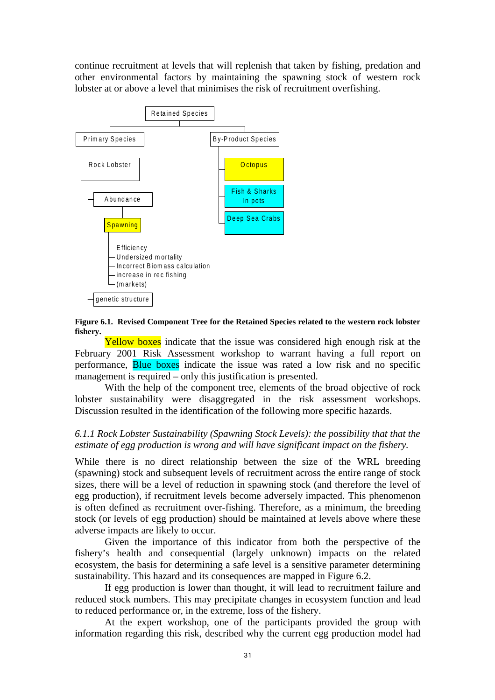continue recruitment at levels that will replenish that taken by fishing, predation and other environmental factors by maintaining the spawning stock of western rock lobster at or above a level that minimises the risk of recruitment overfishing.



**Figure 6.1. Revised Component Tree for the Retained Species related to the western rock lobster fishery.** 

Yellow boxes indicate that the issue was considered high enough risk at the February 2001 Risk Assessment workshop to warrant having a full report on performance, Blue boxes indicate the issue was rated a low risk and no specific management is required – only this justification is presented.

With the help of the component tree, elements of the broad objective of rock lobster sustainability were disaggregated in the risk assessment workshops. Discussion resulted in the identification of the following more specific hazards.

#### *6.1.1 Rock Lobster Sustainability (Spawning Stock Levels): the possibility that that the estimate of egg production is wrong and will have significant impact on the fishery.*

While there is no direct relationship between the size of the WRL breeding (spawning) stock and subsequent levels of recruitment across the entire range of stock sizes, there will be a level of reduction in spawning stock (and therefore the level of egg production), if recruitment levels become adversely impacted. This phenomenon is often defined as recruitment over-fishing. Therefore, as a minimum, the breeding stock (or levels of egg production) should be maintained at levels above where these adverse impacts are likely to occur.

Given the importance of this indicator from both the perspective of the fishery's health and consequential (largely unknown) impacts on the related ecosystem, the basis for determining a safe level is a sensitive parameter determining sustainability. This hazard and its consequences are mapped in Figure 6.2.

If egg production is lower than thought, it will lead to recruitment failure and reduced stock numbers. This may precipitate changes in ecosystem function and lead to reduced performance or, in the extreme, loss of the fishery.

At the expert workshop, one of the participants provided the group with information regarding this risk, described why the current egg production model had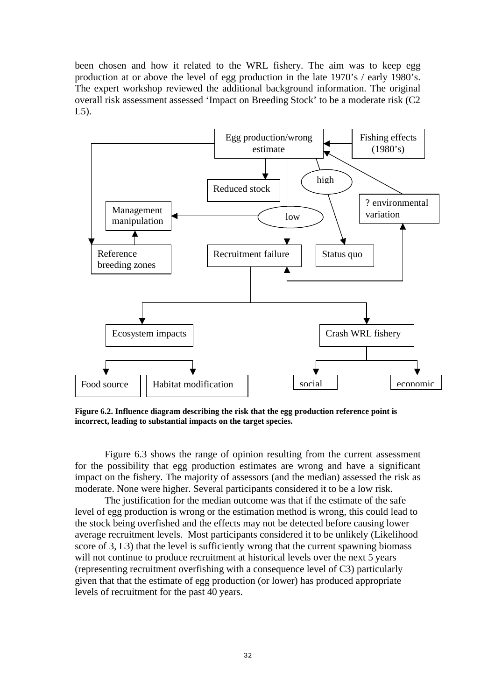been chosen and how it related to the WRL fishery. The aim was to keep egg production at or above the level of egg production in the late 1970's / early 1980's. The expert workshop reviewed the additional background information. The original overall risk assessment assessed 'Impact on Breeding Stock' to be a moderate risk (C2 L5).



**Figure 6.2. Influence diagram describing the risk that the egg production reference point is incorrect, leading to substantial impacts on the target species.** 

 Figure 6.3 shows the range of opinion resulting from the current assessment for the possibility that egg production estimates are wrong and have a significant impact on the fishery. The majority of assessors (and the median) assessed the risk as moderate. None were higher. Several participants considered it to be a low risk.

The justification for the median outcome was that if the estimate of the safe level of egg production is wrong or the estimation method is wrong, this could lead to the stock being overfished and the effects may not be detected before causing lower average recruitment levels. Most participants considered it to be unlikely (Likelihood score of 3, L3) that the level is sufficiently wrong that the current spawning biomass will not continue to produce recruitment at historical levels over the next 5 years (representing recruitment overfishing with a consequence level of C3) particularly given that that the estimate of egg production (or lower) has produced appropriate levels of recruitment for the past 40 years.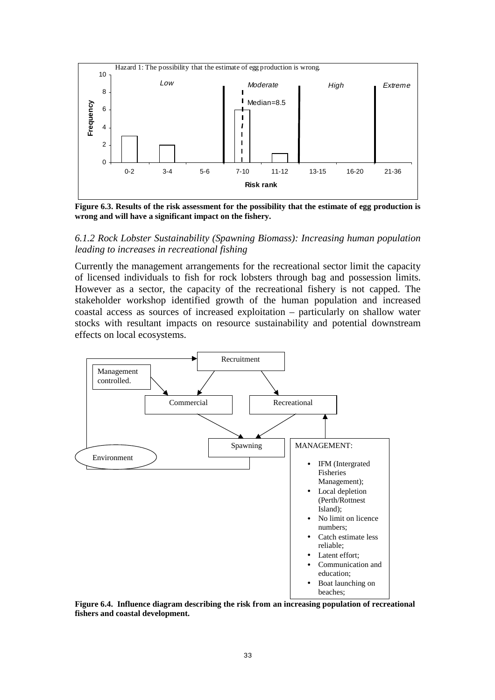

**Figure 6.3. Results of the risk assessment for the possibility that the estimate of egg production is wrong and will have a significant impact on the fishery.** 

#### *6.1.2 Rock Lobster Sustainability (Spawning Biomass): Increasing human population leading to increases in recreational fishing*

Currently the management arrangements for the recreational sector limit the capacity of licensed individuals to fish for rock lobsters through bag and possession limits. However as a sector, the capacity of the recreational fishery is not capped. The stakeholder workshop identified growth of the human population and increased coastal access as sources of increased exploitation – particularly on shallow water stocks with resultant impacts on resource sustainability and potential downstream effects on local ecosystems.



**Figure 6.4. Influence diagram describing the risk from an increasing population of recreational fishers and coastal development.**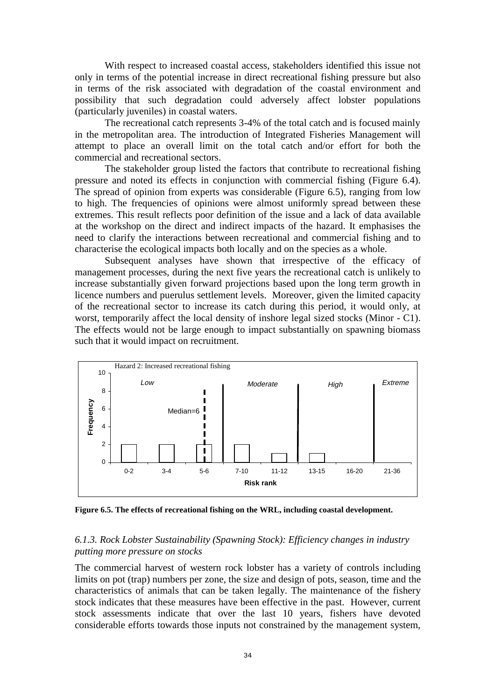With respect to increased coastal access, stakeholders identified this issue not only in terms of the potential increase in direct recreational fishing pressure but also in terms of the risk associated with degradation of the coastal environment and possibility that such degradation could adversely affect lobster populations (particularly juveniles) in coastal waters.

The recreational catch represents 3-4% of the total catch and is focused mainly in the metropolitan area. The introduction of Integrated Fisheries Management will attempt to place an overall limit on the total catch and/or effort for both the commercial and recreational sectors.

The stakeholder group listed the factors that contribute to recreational fishing pressure and noted its effects in conjunction with commercial fishing (Figure 6.4). The spread of opinion from experts was considerable (Figure 6.5), ranging from low to high. The frequencies of opinions were almost uniformly spread between these extremes. This result reflects poor definition of the issue and a lack of data available at the workshop on the direct and indirect impacts of the hazard. It emphasises the need to clarify the interactions between recreational and commercial fishing and to characterise the ecological impacts both locally and on the species as a whole.

Subsequent analyses have shown that irrespective of the efficacy of management processes, during the next five years the recreational catch is unlikely to increase substantially given forward projections based upon the long term growth in licence numbers and puerulus settlement levels. Moreover, given the limited capacity of the recreational sector to increase its catch during this period, it would only, at worst, temporarily affect the local density of inshore legal sized stocks (Minor - C1). The effects would not be large enough to impact substantially on spawning biomass such that it would impact on recruitment.



**Figure 6.5. The effects of recreational fishing on the WRL, including coastal development.** 

#### *6.1.3. Rock Lobster Sustainability (Spawning Stock): Efficiency changes in industry putting more pressure on stocks*

The commercial harvest of western rock lobster has a variety of controls including limits on pot (trap) numbers per zone, the size and design of pots, season, time and the characteristics of animals that can be taken legally. The maintenance of the fishery stock indicates that these measures have been effective in the past. However, current stock assessments indicate that over the last 10 years, fishers have devoted considerable efforts towards those inputs not constrained by the management system,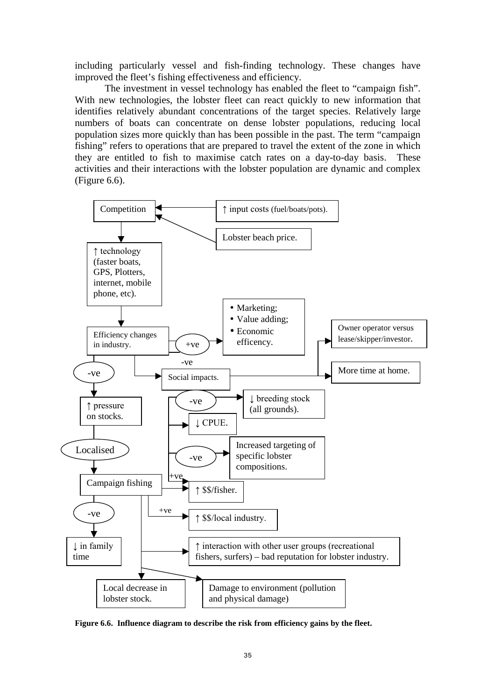including particularly vessel and fish-finding technology. These changes have improved the fleet's fishing effectiveness and efficiency.

The investment in vessel technology has enabled the fleet to "campaign fish". With new technologies, the lobster fleet can react quickly to new information that identifies relatively abundant concentrations of the target species. Relatively large numbers of boats can concentrate on dense lobster populations, reducing local population sizes more quickly than has been possible in the past. The term "campaign fishing" refers to operations that are prepared to travel the extent of the zone in which they are entitled to fish to maximise catch rates on a day-to-day basis. These activities and their interactions with the lobster population are dynamic and complex (Figure 6.6).



**Figure 6.6. Influence diagram to describe the risk from efficiency gains by the fleet.**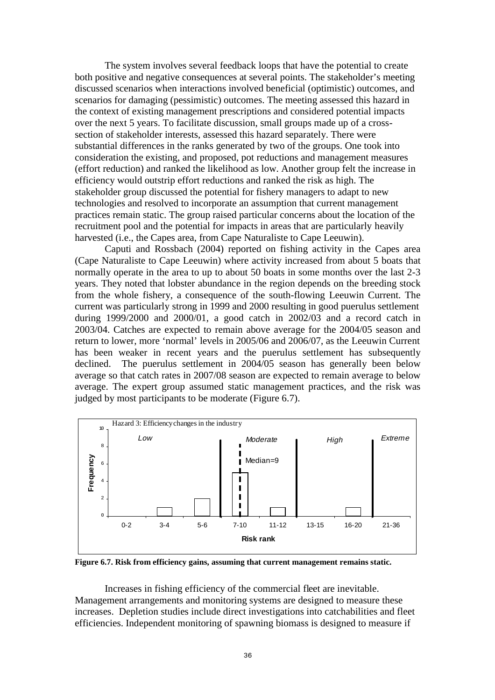The system involves several feedback loops that have the potential to create both positive and negative consequences at several points. The stakeholder's meeting discussed scenarios when interactions involved beneficial (optimistic) outcomes, and scenarios for damaging (pessimistic) outcomes. The meeting assessed this hazard in the context of existing management prescriptions and considered potential impacts over the next 5 years. To facilitate discussion, small groups made up of a crosssection of stakeholder interests, assessed this hazard separately. There were substantial differences in the ranks generated by two of the groups. One took into consideration the existing, and proposed, pot reductions and management measures (effort reduction) and ranked the likelihood as low. Another group felt the increase in efficiency would outstrip effort reductions and ranked the risk as high. The stakeholder group discussed the potential for fishery managers to adapt to new technologies and resolved to incorporate an assumption that current management practices remain static. The group raised particular concerns about the location of the recruitment pool and the potential for impacts in areas that are particularly heavily harvested (i.e., the Capes area, from Cape Naturaliste to Cape Leeuwin).

 Caputi and Rossbach (2004) reported on fishing activity in the Capes area (Cape Naturaliste to Cape Leeuwin) where activity increased from about 5 boats that normally operate in the area to up to about 50 boats in some months over the last 2-3 years. They noted that lobster abundance in the region depends on the breeding stock from the whole fishery, a consequence of the south-flowing Leeuwin Current. The current was particularly strong in 1999 and 2000 resulting in good puerulus settlement during  $1999/2000$  and  $2000/01$ , a good catch in  $2002/03$  and a record catch in 2003/04. Catches are expected to remain above average for the 2004/05 season and return to lower, more 'normal' levels in 2005/06 and 2006/07, as the Leeuwin Current has been weaker in recent years and the puerulus settlement has subsequently declined. The puerulus settlement in 2004/05 season has generally been below average so that catch rates in 2007/08 season are expected to remain average to below average. The expert group assumed static management practices, and the risk was judged by most participants to be moderate (Figure 6.7).



**Figure 6.7. Risk from efficiency gains, assuming that current management remains static.** 

Increases in fishing efficiency of the commercial fleet are inevitable. Management arrangements and monitoring systems are designed to measure these increases. Depletion studies include direct investigations into catchabilities and fleet efficiencies. Independent monitoring of spawning biomass is designed to measure if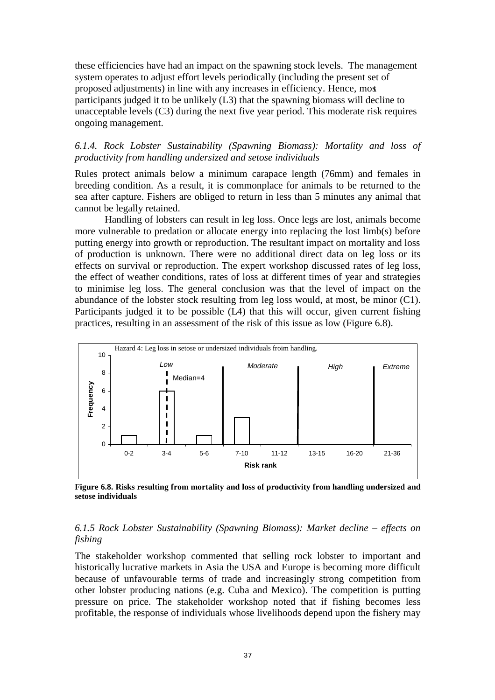these efficiencies have had an impact on the spawning stock levels. The management system operates to adjust effort levels periodically (including the present set of proposed adjustments) in line with any increases in efficiency. Hence, most participants judged it to be unlikely (L3) that the spawning biomass will decline to unacceptable levels (C3) during the next five year period. This moderate risk requires ongoing management.

## *6.1.4. Rock Lobster Sustainability (Spawning Biomass): Mortality and loss of productivity from handling undersized and setose individuals*

Rules protect animals below a minimum carapace length (76mm) and females in breeding condition. As a result, it is commonplace for animals to be returned to the sea after capture. Fishers are obliged to return in less than 5 minutes any animal that cannot be legally retained.

 Handling of lobsters can result in leg loss. Once legs are lost, animals become more vulnerable to predation or allocate energy into replacing the lost limb(s) before putting energy into growth or reproduction. The resultant impact on mortality and loss of production is unknown. There were no additional direct data on leg loss or its effects on survival or reproduction. The expert workshop discussed rates of leg loss, the effect of weather conditions, rates of loss at different times of year and strategies to minimise leg loss. The general conclusion was that the level of impact on the abundance of the lobster stock resulting from leg loss would, at most, be minor (C1). Participants judged it to be possible (L4) that this will occur, given current fishing practices, resulting in an assessment of the risk of this issue as low (Figure 6.8).



**Figure 6.8. Risks resulting from mortality and loss of productivity from handling undersized and setose individuals** 

# *6.1.5 Rock Lobster Sustainability (Spawning Biomass): Market decline – effects on fishing*

The stakeholder workshop commented that selling rock lobster to important and historically lucrative markets in Asia the USA and Europe is becoming more difficult because of unfavourable terms of trade and increasingly strong competition from other lobster producing nations (e.g. Cuba and Mexico). The competition is putting pressure on price. The stakeholder workshop noted that if fishing becomes less profitable, the response of individuals whose livelihoods depend upon the fishery may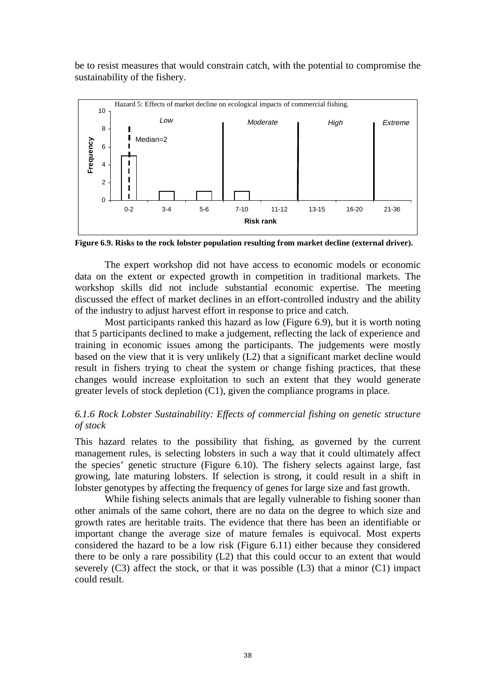be to resist measures that would constrain catch, with the potential to compromise the sustainability of the fishery.



**Figure 6.9. Risks to the rock lobster population resulting from market decline (external driver).** 

The expert workshop did not have access to economic models or economic data on the extent or expected growth in competition in traditional markets. The workshop skills did not include substantial economic expertise. The meeting discussed the effect of market declines in an effort-controlled industry and the ability of the industry to adjust harvest effort in response to price and catch.

 Most participants ranked this hazard as low (Figure 6.9), but it is worth noting that 5 participants declined to make a judgement, reflecting the lack of experience and training in economic issues among the participants. The judgements were mostly based on the view that it is very unlikely (L2) that a significant market decline would result in fishers trying to cheat the system or change fishing practices, that these changes would increase exploitation to such an extent that they would generate greater levels of stock depletion (C1), given the compliance programs in place.

# *6.1.6 Rock Lobster Sustainability: Effects of commercial fishing on genetic structure of stock*

This hazard relates to the possibility that fishing, as governed by the current management rules, is selecting lobsters in such a way that it could ultimately affect the species' genetic structure (Figure 6.10). The fishery selects against large, fast growing, late maturing lobsters. If selection is strong, it could result in a shift in lobster genotypes by affecting the frequency of genes for large size and fast growth.

While fishing selects animals that are legally vulnerable to fishing sooner than other animals of the same cohort, there are no data on the degree to which size and growth rates are heritable traits. The evidence that there has been an identifiable or important change the average size of mature females is equivocal. Most experts considered the hazard to be a low risk (Figure 6.11) either because they considered there to be only a rare possibility (L2) that this could occur to an extent that would severely (C3) affect the stock, or that it was possible (L3) that a minor (C1) impact could result.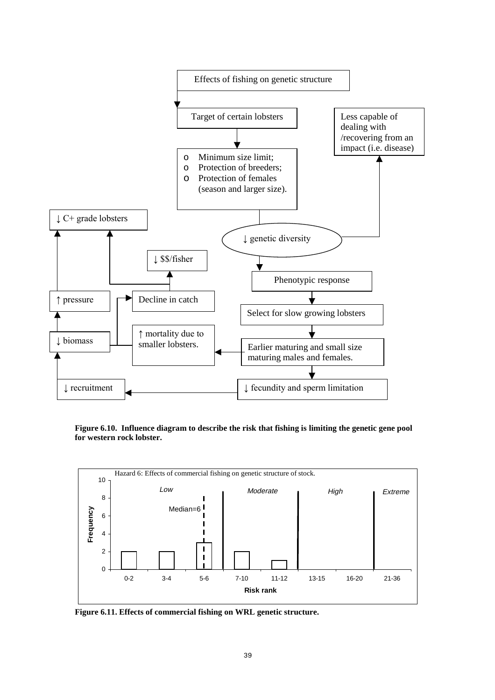

**Figure 6.10. Influence diagram to describe the risk that fishing is limiting the genetic gene pool for western rock lobster.** 



**Figure 6.11. Effects of commercial fishing on WRL genetic structure.**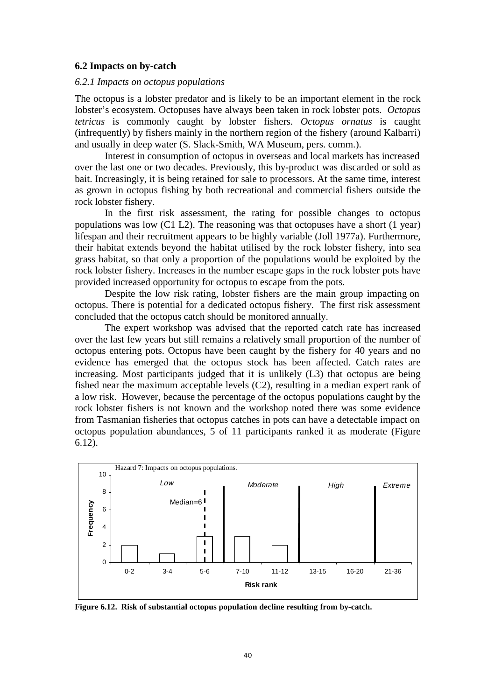### **6.2 Impacts on by-catch**

#### *6.2.1 Impacts on octopus populations*

The octopus is a lobster predator and is likely to be an important element in the rock lobster's ecosystem. Octopuses have always been taken in rock lobster pots. *Octopus tetricus* is commonly caught by lobster fishers. *Octopus ornatus* is caught (infrequently) by fishers mainly in the northern region of the fishery (around Kalbarri) and usually in deep water (S. Slack-Smith, WA Museum, pers. comm.).

Interest in consumption of octopus in overseas and local markets has increased over the last one or two decades. Previously, this by-product was discarded or sold as bait. Increasingly, it is being retained for sale to processors. At the same time, interest as grown in octopus fishing by both recreational and commercial fishers outside the rock lobster fishery.

In the first risk assessment, the rating for possible changes to octopus populations was low (C1 L2). The reasoning was that octopuses have a short (1 year) lifespan and their recruitment appears to be highly variable (Joll 1977a). Furthermore, their habitat extends beyond the habitat utilised by the rock lobster fishery, into sea grass habitat, so that only a proportion of the populations would be exploited by the rock lobster fishery. Increases in the number escape gaps in the rock lobster pots have provided increased opportunity for octopus to escape from the pots.

Despite the low risk rating, lobster fishers are the main group impacting on octopus. There is potential for a dedicated octopus fishery. The first risk assessment concluded that the octopus catch should be monitored annually.

The expert workshop was advised that the reported catch rate has increased over the last few years but still remains a relatively small proportion of the number of octopus entering pots. Octopus have been caught by the fishery for 40 years and no evidence has emerged that the octopus stock has been affected. Catch rates are increasing. Most participants judged that it is unlikely (L3) that octopus are being fished near the maximum acceptable levels (C2), resulting in a median expert rank of a low risk. However, because the percentage of the octopus populations caught by the rock lobster fishers is not known and the workshop noted there was some evidence from Tasmanian fisheries that octopus catches in pots can have a detectable impact on octopus population abundances, 5 of 11 participants ranked it as moderate (Figure 6.12).



**Figure 6.12. Risk of substantial octopus population decline resulting from by-catch.**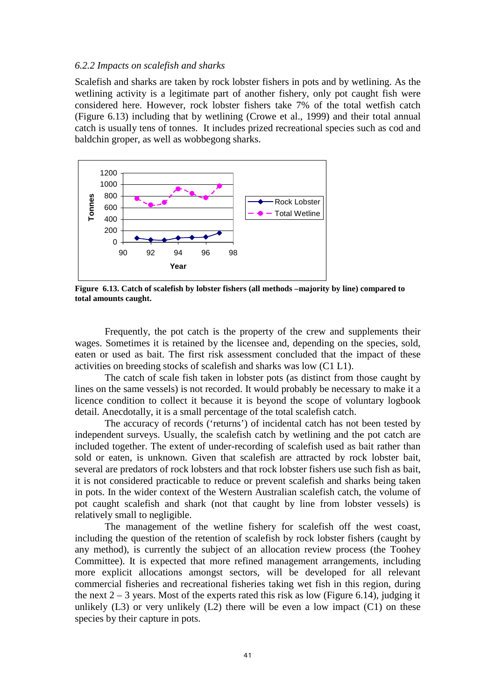#### *6.2.2 Impacts on scalefish and sharks*

Scalefish and sharks are taken by rock lobster fishers in pots and by wetlining. As the wetlining activity is a legitimate part of another fishery, only pot caught fish were considered here. However, rock lobster fishers take 7% of the total wetfish catch (Figure 6.13) including that by wetlining (Crowe et al., 1999) and their total annual catch is usually tens of tonnes. It includes prized recreational species such as cod and baldchin groper, as well as wobbegong sharks.



**Figure 6.13. Catch of scalefish by lobster fishers (all methods –majority by line) compared to total amounts caught.** 

Frequently, the pot catch is the property of the crew and supplements their wages. Sometimes it is retained by the licensee and, depending on the species, sold, eaten or used as bait. The first risk assessment concluded that the impact of these activities on breeding stocks of scalefish and sharks was low (C1 L1).

The catch of scale fish taken in lobster pots (as distinct from those caught by lines on the same vessels) is not recorded. It would probably be necessary to make it a licence condition to collect it because it is beyond the scope of voluntary logbook detail. Anecdotally, it is a small percentage of the total scalefish catch.

The accuracy of records ('returns') of incidental catch has not been tested by independent surveys. Usually, the scalefish catch by wetlining and the pot catch are included together. The extent of under-recording of scalefish used as bait rather than sold or eaten, is unknown. Given that scalefish are attracted by rock lobster bait, several are predators of rock lobsters and that rock lobster fishers use such fish as bait, it is not considered practicable to reduce or prevent scalefish and sharks being taken in pots. In the wider context of the Western Australian scalefish catch, the volume of pot caught scalefish and shark (not that caught by line from lobster vessels) is relatively small to negligible.

 The management of the wetline fishery for scalefish off the west coast, including the question of the retention of scalefish by rock lobster fishers (caught by any method), is currently the subject of an allocation review process (the Toohey Committee). It is expected that more refined management arrangements, including more explicit allocations amongst sectors, will be developed for all relevant commercial fisheries and recreational fisheries taking wet fish in this region, during the next  $2 - 3$  years. Most of the experts rated this risk as low (Figure 6.14), judging it unlikely  $(L3)$  or very unlikely  $(L2)$  there will be even a low impact  $(C1)$  on these species by their capture in pots.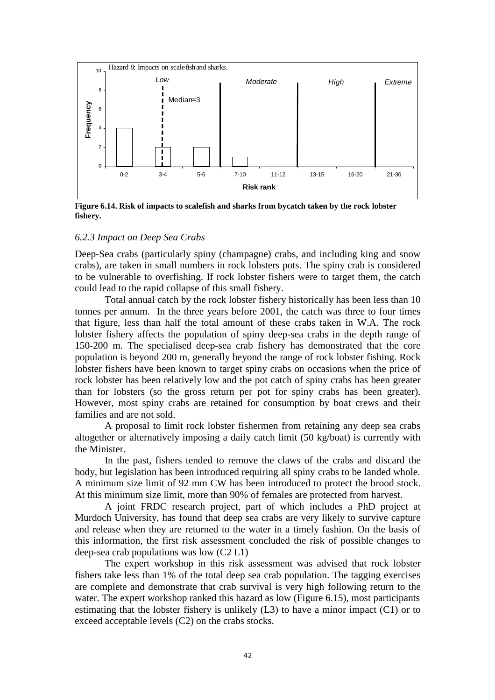

**Figure 6.14. Risk of impacts to scalefish and sharks from bycatch taken by the rock lobster fishery.** 

### *6.2.3 Impact on Deep Sea Crabs*

Deep-Sea crabs (particularly spiny (champagne) crabs, and including king and snow crabs), are taken in small numbers in rock lobsters pots. The spiny crab is considered to be vulnerable to overfishing. If rock lobster fishers were to target them, the catch could lead to the rapid collapse of this small fishery.

Total annual catch by the rock lobster fishery historically has been less than 10 tonnes per annum. In the three years before 2001, the catch was three to four times that figure, less than half the total amount of these crabs taken in W.A. The rock lobster fishery affects the population of spiny deep-sea crabs in the depth range of 150-200 m. The specialised deep-sea crab fishery has demonstrated that the core population is beyond 200 m, generally beyond the range of rock lobster fishing. Rock lobster fishers have been known to target spiny crabs on occasions when the price of rock lobster has been relatively low and the pot catch of spiny crabs has been greater than for lobsters (so the gross return per pot for spiny crabs has been greater). However, most spiny crabs are retained for consumption by boat crews and their families and are not sold.

 A proposal to limit rock lobster fishermen from retaining any deep sea crabs altogether or alternatively imposing a daily catch limit (50 kg/boat) is currently with the Minister.

In the past, fishers tended to remove the claws of the crabs and discard the body, but legislation has been introduced requiring all spiny crabs to be landed whole. A minimum size limit of 92 mm CW has been introduced to protect the brood stock. At this minimum size limit, more than 90% of females are protected from harvest.

 A joint FRDC research project, part of which includes a PhD project at Murdoch University, has found that deep sea crabs are very likely to survive capture and release when they are returned to the water in a timely fashion. On the basis of this information, the first risk assessment concluded the risk of possible changes to deep-sea crab populations was low (C2 L1)

The expert workshop in this risk assessment was advised that rock lobster fishers take less than 1% of the total deep sea crab population. The tagging exercises are complete and demonstrate that crab survival is very high following return to the water. The expert workshop ranked this hazard as low (Figure 6.15), most participants estimating that the lobster fishery is unlikely (L3) to have a minor impact (C1) or to exceed acceptable levels (C2) on the crabs stocks.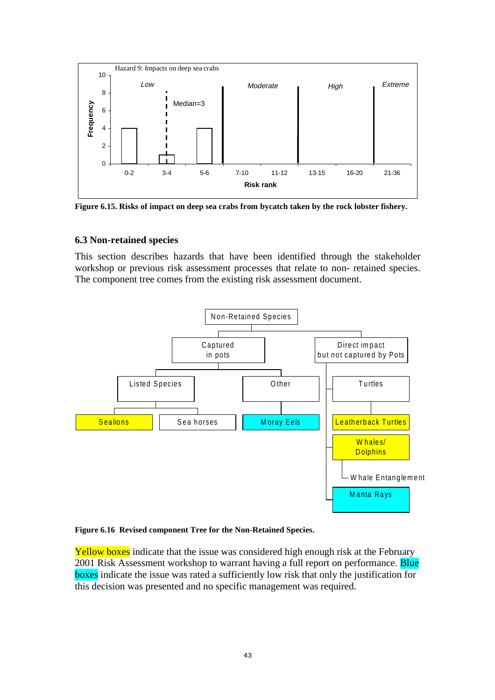

**Figure 6.15. Risks of impact on deep sea crabs from bycatch taken by the rock lobster fishery.**

## **6.3 Non-retained species**

This section describes hazards that have been identified through the stakeholder workshop or previous risk assessment processes that relate to non- retained species. The component tree comes from the existing risk assessment document.



### **Figure 6.16 Revised component Tree for the Non-Retained Species.**

Yellow boxes indicate that the issue was considered high enough risk at the February 2001 Risk Assessment workshop to warrant having a full report on performance. Blue boxes indicate the issue was rated a sufficiently low risk that only the justification for this decision was presented and no specific management was required.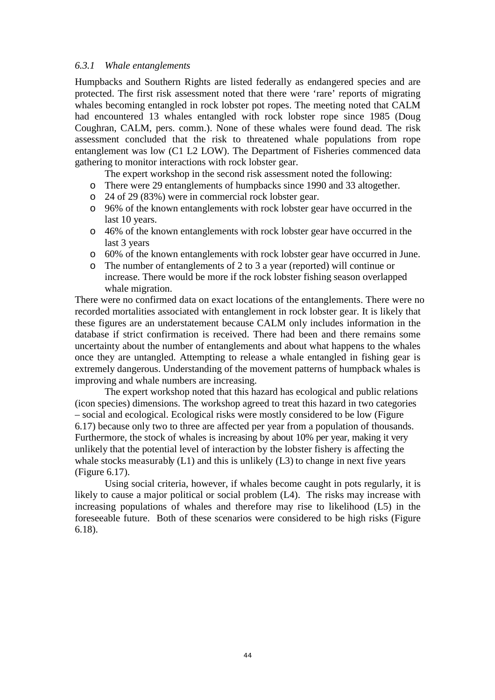## *6.3.1 Whale entanglements*

Humpbacks and Southern Rights are listed federally as endangered species and are protected. The first risk assessment noted that there were 'rare' reports of migrating whales becoming entangled in rock lobster pot ropes. The meeting noted that CALM had encountered 13 whales entangled with rock lobster rope since 1985 (Doug Coughran, CALM, pers. comm.). None of these whales were found dead. The risk assessment concluded that the risk to threatened whale populations from rope entanglement was low (C1 L2 LOW). The Department of Fisheries commenced data gathering to monitor interactions with rock lobster gear.

The expert workshop in the second risk assessment noted the following:

- o There were 29 entanglements of humpbacks since 1990 and 33 altogether.
- o 24 of 29 (83%) were in commercial rock lobster gear.
- o 96% of the known entanglements with rock lobster gear have occurred in the last 10 years.
- o 46% of the known entanglements with rock lobster gear have occurred in the last 3 years
- o 60% of the known entanglements with rock lobster gear have occurred in June.
- o The number of entanglements of 2 to 3 a year (reported) will continue or increase. There would be more if the rock lobster fishing season overlapped whale migration.

There were no confirmed data on exact locations of the entanglements. There were no recorded mortalities associated with entanglement in rock lobster gear. It is likely that these figures are an understatement because CALM only includes information in the database if strict confirmation is received. There had been and there remains some uncertainty about the number of entanglements and about what happens to the whales once they are untangled. Attempting to release a whale entangled in fishing gear is extremely dangerous. Understanding of the movement patterns of humpback whales is improving and whale numbers are increasing.

 The expert workshop noted that this hazard has ecological and public relations (icon species) dimensions. The workshop agreed to treat this hazard in two categories – social and ecological. Ecological risks were mostly considered to be low (Figure 6.17) because only two to three are affected per year from a population of thousands. Furthermore, the stock of whales is increasing by about 10% per year, making it very unlikely that the potential level of interaction by the lobster fishery is affecting the whale stocks measurably  $(L1)$  and this is unlikely  $(L3)$  to change in next five years (Figure 6.17).

Using social criteria, however, if whales become caught in pots regularly, it is likely to cause a major political or social problem (L4). The risks may increase with increasing populations of whales and therefore may rise to likelihood (L5) in the foreseeable future. Both of these scenarios were considered to be high risks (Figure 6.18).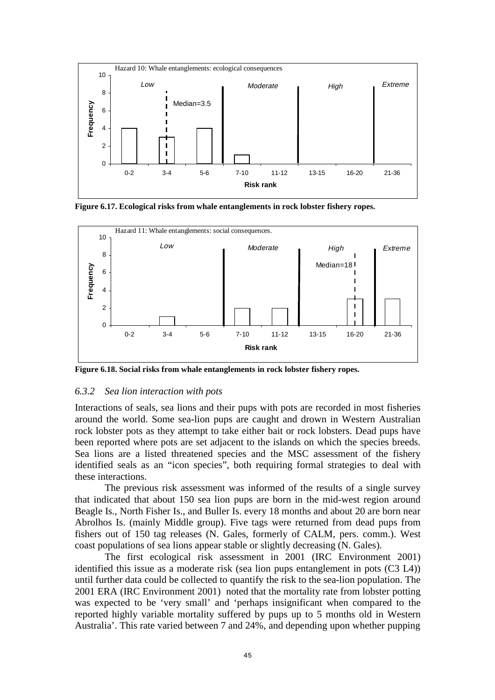

**Figure 6.17. Ecological risks from whale entanglements in rock lobster fishery ropes.** 



**Figure 6.18. Social risks from whale entanglements in rock lobster fishery ropes.** 

## *6.3.2 Sea lion interaction with pots*

Interactions of seals, sea lions and their pups with pots are recorded in most fisheries around the world. Some sea-lion pups are caught and drown in Western Australian rock lobster pots as they attempt to take either bait or rock lobsters. Dead pups have been reported where pots are set adjacent to the islands on which the species breeds. Sea lions are a listed threatened species and the MSC assessment of the fishery identified seals as an "icon species", both requiring formal strategies to deal with these interactions.

The previous risk assessment was informed of the results of a single survey that indicated that about 150 sea lion pups are born in the mid-west region around Beagle Is., North Fisher Is., and Buller Is. every 18 months and about 20 are born near Abrolhos Is. (mainly Middle group). Five tags were returned from dead pups from fishers out of 150 tag releases (N. Gales, formerly of CALM, pers. comm.). West coast populations of sea lions appear stable or slightly decreasing (N. Gales).

 The first ecological risk assessment in 2001 (IRC Environment 2001) identified this issue as a moderate risk (sea lion pups entanglement in pots (C3 L4)) until further data could be collected to quantify the risk to the sea-lion population. The 2001 ERA (IRC Environment 2001) noted that the mortality rate from lobster potting was expected to be 'very small' and 'perhaps insignificant when compared to the reported highly variable mortality suffered by pups up to 5 months old in Western Australia'. This rate varied between 7 and 24%, and depending upon whether pupping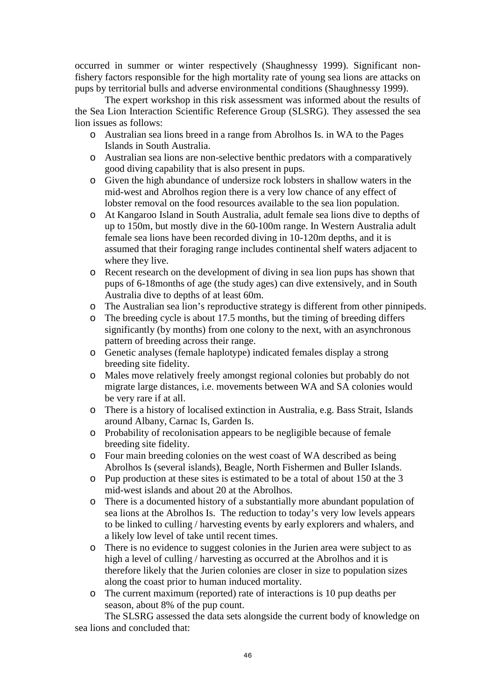occurred in summer or winter respectively (Shaughnessy 1999). Significant nonfishery factors responsible for the high mortality rate of young sea lions are attacks on pups by territorial bulls and adverse environmental conditions (Shaughnessy 1999).

 The expert workshop in this risk assessment was informed about the results of the Sea Lion Interaction Scientific Reference Group (SLSRG). They assessed the sea lion issues as follows:

- o Australian sea lions breed in a range from Abrolhos Is. in WA to the Pages Islands in South Australia.
- o Australian sea lions are non-selective benthic predators with a comparatively good diving capability that is also present in pups.
- o Given the high abundance of undersize rock lobsters in shallow waters in the mid-west and Abrolhos region there is a very low chance of any effect of lobster removal on the food resources available to the sea lion population.
- o At Kangaroo Island in South Australia, adult female sea lions dive to depths of up to 150m, but mostly dive in the 60-100m range. In Western Australia adult female sea lions have been recorded diving in 10-120m depths, and it is assumed that their foraging range includes continental shelf waters adjacent to where they live.
- o Recent research on the development of diving in sea lion pups has shown that pups of 6-18months of age (the study ages) can dive extensively, and in South Australia dive to depths of at least 60m.
- o The Australian sea lion's reproductive strategy is different from other pinnipeds.
- o The breeding cycle is about 17.5 months, but the timing of breeding differs significantly (by months) from one colony to the next, with an asynchronous pattern of breeding across their range.
- o Genetic analyses (female haplotype) indicated females display a strong breeding site fidelity.
- o Males move relatively freely amongst regional colonies but probably do not migrate large distances, i.e. movements between WA and SA colonies would be very rare if at all.
- o There is a history of localised extinction in Australia, e.g. Bass Strait, Islands around Albany, Carnac Is, Garden Is.
- o Probability of recolonisation appears to be negligible because of female breeding site fidelity.
- o Four main breeding colonies on the west coast of WA described as being Abrolhos Is (several islands), Beagle, North Fishermen and Buller Islands.
- o Pup production at these sites is estimated to be a total of about 150 at the 3 mid-west islands and about 20 at the Abrolhos.
- o There is a documented history of a substantially more abundant population of sea lions at the Abrolhos Is. The reduction to today's very low levels appears to be linked to culling / harvesting events by early explorers and whalers, and a likely low level of take until recent times.
- o There is no evidence to suggest colonies in the Jurien area were subject to as high a level of culling / harvesting as occurred at the Abrolhos and it is therefore likely that the Jurien colonies are closer in size to population sizes along the coast prior to human induced mortality.
- o The current maximum (reported) rate of interactions is 10 pup deaths per season, about 8% of the pup count.

The SLSRG assessed the data sets alongside the current body of knowledge on sea lions and concluded that: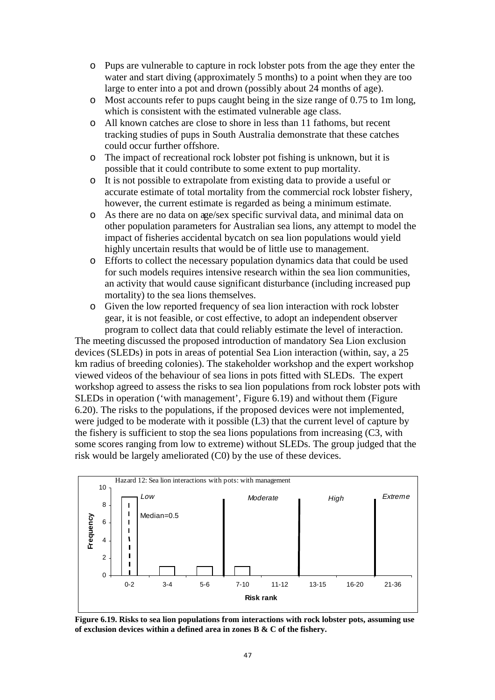- o Pups are vulnerable to capture in rock lobster pots from the age they enter the water and start diving (approximately 5 months) to a point when they are too large to enter into a pot and drown (possibly about 24 months of age).
- o Most accounts refer to pups caught being in the size range of 0.75 to 1m long, which is consistent with the estimated vulnerable age class.
- o All known catches are close to shore in less than 11 fathoms, but recent tracking studies of pups in South Australia demonstrate that these catches could occur further offshore.
- o The impact of recreational rock lobster pot fishing is unknown, but it is possible that it could contribute to some extent to pup mortality.
- o It is not possible to extrapolate from existing data to provide a useful or accurate estimate of total mortality from the commercial rock lobster fishery, however, the current estimate is regarded as being a minimum estimate.
- o As there are no data on age/sex specific survival data, and minimal data on other population parameters for Australian sea lions, any attempt to model the impact of fisheries accidental bycatch on sea lion populations would yield highly uncertain results that would be of little use to management.
- o Efforts to collect the necessary population dynamics data that could be used for such models requires intensive research within the sea lion communities, an activity that would cause significant disturbance (including increased pup mortality) to the sea lions themselves.
- o Given the low reported frequency of sea lion interaction with rock lobster gear, it is not feasible, or cost effective, to adopt an independent observer program to collect data that could reliably estimate the level of interaction.

The meeting discussed the proposed introduction of mandatory Sea Lion exclusion devices (SLEDs) in pots in areas of potential Sea Lion interaction (within, say, a 25 km radius of breeding colonies). The stakeholder workshop and the expert workshop viewed videos of the behaviour of sea lions in pots fitted with SLEDs. The expert workshop agreed to assess the risks to sea lion populations from rock lobster pots with SLEDs in operation ('with management', Figure 6.19) and without them (Figure 6.20). The risks to the populations, if the proposed devices were not implemented, were judged to be moderate with it possible (L3) that the current level of capture by the fishery is sufficient to stop the sea lions populations from increasing (C3, with some scores ranging from low to extreme) without SLEDs. The group judged that the risk would be largely ameliorated (C0) by the use of these devices.



**Figure 6.19. Risks to sea lion populations from interactions with rock lobster pots, assuming use of exclusion devices within a defined area in zones B & C of the fishery.**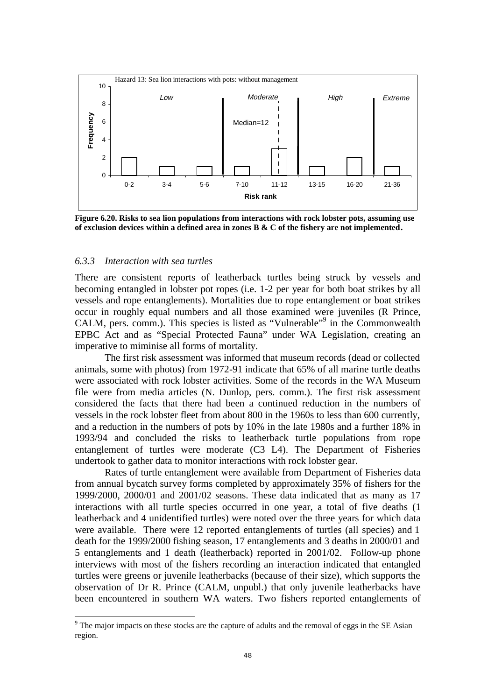

**Figure 6.20. Risks to sea lion populations from interactions with rock lobster pots, assuming use of exclusion devices within a defined area in zones B & C of the fishery are not implemented.** 

#### *6.3.3 Interaction with sea turtles*

 $\overline{a}$ 

There are consistent reports of leatherback turtles being struck by vessels and becoming entangled in lobster pot ropes (i.e. 1-2 per year for both boat strikes by all vessels and rope entanglements). Mortalities due to rope entanglement or boat strikes occur in roughly equal numbers and all those examined were juveniles (R Prince, CALM, pers. comm.). This species is listed as "Vulnerable"<sup>9</sup> in the Commonwealth EPBC Act and as "Special Protected Fauna" under WA Legislation, creating an imperative to miminise all forms of mortality.

 The first risk assessment was informed that museum records (dead or collected animals, some with photos) from 1972-91 indicate that 65% of all marine turtle deaths were associated with rock lobster activities. Some of the records in the WA Museum file were from media articles (N. Dunlop, pers. comm.). The first risk assessment considered the facts that there had been a continued reduction in the numbers of vessels in the rock lobster fleet from about 800 in the 1960s to less than 600 currently, and a reduction in the numbers of pots by 10% in the late 1980s and a further 18% in 1993/94 and concluded the risks to leatherback turtle populations from rope entanglement of turtles were moderate (C3 L4). The Department of Fisheries undertook to gather data to monitor interactions with rock lobster gear.

 Rates of turtle entanglement were available from Department of Fisheries data from annual bycatch survey forms completed by approximately 35% of fishers for the 1999/2000, 2000/01 and 2001/02 seasons. These data indicated that as many as 17 interactions with all turtle species occurred in one year, a total of five deaths (1 leatherback and 4 unidentified turtles) were noted over the three years for which data were available. There were 12 reported entanglements of turtles (all species) and 1 death for the 1999/2000 fishing season, 17 entanglements and 3 deaths in 2000/01 and 5 entanglements and 1 death (leatherback) reported in 2001/02. Follow-up phone interviews with most of the fishers recording an interaction indicated that entangled turtles were greens or juvenile leatherbacks (because of their size), which supports the observation of Dr R. Prince (CALM, unpubl.) that only juvenile leatherbacks have been encountered in southern WA waters. Two fishers reported entanglements of

 $9<sup>9</sup>$  The major impacts on these stocks are the capture of adults and the removal of eggs in the SE Asian region.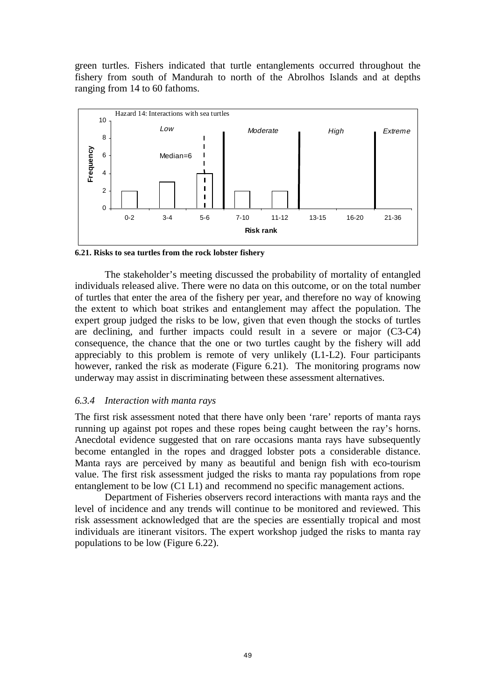green turtles. Fishers indicated that turtle entanglements occurred throughout the fishery from south of Mandurah to north of the Abrolhos Islands and at depths ranging from 14 to 60 fathoms.



**6.21. Risks to sea turtles from the rock lobster fishery** 

The stakeholder's meeting discussed the probability of mortality of entangled individuals released alive. There were no data on this outcome, or on the total number of turtles that enter the area of the fishery per year, and therefore no way of knowing the extent to which boat strikes and entanglement may affect the population. The expert group judged the risks to be low, given that even though the stocks of turtles are declining, and further impacts could result in a severe or major (C3-C4) consequence, the chance that the one or two turtles caught by the fishery will add appreciably to this problem is remote of very unlikely (L1-L2). Four participants however, ranked the risk as moderate (Figure 6.21). The monitoring programs now underway may assist in discriminating between these assessment alternatives.

### *6.3.4 Interaction with manta rays*

The first risk assessment noted that there have only been 'rare' reports of manta rays running up against pot ropes and these ropes being caught between the ray's horns. Anecdotal evidence suggested that on rare occasions manta rays have subsequently become entangled in the ropes and dragged lobster pots a considerable distance. Manta rays are perceived by many as beautiful and benign fish with eco-tourism value. The first risk assessment judged the risks to manta ray populations from rope entanglement to be low (C1 L1) and recommend no specific management actions.

Department of Fisheries observers record interactions with manta rays and the level of incidence and any trends will continue to be monitored and reviewed. This risk assessment acknowledged that are the species are essentially tropical and most individuals are itinerant visitors. The expert workshop judged the risks to manta ray populations to be low (Figure 6.22).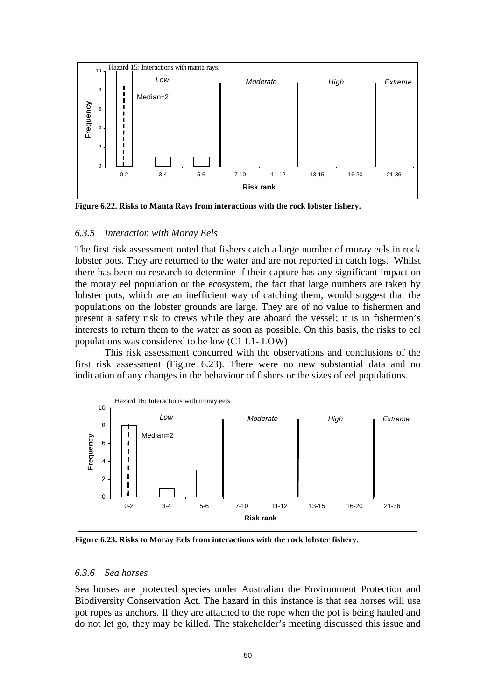

**Figure 6.22. Risks to Manta Rays from interactions with the rock lobster fishery.** 

## *6.3.5 Interaction with Moray Eels*

The first risk assessment noted that fishers catch a large number of moray eels in rock lobster pots. They are returned to the water and are not reported in catch logs. Whilst there has been no research to determine if their capture has any significant impact on the moray eel population or the ecosystem, the fact that large numbers are taken by lobster pots, which are an inefficient way of catching them, would suggest that the populations on the lobster grounds are large. They are of no value to fishermen and present a safety risk to crews while they are aboard the vessel; it is in fishermen's interests to return them to the water as soon as possible. On this basis, the risks to eel populations was considered to be low (C1 L1- LOW)

 This risk assessment concurred with the observations and conclusions of the first risk assessment (Figure 6.23). There were no new substantial data and no indication of any changes in the behaviour of fishers or the sizes of eel populations.



**Figure 6.23. Risks to Moray Eels from interactions with the rock lobster fishery.** 

### *6.3.6 Sea horses*

Sea horses are protected species under Australian the Environment Protection and Biodiversity Conservation Act. The hazard in this instance is that sea horses will use pot ropes as anchors. If they are attached to the rope when the pot is being hauled and do not let go, they may be killed. The stakeholder's meeting discussed this issue and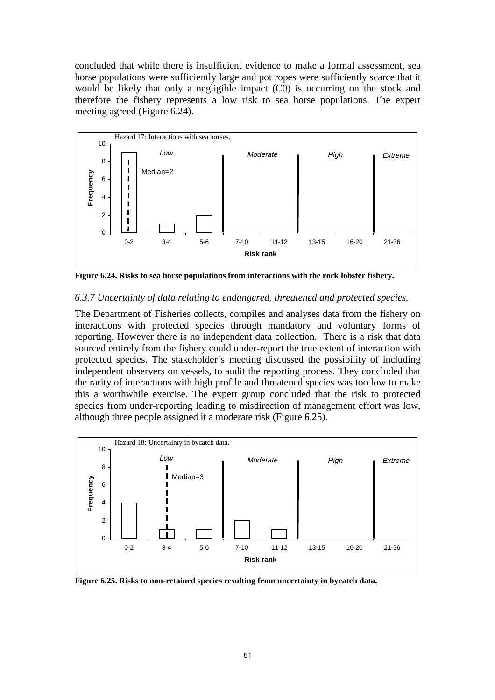concluded that while there is insufficient evidence to make a formal assessment, sea horse populations were sufficiently large and pot ropes were sufficiently scarce that it would be likely that only a negligible impact (C0) is occurring on the stock and therefore the fishery represents a low risk to sea horse populations. The expert meeting agreed (Figure 6.24).



**Figure 6.24. Risks to sea horse populations from interactions with the rock lobster fishery.** 

# *6.3.7 Uncertainty of data relating to endangered, threatened and protected species.*

The Department of Fisheries collects, compiles and analyses data from the fishery on interactions with protected species through mandatory and voluntary forms of reporting. However there is no independent data collection. There is a risk that data sourced entirely from the fishery could under-report the true extent of interaction with protected species. The stakeholder's meeting discussed the possibility of including independent observers on vessels, to audit the reporting process. They concluded that the rarity of interactions with high profile and threatened species was too low to make this a worthwhile exercise. The expert group concluded that the risk to protected species from under-reporting leading to misdirection of management effort was low, although three people assigned it a moderate risk (Figure 6.25).



**Figure 6.25. Risks to non-retained species resulting from uncertainty in bycatch data.**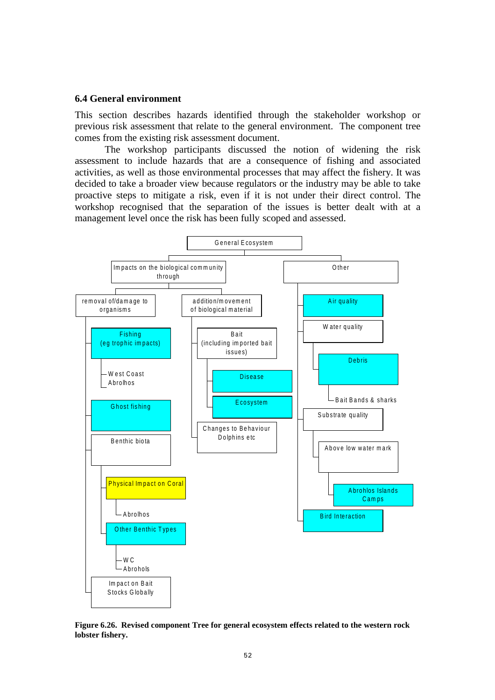#### **6.4 General environment**

This section describes hazards identified through the stakeholder workshop or previous risk assessment that relate to the general environment. The component tree comes from the existing risk assessment document.

 The workshop participants discussed the notion of widening the risk assessment to include hazards that are a consequence of fishing and associated activities, as well as those environmental processes that may affect the fishery. It was decided to take a broader view because regulators or the industry may be able to take proactive steps to mitigate a risk, even if it is not under their direct control. The workshop recognised that the separation of the issues is better dealt with at a management level once the risk has been fully scoped and assessed.



**Figure 6.26. Revised component Tree for general ecosystem effects related to the western rock lobster fishery.**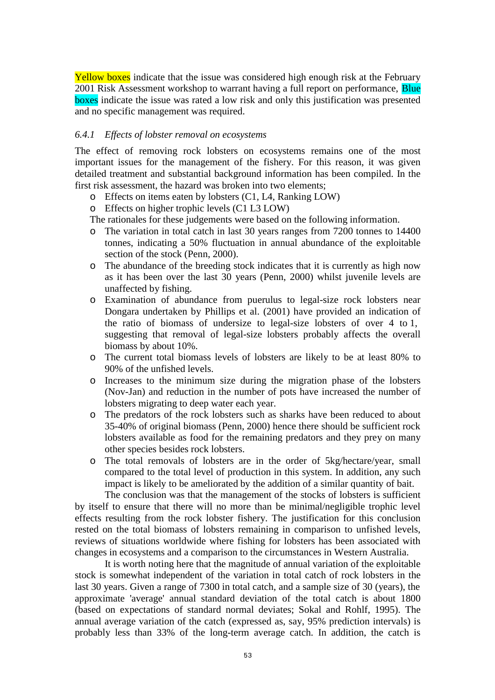Yellow boxes indicate that the issue was considered high enough risk at the February 2001 Risk Assessment workshop to warrant having a full report on performance. Blue boxes indicate the issue was rated a low risk and only this justification was presented and no specific management was required.

## *6.4.1 Effects of lobster removal on ecosystems*

The effect of removing rock lobsters on ecosystems remains one of the most important issues for the management of the fishery. For this reason, it was given detailed treatment and substantial background information has been compiled. In the first risk assessment, the hazard was broken into two elements;

- o Effects on items eaten by lobsters (C1, L4, Ranking LOW)
- o Effects on higher trophic levels (C1 L3 LOW)

The rationales for these judgements were based on the following information.

- o The variation in total catch in last 30 years ranges from 7200 tonnes to 14400 tonnes, indicating a 50% fluctuation in annual abundance of the exploitable section of the stock (Penn, 2000).
- o The abundance of the breeding stock indicates that it is currently as high now as it has been over the last 30 years (Penn, 2000) whilst juvenile levels are unaffected by fishing.
- o Examination of abundance from puerulus to legal-size rock lobsters near Dongara undertaken by Phillips et al. (2001) have provided an indication of the ratio of biomass of undersize to legal-size lobsters of over 4 to 1, suggesting that removal of legal-size lobsters probably affects the overall biomass by about 10%.
- o The current total biomass levels of lobsters are likely to be at least 80% to 90% of the unfished levels.
- o Increases to the minimum size during the migration phase of the lobsters (Nov-Jan) and reduction in the number of pots have increased the number of lobsters migrating to deep water each year.
- o The predators of the rock lobsters such as sharks have been reduced to about 35-40% of original biomass (Penn, 2000) hence there should be sufficient rock lobsters available as food for the remaining predators and they prey on many other species besides rock lobsters.
- o The total removals of lobsters are in the order of 5kg/hectare/year, small compared to the total level of production in this system. In addition, any such impact is likely to be ameliorated by the addition of a similar quantity of bait.

 The conclusion was that the management of the stocks of lobsters is sufficient by itself to ensure that there will no more than be minimal/negligible trophic level effects resulting from the rock lobster fishery. The justification for this conclusion rested on the total biomass of lobsters remaining in comparison to unfished levels, reviews of situations worldwide where fishing for lobsters has been associated with changes in ecosystems and a comparison to the circumstances in Western Australia.

It is worth noting here that the magnitude of annual variation of the exploitable stock is somewhat independent of the variation in total catch of rock lobsters in the last 30 years. Given a range of 7300 in total catch, and a sample size of 30 (years), the approximate 'average' annual standard deviation of the total catch is about 1800 (based on expectations of standard normal deviates; Sokal and Rohlf, 1995). The annual average variation of the catch (expressed as, say, 95% prediction intervals) is probably less than 33% of the long-term average catch. In addition, the catch is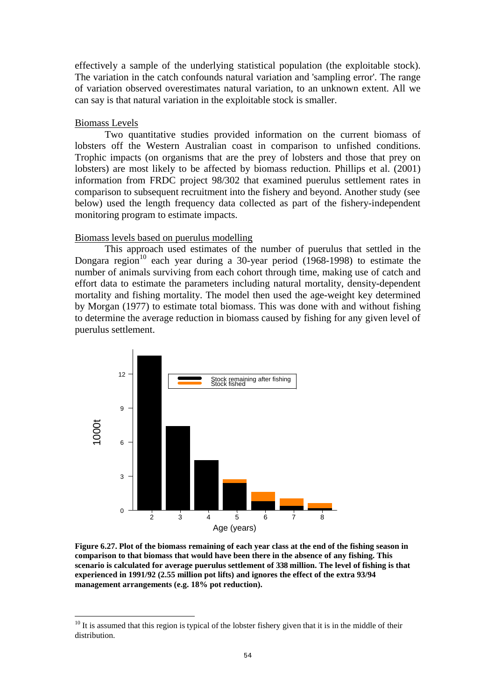effectively a sample of the underlying statistical population (the exploitable stock). The variation in the catch confounds natural variation and 'sampling error'. The range of variation observed overestimates natural variation, to an unknown extent. All we can say is that natural variation in the exploitable stock is smaller.

## Biomass Levels

 $\overline{a}$ 

Two quantitative studies provided information on the current biomass of lobsters off the Western Australian coast in comparison to unfished conditions. Trophic impacts (on organisms that are the prey of lobsters and those that prey on lobsters) are most likely to be affected by biomass reduction. Phillips et al. (2001) information from FRDC project 98/302 that examined puerulus settlement rates in comparison to subsequent recruitment into the fishery and beyond. Another study (see below) used the length frequency data collected as part of the fishery-independent monitoring program to estimate impacts.

#### Biomass levels based on puerulus modelling

This approach used estimates of the number of puerulus that settled in the Dongara region<sup>10</sup> each year during a 30-year period  $(1968-1998)$  to estimate the number of animals surviving from each cohort through time, making use of catch and effort data to estimate the parameters including natural mortality, density-dependent mortality and fishing mortality. The model then used the age-weight key determined by Morgan (1977) to estimate total biomass. This was done with and without fishing to determine the average reduction in biomass caused by fishing for any given level of puerulus settlement.



**Figure 6.27. Plot of the biomass remaining of each year class at the end of the fishing season in comparison to that biomass that would have been there in the absence of any fishing. This scenario is calculated for average puerulus settlement of 338 million. The level of fishing is that experienced in 1991/92 (2.55 million pot lifts) and ignores the effect of the extra 93/94 management arrangements (e.g. 18% pot reduction).** 

 $10$  It is assumed that this region is typical of the lobster fishery given that it is in the middle of their distribution.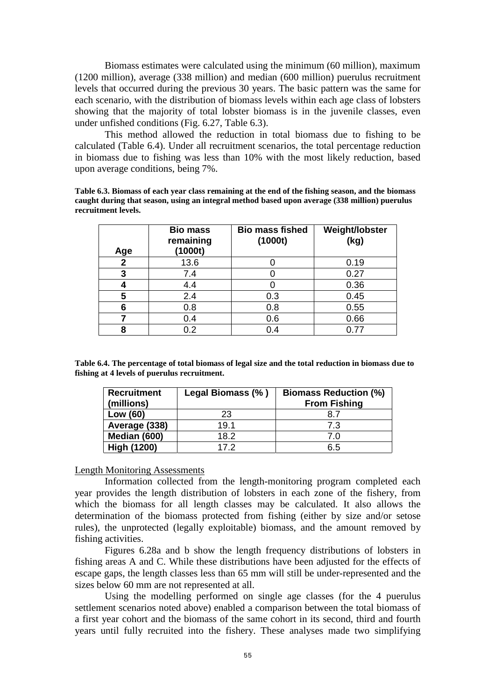Biomass estimates were calculated using the minimum (60 million), maximum (1200 million), average (338 million) and median (600 million) puerulus recruitment levels that occurred during the previous 30 years. The basic pattern was the same for each scenario, with the distribution of biomass levels within each age class of lobsters showing that the majority of total lobster biomass is in the juvenile classes, even under unfished conditions (Fig. 6.27, Table 6.3).

This method allowed the reduction in total biomass due to fishing to be calculated (Table 6.4). Under all recruitment scenarios, the total percentage reduction in biomass due to fishing was less than 10% with the most likely reduction, based upon average conditions, being 7%.

**Table 6.3. Biomass of each year class remaining at the end of the fishing season, and the biomass caught during that season, using an integral method based upon average (338 million) puerulus recruitment levels.** 

| Age | <b>Bio mass</b><br>remaining<br>(1000t) | <b>Bio mass fished</b><br>(1000t) | Weight/lobster<br>(kg) |
|-----|-----------------------------------------|-----------------------------------|------------------------|
| 2   | 13.6                                    |                                   | 0.19                   |
| 3   | 7.4                                     |                                   | 0.27                   |
|     | 4.4                                     |                                   | 0.36                   |
| 5   | 2.4                                     | 0.3                               | 0.45                   |
| 6   | 0.8                                     | 0.8                               | 0.55                   |
| 7   | 0.4                                     | 0.6                               | 0.66                   |
| 8   | 0.2                                     | 0.4                               | በ 77                   |

**Table 6.4. The percentage of total biomass of legal size and the total reduction in biomass due to fishing at 4 levels of puerulus recruitment.** 

| <b>Recruitment</b><br>(millions) | Legal Biomass (%) | <b>Biomass Reduction (%)</b><br><b>From Fishing</b> |
|----------------------------------|-------------------|-----------------------------------------------------|
| Low (60)                         | 23                | 8.7                                                 |
| Average (338)                    | 19.1              | 7.3                                                 |
| Median (600)                     | 18.2              | 7.0                                                 |
| <b>High (1200)</b>               | 17.2              | 6.5                                                 |

#### Length Monitoring Assessments

Information collected from the length-monitoring program completed each year provides the length distribution of lobsters in each zone of the fishery, from which the biomass for all length classes may be calculated. It also allows the determination of the biomass protected from fishing (either by size and/or setose rules), the unprotected (legally exploitable) biomass, and the amount removed by fishing activities.

Figures 6.28a and b show the length frequency distributions of lobsters in fishing areas A and C. While these distributions have been adjusted for the effects of escape gaps, the length classes less than 65 mm will still be under-represented and the sizes below 60 mm are not represented at all.

Using the modelling performed on single age classes (for the 4 puerulus settlement scenarios noted above) enabled a comparison between the total biomass of a first year cohort and the biomass of the same cohort in its second, third and fourth years until fully recruited into the fishery. These analyses made two simplifying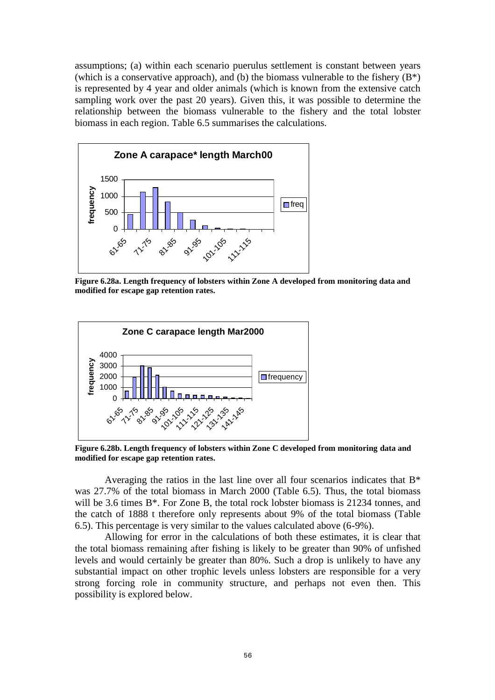assumptions; (a) within each scenario puerulus settlement is constant between years (which is a conservative approach), and (b) the biomass vulnerable to the fishery  $(B^*)$ is represented by 4 year and older animals (which is known from the extensive catch sampling work over the past 20 years). Given this, it was possible to determine the relationship between the biomass vulnerable to the fishery and the total lobster biomass in each region. Table 6.5 summarises the calculations.



**Figure 6.28a. Length frequency of lobsters within Zone A developed from monitoring data and modified for escape gap retention rates.** 



**Figure 6.28b. Length frequency of lobsters within Zone C developed from monitoring data and modified for escape gap retention rates.** 

Averaging the ratios in the last line over all four scenarios indicates that B\* was 27.7% of the total biomass in March 2000 (Table 6.5). Thus, the total biomass will be 3.6 times B<sup>\*</sup>. For Zone B, the total rock lobster biomass is 21234 tonnes, and the catch of 1888 t therefore only represents about 9% of the total biomass (Table 6.5). This percentage is very similar to the values calculated above (6-9%).

Allowing for error in the calculations of both these estimates, it is clear that the total biomass remaining after fishing is likely to be greater than 90% of unfished levels and would certainly be greater than 80%. Such a drop is unlikely to have any substantial impact on other trophic levels unless lobsters are responsible for a very strong forcing role in community structure, and perhaps not even then. This possibility is explored below.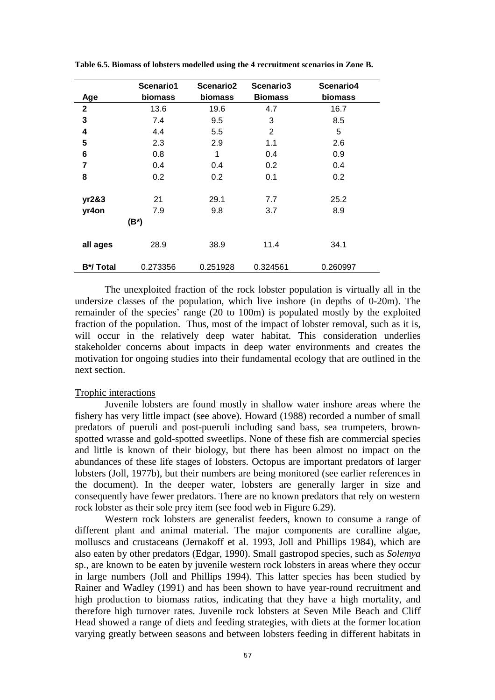| Age          | Scenario1<br>biomass | Scenario2<br>biomass | Scenario3<br><b>Biomass</b> | Scenario4<br>biomass |
|--------------|----------------------|----------------------|-----------------------------|----------------------|
| $\mathbf{2}$ | 13.6                 | 19.6                 | 4.7                         | 16.7                 |
| 3            | 7.4                  | 9.5                  | 3                           | 8.5                  |
| 4            | 4.4                  | 5.5                  | 2                           | 5                    |
| 5            | 2.3                  | 2.9                  | 1.1                         | 2.6                  |
| 6            | 0.8                  | 1                    | 0.4                         | 0.9                  |
| 7            | 0.4                  | 0.4                  | 0.2                         | 0.4                  |
| 8            | 0.2                  | 0.2                  | 0.1                         | 0.2                  |
| yr2&3        | 21                   | 29.1                 | 7.7                         | 25.2                 |
| yr4on        | 7.9                  | 9.8                  | 3.7                         | 8.9                  |
|              | $(B^*)$              |                      |                             |                      |
| all ages     | 28.9                 | 38.9                 | 11.4                        | 34.1                 |
| B*/Total     | 0.273356             | 0.251928             | 0.324561                    | 0.260997             |

**Table 6.5. Biomass of lobsters modelled using the 4 recruitment scenarios in Zone B.** 

The unexploited fraction of the rock lobster population is virtually all in the undersize classes of the population, which live inshore (in depths of 0-20m). The remainder of the species' range (20 to 100m) is populated mostly by the exploited fraction of the population. Thus, most of the impact of lobster removal, such as it is, will occur in the relatively deep water habitat. This consideration underlies stakeholder concerns about impacts in deep water environments and creates the motivation for ongoing studies into their fundamental ecology that are outlined in the next section.

#### Trophic interactions

Juvenile lobsters are found mostly in shallow water inshore areas where the fishery has very little impact (see above). Howard (1988) recorded a number of small predators of pueruli and post-pueruli including sand bass, sea trumpeters, brownspotted wrasse and gold-spotted sweetlips. None of these fish are commercial species and little is known of their biology, but there has been almost no impact on the abundances of these life stages of lobsters. Octopus are important predators of larger lobsters (Joll, 1977b), but their numbers are being monitored (see earlier references in the document). In the deeper water, lobsters are generally larger in size and consequently have fewer predators. There are no known predators that rely on western rock lobster as their sole prey item (see food web in Figure 6.29).

Western rock lobsters are generalist feeders, known to consume a range of different plant and animal material. The major components are coralline algae, molluscs and crustaceans (Jernakoff et al. 1993, Joll and Phillips 1984), which are also eaten by other predators (Edgar, 1990). Small gastropod species, such as *Solemya* sp., are known to be eaten by juvenile western rock lobsters in areas where they occur in large numbers (Joll and Phillips 1994). This latter species has been studied by Rainer and Wadley (1991) and has been shown to have year-round recruitment and high production to biomass ratios, indicating that they have a high mortality, and therefore high turnover rates. Juvenile rock lobsters at Seven Mile Beach and Cliff Head showed a range of diets and feeding strategies, with diets at the former location varying greatly between seasons and between lobsters feeding in different habitats in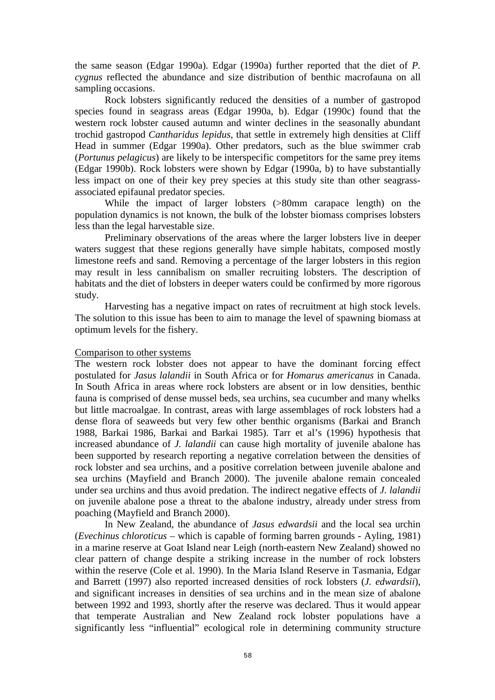the same season (Edgar 1990a). Edgar (1990a) further reported that the diet of *P. cygnus* reflected the abundance and size distribution of benthic macrofauna on all sampling occasions.

 Rock lobsters significantly reduced the densities of a number of gastropod species found in seagrass areas (Edgar 1990a, b). Edgar (1990c) found that the western rock lobster caused autumn and winter declines in the seasonally abundant trochid gastropod *Cantharidus lepidus*, that settle in extremely high densities at Cliff Head in summer (Edgar 1990a). Other predators, such as the blue swimmer crab (*Portunus pelagicus*) are likely to be interspecific competitors for the same prey items (Edgar 1990b). Rock lobsters were shown by Edgar (1990a, b) to have substantially less impact on one of their key prey species at this study site than other seagrassassociated epifaunal predator species.

 While the impact of larger lobsters (>80mm carapace length) on the population dynamics is not known, the bulk of the lobster biomass comprises lobsters less than the legal harvestable size.

Preliminary observations of the areas where the larger lobsters live in deeper waters suggest that these regions generally have simple habitats, composed mostly limestone reefs and sand. Removing a percentage of the larger lobsters in this region may result in less cannibalism on smaller recruiting lobsters. The description of habitats and the diet of lobsters in deeper waters could be confirmed by more rigorous study.

 Harvesting has a negative impact on rates of recruitment at high stock levels. The solution to this issue has been to aim to manage the level of spawning biomass at optimum levels for the fishery.

### Comparison to other systems

The western rock lobster does not appear to have the dominant forcing effect postulated for *Jasus lalandii* in South Africa or for *Homarus americanus* in Canada. In South Africa in areas where rock lobsters are absent or in low densities, benthic fauna is comprised of dense mussel beds, sea urchins, sea cucumber and many whelks but little macroalgae. In contrast, areas with large assemblages of rock lobsters had a dense flora of seaweeds but very few other benthic organisms (Barkai and Branch 1988, Barkai 1986, Barkai and Barkai 1985). Tarr et al's (1996) hypothesis that increased abundance of *J. lalandii* can cause high mortality of juvenile abalone has been supported by research reporting a negative correlation between the densities of rock lobster and sea urchins, and a positive correlation between juvenile abalone and sea urchins (Mayfield and Branch 2000). The juvenile abalone remain concealed under sea urchins and thus avoid predation. The indirect negative effects of *J. lalandii* on juvenile abalone pose a threat to the abalone industry, already under stress from poaching (Mayfield and Branch 2000).

 In New Zealand, the abundance of *Jasus edwardsii* and the local sea urchin (*Evechinus chloroticus* – which is capable of forming barren grounds - Ayling, 1981) in a marine reserve at Goat Island near Leigh (north-eastern New Zealand) showed no clear pattern of change despite a striking increase in the number of rock lobsters within the reserve (Cole et al. 1990). In the Maria Island Reserve in Tasmania, Edgar and Barrett (1997) also reported increased densities of rock lobsters (*J. edwardsii*), and significant increases in densities of sea urchins and in the mean size of abalone between 1992 and 1993, shortly after the reserve was declared. Thus it would appear that temperate Australian and New Zealand rock lobster populations have a significantly less "influential" ecological role in determining community structure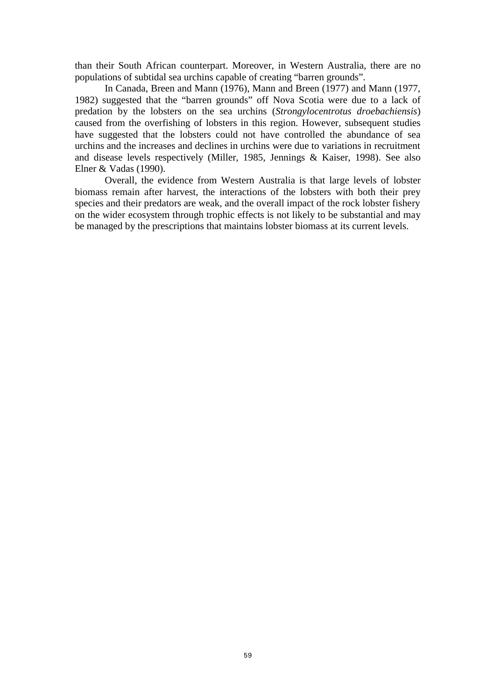than their South African counterpart. Moreover, in Western Australia, there are no populations of subtidal sea urchins capable of creating "barren grounds".

 In Canada, Breen and Mann (1976), Mann and Breen (1977) and Mann (1977, 1982) suggested that the "barren grounds" off Nova Scotia were due to a lack of predation by the lobsters on the sea urchins (*Strongylocentrotus droebachiensis*) caused from the overfishing of lobsters in this region. However, subsequent studies have suggested that the lobsters could not have controlled the abundance of sea urchins and the increases and declines in urchins were due to variations in recruitment and disease levels respectively (Miller, 1985, Jennings & Kaiser, 1998). See also Elner & Vadas (1990).

 Overall, the evidence from Western Australia is that large levels of lobster biomass remain after harvest, the interactions of the lobsters with both their prey species and their predators are weak, and the overall impact of the rock lobster fishery on the wider ecosystem through trophic effects is not likely to be substantial and may be managed by the prescriptions that maintains lobster biomass at its current levels.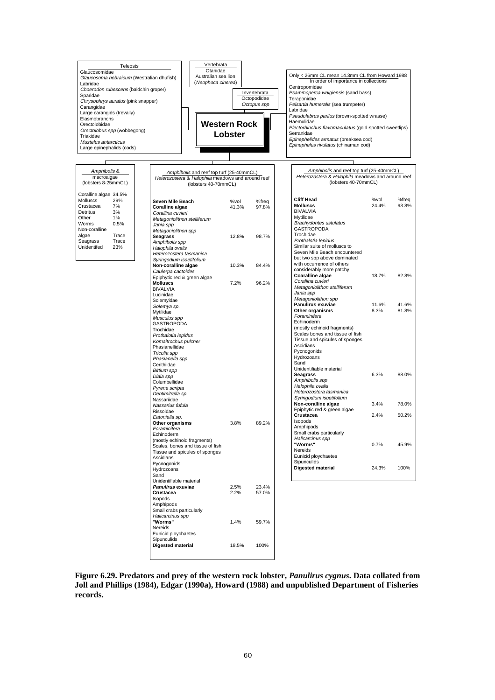

| Seven Mile Beach                 | %vol  | %freq | <b>Cliff Head</b>               | %vol  | %freq |
|----------------------------------|-------|-------|---------------------------------|-------|-------|
| <b>Coralline algae</b>           | 41.3% | 97.8% | <b>Molluscs</b>                 | 24.4% | 93.8% |
| Corallina cuvieri                |       |       | <b>BIVALVIA</b>                 |       |       |
| Metagoniolithon stelliferum      |       |       | Mytilidae                       |       |       |
| Jania spp                        |       |       | Brachydontes ustulatus          |       |       |
| Metagoniolithon spp              |       |       | <b>GASTROPODA</b>               |       |       |
| <b>Seagrass</b>                  | 12.8% | 98.7% | Trochidae                       |       |       |
| Amphibolis spp                   |       |       | Prothalotia lepidus             |       |       |
| Halophila ovalis                 |       |       | Similar suite of molluscs to    |       |       |
| Heterozostera tasmanica          |       |       | Seven Mile Beach encountered    |       |       |
| Syringodium isoetifolium         |       |       | but two spp above dominated     |       |       |
| Non-coralline algae              | 10.3% | 84.4% | with occurrence of others       |       |       |
| Caulerpa cactoides               |       |       | considerably more patchy        |       |       |
| Epiphytic red & green algae      |       |       | Coaralline algae                | 18.7% | 82.8% |
| <b>Molluscs</b>                  | 7.2%  | 96.2% | Corallina cuvieri               |       |       |
| <b>BIVALVIA</b>                  |       |       | Metagoniolithon stelliferum     |       |       |
| Lucinidae                        |       |       | Jania spp                       |       |       |
| Solemyidae                       |       |       | Metagoniolithon spp             |       |       |
| Solemya sp.                      |       |       | Panulirus exuviae               | 11.6% | 41.6% |
| Mytilidae                        |       |       | Other organisms                 | 8.3%  | 81.8% |
| Musculus spp                     |       |       | Foraminifera                    |       |       |
| <b>GASTROPODA</b>                |       |       | Echinoderm                      |       |       |
| Trochidae                        |       |       | (mostly echinoid fragments)     |       |       |
| Prothalotia lepidus              |       |       | Scales bones and tissue of fish |       |       |
| Komaitrochus pulcher             |       |       | Tissue and spicules of sponges  |       |       |
| Phasianellidae                   |       |       | Ascidians                       |       |       |
| Tricolia spp                     |       |       | Pycnogonids                     |       |       |
|                                  |       |       | Hydrozoans                      |       |       |
| Phasianella spp                  |       |       | Sand                            |       |       |
| Cerithiidae                      |       |       | Unidentifiable material         |       |       |
| <b>Bittium</b> spp               |       |       | Seagrass                        | 6.3%  | 88.0% |
| Diala spp                        |       |       | Amphibolis spp                  |       |       |
| Columbellidae                    |       |       | Halophila ovalis                |       |       |
| Pyrene scripta                   |       |       | Heterozostera tasmanica         |       |       |
| Dentimitrella sp.                |       |       | Syringodium isoetifolium        |       |       |
| Nassariidae                      |       |       | Non-coralline algae             | 3.4%  | 78.0% |
| Nassarius fufula                 |       |       | Epiphytic red & green algae     |       |       |
| Rissoidae                        |       |       | Crustacea                       | 2.4%  | 50.2% |
| Eatoniella sp.                   |       |       | Isopods                         |       |       |
| Other organisms                  | 3.8%  | 89.2% | Amphipods                       |       |       |
| Foraminifera                     |       |       | Small crabs particularly        |       |       |
| Echinoderm                       |       |       | Halicarcinus spp                |       |       |
| (mostly echinoid fragments)      |       |       | "Worms"                         | 0.7%  | 45.9% |
| Scales, bones and tissue of fish |       |       | Nereids                         |       |       |
| Tissue and spicules of sponges   |       |       |                                 |       |       |
| Ascidians                        |       |       | Eunicid ploychaetes             |       |       |
| Pycnogonids                      |       |       | Sipunculids                     |       |       |
| Hydrozoans                       |       |       | <b>Digested material</b>        | 24.3% | 100%  |
| Sand                             |       |       |                                 |       |       |
| Unidentifiable material          |       |       |                                 |       |       |
| Panulirus exuviae                | 2.5%  | 23.4% |                                 |       |       |
| Crustacea                        | 2.2%  | 57.0% |                                 |       |       |
| Isopods                          |       |       |                                 |       |       |
| Amphipods                        |       |       |                                 |       |       |
| Small crabs particularly         |       |       |                                 |       |       |
| Halicarcinus spp                 |       |       |                                 |       |       |
| "Worms"                          | 1.4%  | 59.7% |                                 |       |       |
| Nereids                          |       |       |                                 |       |       |
| Eunicid ploychaetes              |       |       |                                 |       |       |
| Sipunculids                      |       |       |                                 |       |       |

**Figure 6.29. Predators and prey of the western rock lobster,** *Panulirus cygnus***. Data collated from Joll and Phillips (1984), Edgar (1990a), Howard (1988) and unpublished Department of Fisheries records.** 

**Digested material** 18.5% 100%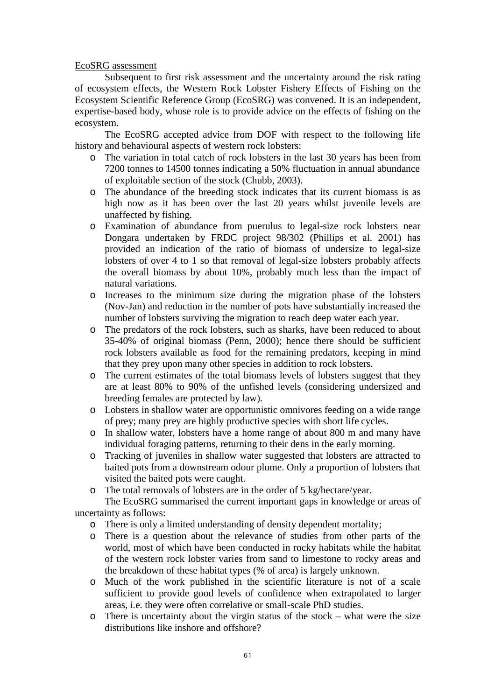## EcoSRG assessment

Subsequent to first risk assessment and the uncertainty around the risk rating of ecosystem effects, the Western Rock Lobster Fishery Effects of Fishing on the Ecosystem Scientific Reference Group (EcoSRG) was convened. It is an independent, expertise-based body, whose role is to provide advice on the effects of fishing on the ecosystem.

 The EcoSRG accepted advice from DOF with respect to the following life history and behavioural aspects of western rock lobsters:

- o The variation in total catch of rock lobsters in the last 30 years has been from 7200 tonnes to 14500 tonnes indicating a 50% fluctuation in annual abundance of exploitable section of the stock (Chubb, 2003).
- o The abundance of the breeding stock indicates that its current biomass is as high now as it has been over the last 20 years whilst juvenile levels are unaffected by fishing.
- o Examination of abundance from puerulus to legal-size rock lobsters near Dongara undertaken by FRDC project 98/302 (Phillips et al. 2001) has provided an indication of the ratio of biomass of undersize to legal-size lobsters of over 4 to 1 so that removal of legal-size lobsters probably affects the overall biomass by about 10%, probably much less than the impact of natural variations.
- o Increases to the minimum size during the migration phase of the lobsters (Nov-Jan) and reduction in the number of pots have substantially increased the number of lobsters surviving the migration to reach deep water each year.
- o The predators of the rock lobsters, such as sharks, have been reduced to about 35-40% of original biomass (Penn, 2000); hence there should be sufficient rock lobsters available as food for the remaining predators, keeping in mind that they prey upon many other species in addition to rock lobsters.
- o The current estimates of the total biomass levels of lobsters suggest that they are at least 80% to 90% of the unfished levels (considering undersized and breeding females are protected by law).
- o Lobsters in shallow water are opportunistic omnivores feeding on a wide range of prey; many prey are highly productive species with short life cycles.
- o In shallow water, lobsters have a home range of about 800 m and many have individual foraging patterns, returning to their dens in the early morning.
- o Tracking of juveniles in shallow water suggested that lobsters are attracted to baited pots from a downstream odour plume. Only a proportion of lobsters that visited the baited pots were caught.
- o The total removals of lobsters are in the order of 5 kg/hectare/year.

The EcoSRG summarised the current important gaps in knowledge or areas of uncertainty as follows:

- o There is only a limited understanding of density dependent mortality;
- o There is a question about the relevance of studies from other parts of the world, most of which have been conducted in rocky habitats while the habitat of the western rock lobster varies from sand to limestone to rocky areas and the breakdown of these habitat types (% of area) is largely unknown.
- o Much of the work published in the scientific literature is not of a scale sufficient to provide good levels of confidence when extrapolated to larger areas, i.e. they were often correlative or small-scale PhD studies.
- o There is uncertainty about the virgin status of the stock what were the size distributions like inshore and offshore?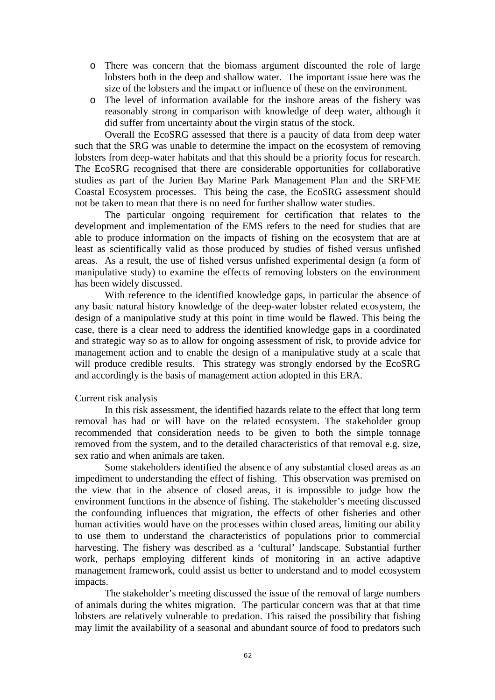- o There was concern that the biomass argument discounted the role of large lobsters both in the deep and shallow water. The important issue here was the size of the lobsters and the impact or influence of these on the environment.
- o The level of information available for the inshore areas of the fishery was reasonably strong in comparison with knowledge of deep water, although it did suffer from uncertainty about the virgin status of the stock.

 Overall the EcoSRG assessed that there is a paucity of data from deep water such that the SRG was unable to determine the impact on the ecosystem of removing lobsters from deep-water habitats and that this should be a priority focus for research. The EcoSRG recognised that there are considerable opportunities for collaborative studies as part of the Jurien Bay Marine Park Management Plan and the SRFME Coastal Ecosystem processes. This being the case, the EcoSRG assessment should not be taken to mean that there is no need for further shallow water studies.

The particular ongoing requirement for certification that relates to the development and implementation of the EMS refers to the need for studies that are able to produce information on the impacts of fishing on the ecosystem that are at least as scientifically valid as those produced by studies of fished versus unfished areas. As a result, the use of fished versus unfished experimental design (a form of manipulative study) to examine the effects of removing lobsters on the environment has been widely discussed.

With reference to the identified knowledge gaps, in particular the absence of any basic natural history knowledge of the deep-water lobster related ecosystem, the design of a manipulative study at this point in time would be flawed. This being the case, there is a clear need to address the identified knowledge gaps in a coordinated and strategic way so as to allow for ongoing assessment of risk, to provide advice for management action and to enable the design of a manipulative study at a scale that will produce credible results. This strategy was strongly endorsed by the EcoSRG and accordingly is the basis of management action adopted in this ERA.

#### Current risk analysis

In this risk assessment, the identified hazards relate to the effect that long term removal has had or will have on the related ecosystem. The stakeholder group recommended that consideration needs to be given to both the simple tonnage removed from the system, and to the detailed characteristics of that removal e.g. size, sex ratio and when animals are taken.

Some stakeholders identified the absence of any substantial closed areas as an impediment to understanding the effect of fishing. This observation was premised on the view that in the absence of closed areas, it is impossible to judge how the environment functions in the absence of fishing. The stakeholder's meeting discussed the confounding influences that migration, the effects of other fisheries and other human activities would have on the processes within closed areas, limiting our ability to use them to understand the characteristics of populations prior to commercial harvesting. The fishery was described as a 'cultural' landscape. Substantial further work, perhaps employing different kinds of monitoring in an active adaptive management framework, could assist us better to understand and to model ecosystem impacts.

 The stakeholder's meeting discussed the issue of the removal of large numbers of animals during the whites migration. The particular concern was that at that time lobsters are relatively vulnerable to predation. This raised the possibility that fishing may limit the availability of a seasonal and abundant source of food to predators such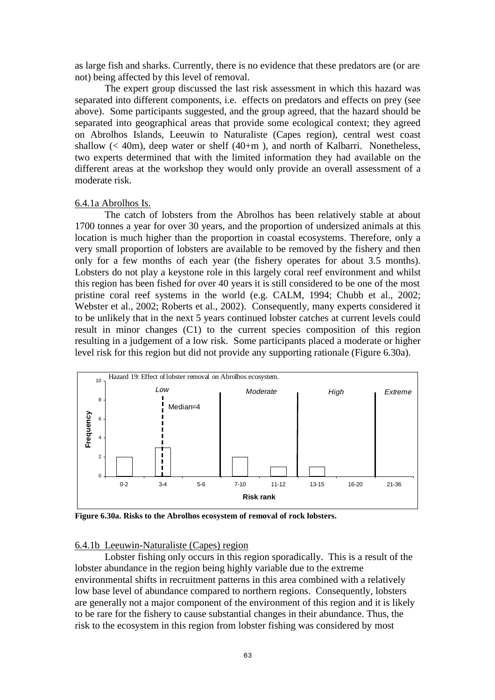as large fish and sharks. Currently, there is no evidence that these predators are (or are not) being affected by this level of removal.

The expert group discussed the last risk assessment in which this hazard was separated into different components, i.e. effects on predators and effects on prey (see above). Some participants suggested, and the group agreed, that the hazard should be separated into geographical areas that provide some ecological context; they agreed on Abrolhos Islands, Leeuwin to Naturaliste (Capes region), central west coast shallow  $\ll$  40m), deep water or shelf (40+m), and north of Kalbarri. Nonetheless, two experts determined that with the limited information they had available on the different areas at the workshop they would only provide an overall assessment of a moderate risk.

#### 6.4.1a Abrolhos Is.

The catch of lobsters from the Abrolhos has been relatively stable at about 1700 tonnes a year for over 30 years, and the proportion of undersized animals at this location is much higher than the proportion in coastal ecosystems. Therefore, only a very small proportion of lobsters are available to be removed by the fishery and then only for a few months of each year (the fishery operates for about 3.5 months). Lobsters do not play a keystone role in this largely coral reef environment and whilst this region has been fished for over 40 years it is still considered to be one of the most pristine coral reef systems in the world (e.g. CALM, 1994; Chubb et al., 2002; Webster et al., 2002; Roberts et al., 2002). Consequently, many experts considered it to be unlikely that in the next 5 years continued lobster catches at current levels could result in minor changes (C1) to the current species composition of this region resulting in a judgement of a low risk. Some participants placed a moderate or higher level risk for this region but did not provide any supporting rationale (Figure 6.30a).



**Figure 6.30a. Risks to the Abrolhos ecosystem of removal of rock lobsters.** 

#### 6.4.1b Leeuwin-Naturaliste (Capes) region

Lobster fishing only occurs in this region sporadically. This is a result of the lobster abundance in the region being highly variable due to the extreme environmental shifts in recruitment patterns in this area combined with a relatively low base level of abundance compared to northern regions. Consequently, lobsters are generally not a major component of the environment of this region and it is likely to be rare for the fishery to cause substantial changes in their abundance. Thus, the risk to the ecosystem in this region from lobster fishing was considered by most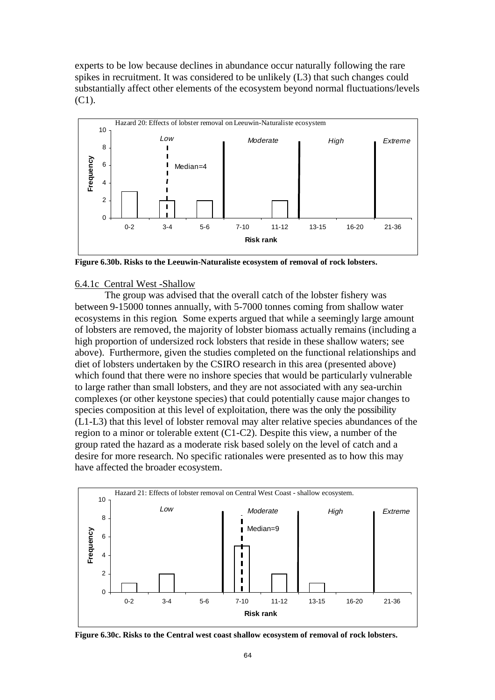experts to be low because declines in abundance occur naturally following the rare spikes in recruitment. It was considered to be unlikely (L3) that such changes could substantially affect other elements of the ecosystem beyond normal fluctuations/levels (C1).



**Figure 6.30b. Risks to the Leeuwin-Naturaliste ecosystem of removal of rock lobsters.** 

#### 6.4.1c Central West -Shallow

The group was advised that the overall catch of the lobster fishery was between 9-15000 tonnes annually, with 5-7000 tonnes coming from shallow water ecosystems in this region. Some experts argued that while a seemingly large amount of lobsters are removed, the majority of lobster biomass actually remains (including a high proportion of undersized rock lobsters that reside in these shallow waters; see above). Furthermore, given the studies completed on the functional relationships and diet of lobsters undertaken by the CSIRO research in this area (presented above) which found that there were no inshore species that would be particularly vulnerable to large rather than small lobsters, and they are not associated with any sea-urchin complexes (or other keystone species) that could potentially cause major changes to species composition at this level of exploitation, there was the only the possibility (L1-L3) that this level of lobster removal may alter relative species abundances of the region to a minor or tolerable extent (C1-C2). Despite this view, a number of the group rated the hazard as a moderate risk based solely on the level of catch and a desire for more research. No specific rationales were presented as to how this may have affected the broader ecosystem.



**Figure 6.30c. Risks to the Central west coast shallow ecosystem of removal of rock lobsters.**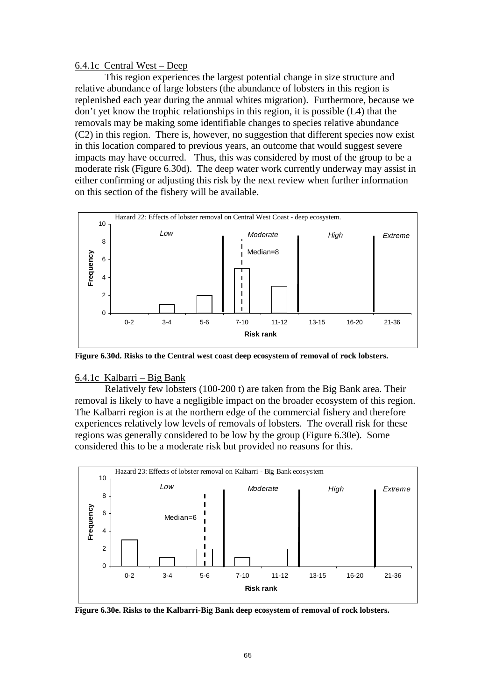## 6.4.1c Central West – Deep

This region experiences the largest potential change in size structure and relative abundance of large lobsters (the abundance of lobsters in this region is replenished each year during the annual whites migration). Furthermore, because we don't yet know the trophic relationships in this region, it is possible (L4) that the removals may be making some identifiable changes to species relative abundance (C2) in this region. There is, however, no suggestion that different species now exist in this location compared to previous years, an outcome that would suggest severe impacts may have occurred. Thus, this was considered by most of the group to be a moderate risk (Figure 6.30d). The deep water work currently underway may assist in either confirming or adjusting this risk by the next review when further information on this section of the fishery will be available.



**Figure 6.30d. Risks to the Central west coast deep ecosystem of removal of rock lobsters.** 

### 6.4.1c Kalbarri – Big Bank

Relatively few lobsters (100-200 t) are taken from the Big Bank area. Their removal is likely to have a negligible impact on the broader ecosystem of this region. The Kalbarri region is at the northern edge of the commercial fishery and therefore experiences relatively low levels of removals of lobsters. The overall risk for these regions was generally considered to be low by the group (Figure 6.30e). Some considered this to be a moderate risk but provided no reasons for this.



**Figure 6.30e. Risks to the Kalbarri-Big Bank deep ecosystem of removal of rock lobsters.**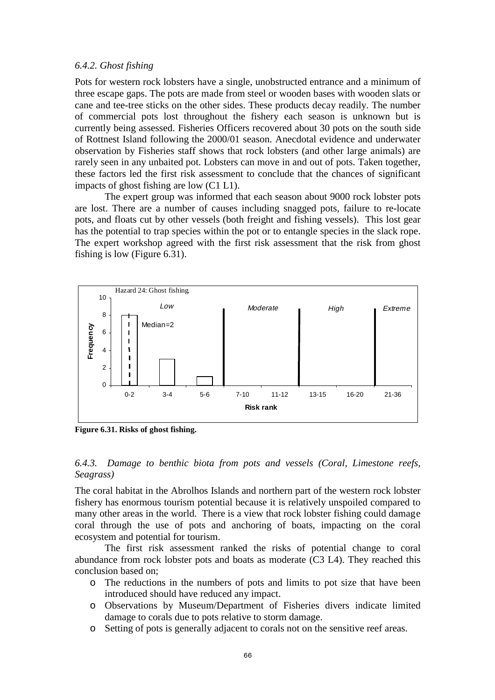#### *6.4.2. Ghost fishing*

Pots for western rock lobsters have a single, unobstructed entrance and a minimum of three escape gaps. The pots are made from steel or wooden bases with wooden slats or cane and tee-tree sticks on the other sides. These products decay readily. The number of commercial pots lost throughout the fishery each season is unknown but is currently being assessed. Fisheries Officers recovered about 30 pots on the south side of Rottnest Island following the 2000/01 season. Anecdotal evidence and underwater observation by Fisheries staff shows that rock lobsters (and other large animals) are rarely seen in any unbaited pot. Lobsters can move in and out of pots. Taken together, these factors led the first risk assessment to conclude that the chances of significant impacts of ghost fishing are low (C1 L1).

The expert group was informed that each season about 9000 rock lobster pots are lost. There are a number of causes including snagged pots, failure to re-locate pots, and floats cut by other vessels (both freight and fishing vessels). This lost gear has the potential to trap species within the pot or to entangle species in the slack rope. The expert workshop agreed with the first risk assessment that the risk from ghost fishing is low (Figure 6.31).



**Figure 6.31. Risks of ghost fishing.** 

## *6.4.3. Damage to benthic biota from pots and vessels (Coral, Limestone reefs, Seagrass)*

The coral habitat in the Abrolhos Islands and northern part of the western rock lobster fishery has enormous tourism potential because it is relatively unspoiled compared to many other areas in the world. There is a view that rock lobster fishing could damage coral through the use of pots and anchoring of boats, impacting on the coral ecosystem and potential for tourism.

 The first risk assessment ranked the risks of potential change to coral abundance from rock lobster pots and boats as moderate (C3 L4). They reached this conclusion based on;

- o The reductions in the numbers of pots and limits to pot size that have been introduced should have reduced any impact.
- o Observations by Museum/Department of Fisheries divers indicate limited damage to corals due to pots relative to storm damage.
- o Setting of pots is generally adjacent to corals not on the sensitive reef areas.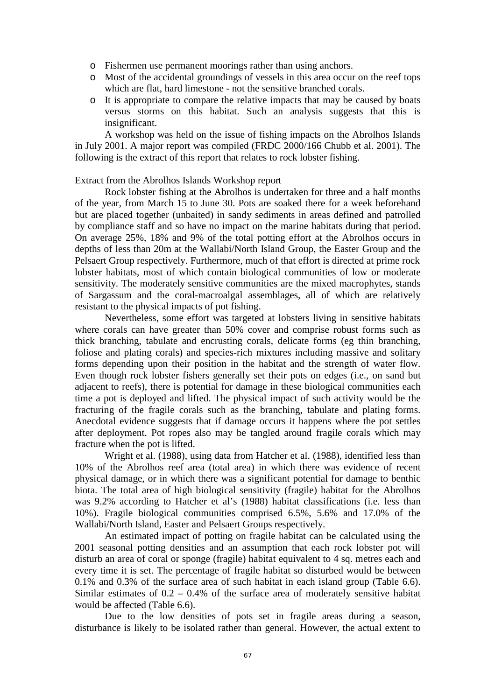- o Fishermen use permanent moorings rather than using anchors.
- o Most of the accidental groundings of vessels in this area occur on the reef tops which are flat, hard limestone - not the sensitive branched corals.
- o It is appropriate to compare the relative impacts that may be caused by boats versus storms on this habitat. Such an analysis suggests that this is insignificant.

A workshop was held on the issue of fishing impacts on the Abrolhos Islands in July 2001. A major report was compiled (FRDC 2000/166 Chubb et al. 2001). The following is the extract of this report that relates to rock lobster fishing.

### Extract from the Abrolhos Islands Workshop report

Rock lobster fishing at the Abrolhos is undertaken for three and a half months of the year, from March 15 to June 30. Pots are soaked there for a week beforehand but are placed together (unbaited) in sandy sediments in areas defined and patrolled by compliance staff and so have no impact on the marine habitats during that period. On average 25%, 18% and 9% of the total potting effort at the Abrolhos occurs in depths of less than 20m at the Wallabi/North Island Group, the Easter Group and the Pelsaert Group respectively. Furthermore, much of that effort is directed at prime rock lobster habitats, most of which contain biological communities of low or moderate sensitivity. The moderately sensitive communities are the mixed macrophytes, stands of Sargassum and the coral-macroalgal assemblages, all of which are relatively resistant to the physical impacts of pot fishing.

 Nevertheless, some effort was targeted at lobsters living in sensitive habitats where corals can have greater than 50% cover and comprise robust forms such as thick branching, tabulate and encrusting corals, delicate forms (eg thin branching, foliose and plating corals) and species-rich mixtures including massive and solitary forms depending upon their position in the habitat and the strength of water flow. Even though rock lobster fishers generally set their pots on edges (i.e., on sand but adjacent to reefs), there is potential for damage in these biological communities each time a pot is deployed and lifted. The physical impact of such activity would be the fracturing of the fragile corals such as the branching, tabulate and plating forms. Anecdotal evidence suggests that if damage occurs it happens where the pot settles after deployment. Pot ropes also may be tangled around fragile corals which may fracture when the pot is lifted.

 Wright et al. (1988), using data from Hatcher et al. (1988), identified less than 10% of the Abrolhos reef area (total area) in which there was evidence of recent physical damage, or in which there was a significant potential for damage to benthic biota. The total area of high biological sensitivity (fragile) habitat for the Abrolhos was 9.2% according to Hatcher et al's (1988) habitat classifications (i.e. less than 10%). Fragile biological communities comprised 6.5%, 5.6% and 17.0% of the Wallabi/North Island, Easter and Pelsaert Groups respectively.

An estimated impact of potting on fragile habitat can be calculated using the 2001 seasonal potting densities and an assumption that each rock lobster pot will disturb an area of coral or sponge (fragile) habitat equivalent to 4 sq. metres each and every time it is set. The percentage of fragile habitat so disturbed would be between 0.1% and 0.3% of the surface area of such habitat in each island group (Table 6.6). Similar estimates of  $0.2 - 0.4\%$  of the surface area of moderately sensitive habitat would be affected (Table 6.6).

 Due to the low densities of pots set in fragile areas during a season, disturbance is likely to be isolated rather than general. However, the actual extent to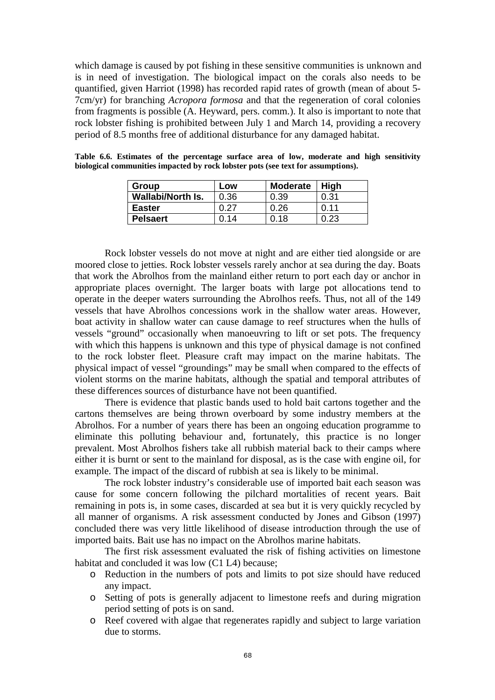which damage is caused by pot fishing in these sensitive communities is unknown and is in need of investigation. The biological impact on the corals also needs to be quantified, given Harriot (1998) has recorded rapid rates of growth (mean of about 5- 7cm/yr) for branching *Acropora formosa* and that the regeneration of coral colonies from fragments is possible (A. Heyward, pers. comm.). It also is important to note that rock lobster fishing is prohibited between July 1 and March 14, providing a recovery period of 8.5 months free of additional disturbance for any damaged habitat.

| Group                    | Low  | <b>Moderate</b> | Hiah |
|--------------------------|------|-----------------|------|
| <b>Wallabi/North Is.</b> | 0.36 | 0.39            | 0.31 |
| <b>Easter</b>            | 0.27 | 0.26            | በ 11 |
| <b>Pelsaert</b>          | 0.14 | 0.18            | 0.23 |

**Table 6.6. Estimates of the percentage surface area of low, moderate and high sensitivity biological communities impacted by rock lobster pots (see text for assumptions).** 

Rock lobster vessels do not move at night and are either tied alongside or are moored close to jetties. Rock lobster vessels rarely anchor at sea during the day. Boats that work the Abrolhos from the mainland either return to port each day or anchor in appropriate places overnight. The larger boats with large pot allocations tend to operate in the deeper waters surrounding the Abrolhos reefs. Thus, not all of the 149 vessels that have Abrolhos concessions work in the shallow water areas. However, boat activity in shallow water can cause damage to reef structures when the hulls of vessels "ground" occasionally when manoeuvring to lift or set pots. The frequency with which this happens is unknown and this type of physical damage is not confined to the rock lobster fleet. Pleasure craft may impact on the marine habitats. The physical impact of vessel "groundings" may be small when compared to the effects of violent storms on the marine habitats, although the spatial and temporal attributes of these differences sources of disturbance have not been quantified.

 There is evidence that plastic bands used to hold bait cartons together and the cartons themselves are being thrown overboard by some industry members at the Abrolhos. For a number of years there has been an ongoing education programme to eliminate this polluting behaviour and, fortunately, this practice is no longer prevalent. Most Abrolhos fishers take all rubbish material back to their camps where either it is burnt or sent to the mainland for disposal, as is the case with engine oil, for example. The impact of the discard of rubbish at sea is likely to be minimal.

The rock lobster industry's considerable use of imported bait each season was cause for some concern following the pilchard mortalities of recent years. Bait remaining in pots is, in some cases, discarded at sea but it is very quickly recycled by all manner of organisms. A risk assessment conducted by Jones and Gibson (1997) concluded there was very little likelihood of disease introduction through the use of imported baits. Bait use has no impact on the Abrolhos marine habitats.

 The first risk assessment evaluated the risk of fishing activities on limestone habitat and concluded it was low  $(C1 L4)$  because:

- o Reduction in the numbers of pots and limits to pot size should have reduced any impact.
- o Setting of pots is generally adjacent to limestone reefs and during migration period setting of pots is on sand.
- o Reef covered with algae that regenerates rapidly and subject to large variation due to storms.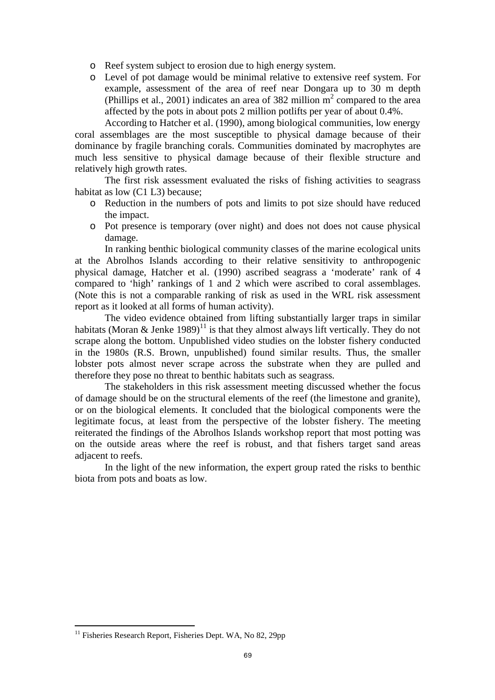- o Reef system subject to erosion due to high energy system.
- o Level of pot damage would be minimal relative to extensive reef system. For example, assessment of the area of reef near Dongara up to 30 m depth (Phillips et al., 2001) indicates an area of 382 million  $m^2$  compared to the area affected by the pots in about pots 2 million potlifts per year of about 0.4%.

 According to Hatcher et al. (1990), among biological communities, low energy coral assemblages are the most susceptible to physical damage because of their dominance by fragile branching corals. Communities dominated by macrophytes are much less sensitive to physical damage because of their flexible structure and relatively high growth rates.

The first risk assessment evaluated the risks of fishing activities to seagrass habitat as low (C1 L3) because;

- o Reduction in the numbers of pots and limits to pot size should have reduced the impact.
- o Pot presence is temporary (over night) and does not does not cause physical damage.

In ranking benthic biological community classes of the marine ecological units at the Abrolhos Islands according to their relative sensitivity to anthropogenic physical damage, Hatcher et al. (1990) ascribed seagrass a 'moderate' rank of 4 compared to 'high' rankings of 1 and 2 which were ascribed to coral assemblages. (Note this is not a comparable ranking of risk as used in the WRL risk assessment report as it looked at all forms of human activity).

The video evidence obtained from lifting substantially larger traps in similar habitats (Moran & Jenke 1989)<sup>11</sup> is that they almost always lift vertically. They do not scrape along the bottom. Unpublished video studies on the lobster fishery conducted in the 1980s (R.S. Brown, unpublished) found similar results. Thus, the smaller lobster pots almost never scrape across the substrate when they are pulled and therefore they pose no threat to benthic habitats such as seagrass.

The stakeholders in this risk assessment meeting discussed whether the focus of damage should be on the structural elements of the reef (the limestone and granite), or on the biological elements. It concluded that the biological components were the legitimate focus, at least from the perspective of the lobster fishery. The meeting reiterated the findings of the Abrolhos Islands workshop report that most potting was on the outside areas where the reef is robust, and that fishers target sand areas adiacent to reefs.

In the light of the new information, the expert group rated the risks to benthic biota from pots and boats as low.

 $\overline{a}$ 

 $11$  Fisheries Research Report, Fisheries Dept. WA, No 82, 29pp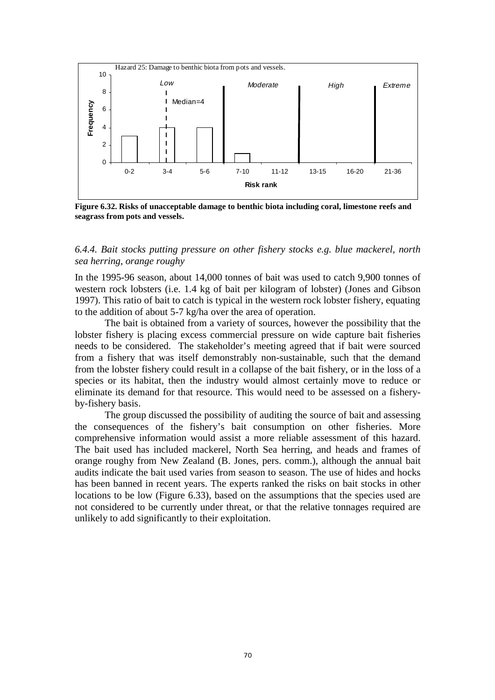

**Figure 6.32. Risks of unacceptable damage to benthic biota including coral, limestone reefs and seagrass from pots and vessels.** 

## *6.4.4. Bait stocks putting pressure on other fishery stocks e.g. blue mackerel, north sea herring, orange roughy*

In the 1995-96 season, about 14,000 tonnes of bait was used to catch 9,900 tonnes of western rock lobsters (i.e. 1.4 kg of bait per kilogram of lobster) (Jones and Gibson 1997). This ratio of bait to catch is typical in the western rock lobster fishery, equating to the addition of about 5-7 kg/ha over the area of operation.

The bait is obtained from a variety of sources, however the possibility that the lobster fishery is placing excess commercial pressure on wide capture bait fisheries needs to be considered. The stakeholder's meeting agreed that if bait were sourced from a fishery that was itself demonstrably non-sustainable, such that the demand from the lobster fishery could result in a collapse of the bait fishery, or in the loss of a species or its habitat, then the industry would almost certainly move to reduce or eliminate its demand for that resource. This would need to be assessed on a fisheryby-fishery basis.

The group discussed the possibility of auditing the source of bait and assessing the consequences of the fishery's bait consumption on other fisheries. More comprehensive information would assist a more reliable assessment of this hazard. The bait used has included mackerel, North Sea herring, and heads and frames of orange roughy from New Zealand (B. Jones, pers. comm.), although the annual bait audits indicate the bait used varies from season to season. The use of hides and hocks has been banned in recent years. The experts ranked the risks on bait stocks in other locations to be low (Figure 6.33), based on the assumptions that the species used are not considered to be currently under threat, or that the relative tonnages required are unlikely to add significantly to their exploitation.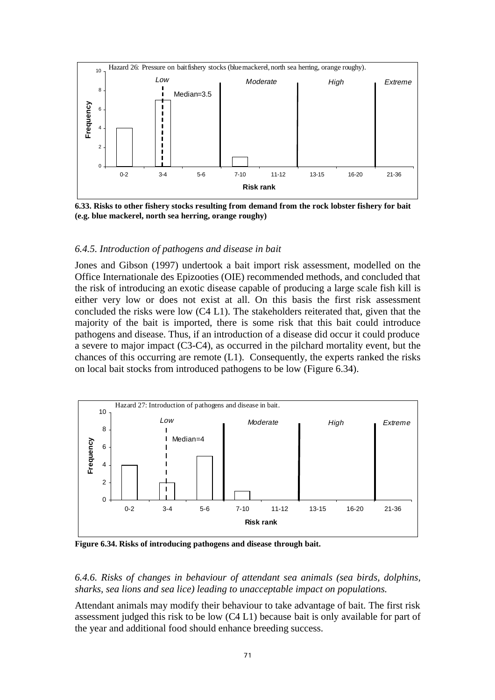

**6.33. Risks to other fishery stocks resulting from demand from the rock lobster fishery for bait (e.g. blue mackerel, north sea herring, orange roughy)** 

### *6.4.5. Introduction of pathogens and disease in bait*

Jones and Gibson (1997) undertook a bait import risk assessment, modelled on the Office Internationale des Epizooties (OIE) recommended methods, and concluded that the risk of introducing an exotic disease capable of producing a large scale fish kill is either very low or does not exist at all. On this basis the first risk assessment concluded the risks were low (C4 L1). The stakeholders reiterated that, given that the majority of the bait is imported, there is some risk that this bait could introduce pathogens and disease. Thus, if an introduction of a disease did occur it could produce a severe to major impact (C3-C4), as occurred in the pilchard mortality event, but the chances of this occurring are remote (L1). Consequently, the experts ranked the risks on local bait stocks from introduced pathogens to be low (Figure 6.34).



**Figure 6.34. Risks of introducing pathogens and disease through bait.** 

*6.4.6. Risks of changes in behaviour of attendant sea animals (sea birds, dolphins, sharks, sea lions and sea lice) leading to unacceptable impact on populations.* 

Attendant animals may modify their behaviour to take advantage of bait. The first risk assessment judged this risk to be low (C4 L1) because bait is only available for part of the year and additional food should enhance breeding success.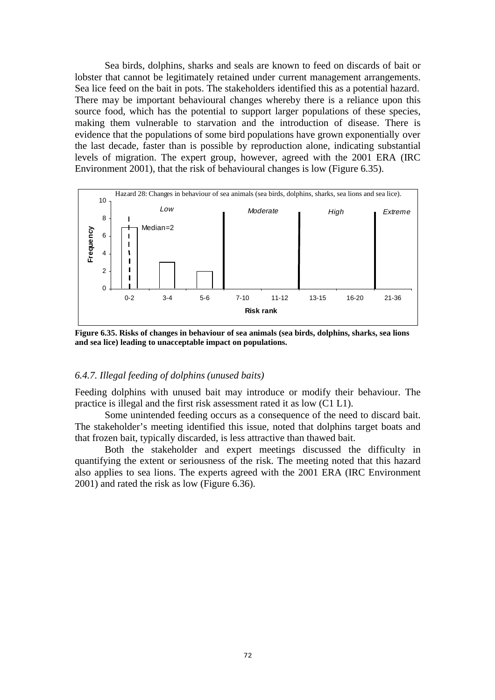Sea birds, dolphins, sharks and seals are known to feed on discards of bait or lobster that cannot be legitimately retained under current management arrangements. Sea lice feed on the bait in pots. The stakeholders identified this as a potential hazard. There may be important behavioural changes whereby there is a reliance upon this source food, which has the potential to support larger populations of these species, making them vulnerable to starvation and the introduction of disease. There is evidence that the populations of some bird populations have grown exponentially over the last decade, faster than is possible by reproduction alone, indicating substantial levels of migration. The expert group, however, agreed with the 2001 ERA (IRC Environment 2001), that the risk of behavioural changes is low (Figure 6.35).



**Figure 6.35. Risks of changes in behaviour of sea animals (sea birds, dolphins, sharks, sea lions and sea lice) leading to unacceptable impact on populations.** 

#### *6.4.7. Illegal feeding of dolphins (unused baits)*

Feeding dolphins with unused bait may introduce or modify their behaviour. The practice is illegal and the first risk assessment rated it as low (C1 L1).

 Some unintended feeding occurs as a consequence of the need to discard bait. The stakeholder's meeting identified this issue, noted that dolphins target boats and that frozen bait, typically discarded, is less attractive than thawed bait.

Both the stakeholder and expert meetings discussed the difficulty in quantifying the extent or seriousness of the risk. The meeting noted that this hazard also applies to sea lions. The experts agreed with the 2001 ERA (IRC Environment 2001) and rated the risk as low (Figure 6.36).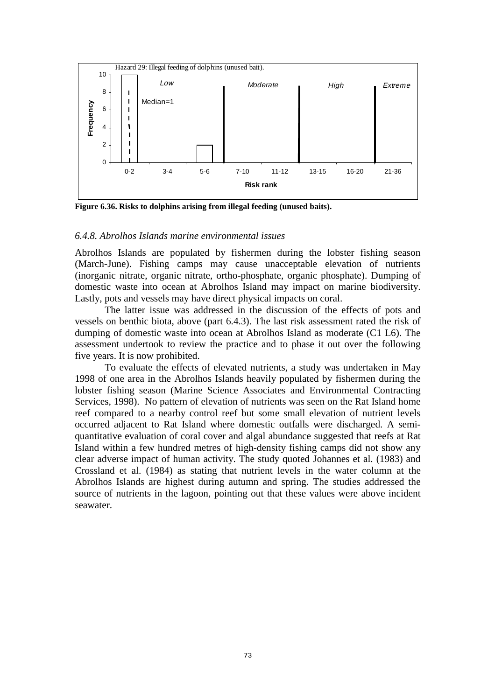

**Figure 6.36. Risks to dolphins arising from illegal feeding (unused baits).** 

#### *6.4.8. Abrolhos Islands marine environmental issues*

Abrolhos Islands are populated by fishermen during the lobster fishing season (March-June). Fishing camps may cause unacceptable elevation of nutrients (inorganic nitrate, organic nitrate, ortho-phosphate, organic phosphate). Dumping of domestic waste into ocean at Abrolhos Island may impact on marine biodiversity. Lastly, pots and vessels may have direct physical impacts on coral.

 The latter issue was addressed in the discussion of the effects of pots and vessels on benthic biota, above (part 6.4.3). The last risk assessment rated the risk of dumping of domestic waste into ocean at Abrolhos Island as moderate (C1 L6). The assessment undertook to review the practice and to phase it out over the following five years. It is now prohibited.

 To evaluate the effects of elevated nutrients, a study was undertaken in May 1998 of one area in the Abrolhos Islands heavily populated by fishermen during the lobster fishing season (Marine Science Associates and Environmental Contracting Services, 1998). No pattern of elevation of nutrients was seen on the Rat Island home reef compared to a nearby control reef but some small elevation of nutrient levels occurred adjacent to Rat Island where domestic outfalls were discharged. A semiquantitative evaluation of coral cover and algal abundance suggested that reefs at Rat Island within a few hundred metres of high-density fishing camps did not show any clear adverse impact of human activity. The study quoted Johannes et al. (1983) and Crossland et al. (1984) as stating that nutrient levels in the water column at the Abrolhos Islands are highest during autumn and spring. The studies addressed the source of nutrients in the lagoon, pointing out that these values were above incident seawater.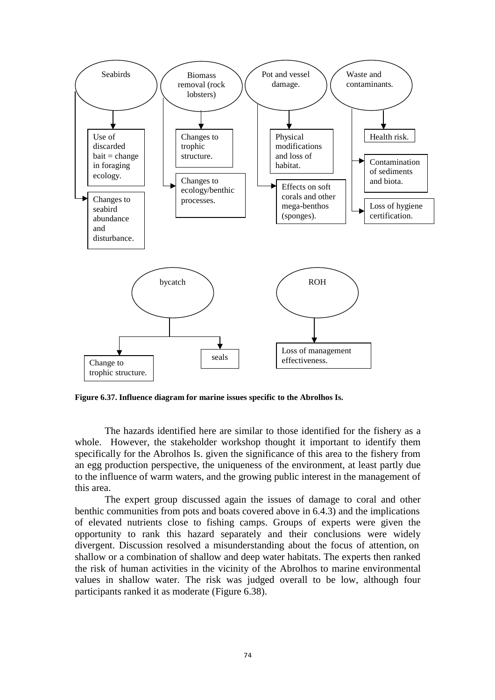

**Figure 6.37. Influence diagram for marine issues specific to the Abrolhos Is.** 

The hazards identified here are similar to those identified for the fishery as a whole. However, the stakeholder workshop thought it important to identify them specifically for the Abrolhos Is. given the significance of this area to the fishery from an egg production perspective, the uniqueness of the environment, at least partly due to the influence of warm waters, and the growing public interest in the management of this area.

 The expert group discussed again the issues of damage to coral and other benthic communities from pots and boats covered above in 6.4.3) and the implications of elevated nutrients close to fishing camps. Groups of experts were given the opportunity to rank this hazard separately and their conclusions were widely divergent. Discussion resolved a misunderstanding about the focus of attention, on shallow or a combination of shallow and deep water habitats. The experts then ranked the risk of human activities in the vicinity of the Abrolhos to marine environmental values in shallow water. The risk was judged overall to be low, although four participants ranked it as moderate (Figure 6.38).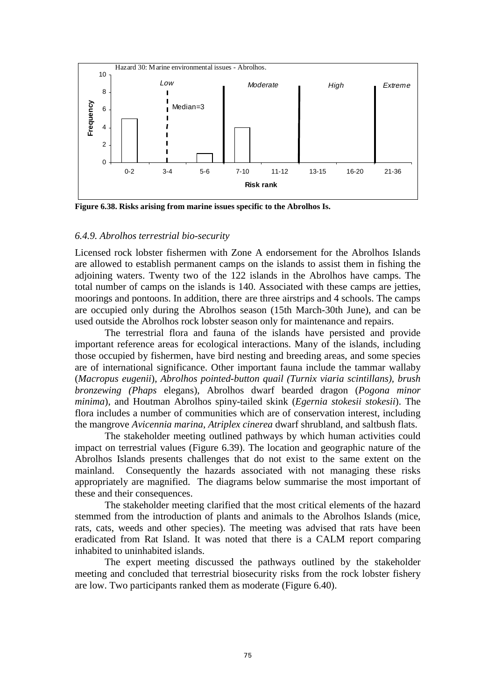

**Figure 6.38. Risks arising from marine issues specific to the Abrolhos Is.** 

#### *6.4.9. Abrolhos terrestrial bio-security*

Licensed rock lobster fishermen with Zone A endorsement for the Abrolhos Islands are allowed to establish permanent camps on the islands to assist them in fishing the adjoining waters. Twenty two of the 122 islands in the Abrolhos have camps. The total number of camps on the islands is 140. Associated with these camps are jetties, moorings and pontoons. In addition, there are three airstrips and 4 schools. The camps are occupied only during the Abrolhos season (15th March-30th June), and can be used outside the Abrolhos rock lobster season only for maintenance and repairs.

 The terrestrial flora and fauna of the islands have persisted and provide important reference areas for ecological interactions. Many of the islands, including those occupied by fishermen, have bird nesting and breeding areas, and some species are of international significance. Other important fauna include the tammar wallaby (*Macropus eugenii*), *Abrolhos pointed-button quail (Turnix viaria scintillans), brush bronzewing (Phaps* elegans), Abrolhos dwarf bearded dragon (*Pogona minor minima*), and Houtman Abrolhos spiny-tailed skink (*Egernia stokesii stokesii*). The flora includes a number of communities which are of conservation interest, including the mangrove *Avicennia marina*, *Atriplex cinerea* dwarf shrubland, and saltbush flats.

 The stakeholder meeting outlined pathways by which human activities could impact on terrestrial values (Figure 6.39). The location and geographic nature of the Abrolhos Islands presents challenges that do not exist to the same extent on the mainland. Consequently the hazards associated with not managing these risks appropriately are magnified. The diagrams below summarise the most important of these and their consequences.

The stakeholder meeting clarified that the most critical elements of the hazard stemmed from the introduction of plants and animals to the Abrolhos Islands (mice, rats, cats, weeds and other species). The meeting was advised that rats have been eradicated from Rat Island. It was noted that there is a CALM report comparing inhabited to uninhabited islands.

The expert meeting discussed the pathways outlined by the stakeholder meeting and concluded that terrestrial biosecurity risks from the rock lobster fishery are low. Two participants ranked them as moderate (Figure 6.40).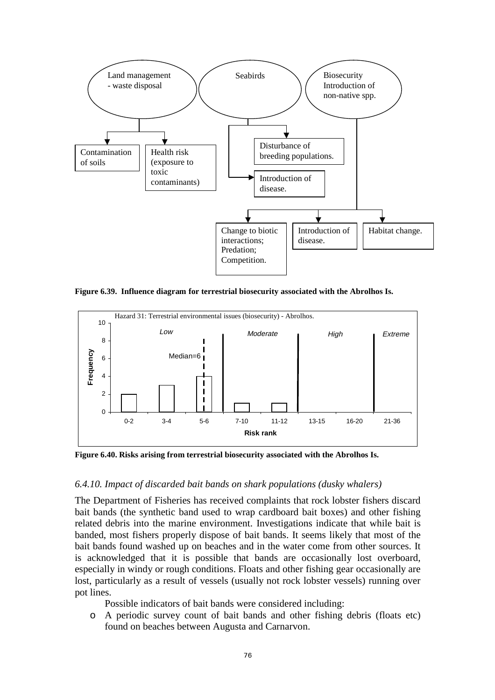

**Figure 6.39. Influence diagram for terrestrial biosecurity associated with the Abrolhos Is.** 



**Figure 6.40. Risks arising from terrestrial biosecurity associated with the Abrolhos Is.** 

### *6.4.10. Impact of discarded bait bands on shark populations (dusky whalers)*

The Department of Fisheries has received complaints that rock lobster fishers discard bait bands (the synthetic band used to wrap cardboard bait boxes) and other fishing related debris into the marine environment. Investigations indicate that while bait is banded, most fishers properly dispose of bait bands. It seems likely that most of the bait bands found washed up on beaches and in the water come from other sources. It is acknowledged that it is possible that bands are occasionally lost overboard, especially in windy or rough conditions. Floats and other fishing gear occasionally are lost, particularly as a result of vessels (usually not rock lobster vessels) running over pot lines.

Possible indicators of bait bands were considered including:

o A periodic survey count of bait bands and other fishing debris (floats etc) found on beaches between Augusta and Carnarvon.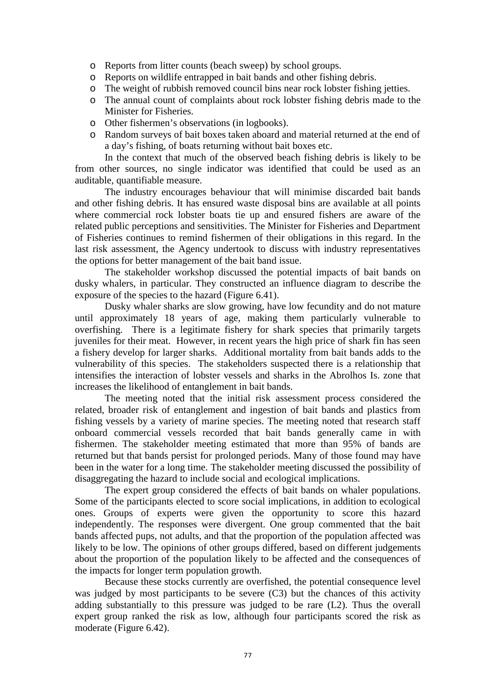- o Reports from litter counts (beach sweep) by school groups.
- o Reports on wildlife entrapped in bait bands and other fishing debris.
- o The weight of rubbish removed council bins near rock lobster fishing jetties.
- o The annual count of complaints about rock lobster fishing debris made to the Minister for Fisheries.
- o Other fishermen's observations (in logbooks).
- o Random surveys of bait boxes taken aboard and material returned at the end of a day's fishing, of boats returning without bait boxes etc.

In the context that much of the observed beach fishing debris is likely to be from other sources, no single indicator was identified that could be used as an auditable, quantifiable measure.

 The industry encourages behaviour that will minimise discarded bait bands and other fishing debris. It has ensured waste disposal bins are available at all points where commercial rock lobster boats tie up and ensured fishers are aware of the related public perceptions and sensitivities. The Minister for Fisheries and Department of Fisheries continues to remind fishermen of their obligations in this regard. In the last risk assessment, the Agency undertook to discuss with industry representatives the options for better management of the bait band issue.

 The stakeholder workshop discussed the potential impacts of bait bands on dusky whalers, in particular. They constructed an influence diagram to describe the exposure of the species to the hazard (Figure 6.41).

 Dusky whaler sharks are slow growing, have low fecundity and do not mature until approximately 18 years of age, making them particularly vulnerable to overfishing. There is a legitimate fishery for shark species that primarily targets juveniles for their meat. However, in recent years the high price of shark fin has seen a fishery develop for larger sharks. Additional mortality from bait bands adds to the vulnerability of this species. The stakeholders suspected there is a relationship that intensifies the interaction of lobster vessels and sharks in the Abrolhos Is. zone that increases the likelihood of entanglement in bait bands.

 The meeting noted that the initial risk assessment process considered the related, broader risk of entanglement and ingestion of bait bands and plastics from fishing vessels by a variety of marine species. The meeting noted that research staff onboard commercial vessels recorded that bait bands generally came in with fishermen. The stakeholder meeting estimated that more than 95% of bands are returned but that bands persist for prolonged periods. Many of those found may have been in the water for a long time. The stakeholder meeting discussed the possibility of disaggregating the hazard to include social and ecological implications.

 The expert group considered the effects of bait bands on whaler populations. Some of the participants elected to score social implications, in addition to ecological ones. Groups of experts were given the opportunity to score this hazard independently. The responses were divergent. One group commented that the bait bands affected pups, not adults, and that the proportion of the population affected was likely to be low. The opinions of other groups differed, based on different judgements about the proportion of the population likely to be affected and the consequences of the impacts for longer term population growth.

Because these stocks currently are overfished, the potential consequence level was judged by most participants to be severe (C3) but the chances of this activity adding substantially to this pressure was judged to be rare (L2). Thus the overall expert group ranked the risk as low, although four participants scored the risk as moderate (Figure 6.42).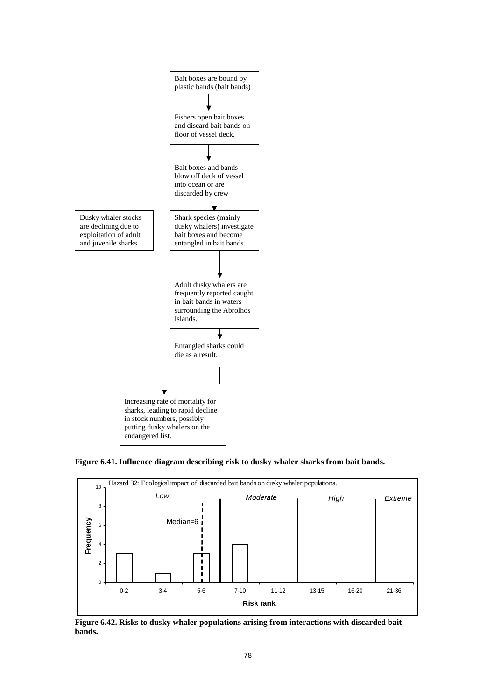





**Figure 6.42. Risks to dusky whaler populations arising from interactions with discarded bait bands.**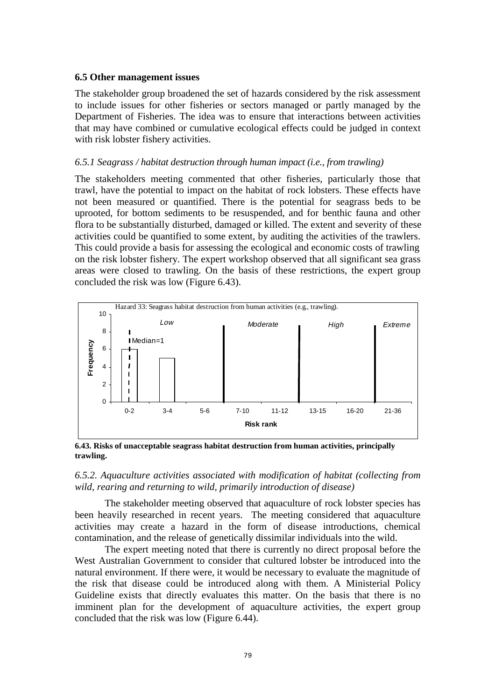#### **6.5 Other management issues**

The stakeholder group broadened the set of hazards considered by the risk assessment to include issues for other fisheries or sectors managed or partly managed by the Department of Fisheries. The idea was to ensure that interactions between activities that may have combined or cumulative ecological effects could be judged in context with risk lobster fishery activities.

### *6.5.1 Seagrass / habitat destruction through human impact (i.e., from trawling)*

The stakeholders meeting commented that other fisheries, particularly those that trawl, have the potential to impact on the habitat of rock lobsters. These effects have not been measured or quantified. There is the potential for seagrass beds to be uprooted, for bottom sediments to be resuspended, and for benthic fauna and other flora to be substantially disturbed, damaged or killed. The extent and severity of these activities could be quantified to some extent, by auditing the activities of the trawlers. This could provide a basis for assessing the ecological and economic costs of trawling on the risk lobster fishery. The expert workshop observed that all significant sea grass areas were closed to trawling. On the basis of these restrictions, the expert group concluded the risk was low (Figure 6.43).



**6.43. Risks of unacceptable seagrass habitat destruction from human activities, principally trawling.** 

## *6.5.2. Aquaculture activities associated with modification of habitat (collecting from wild, rearing and returning to wild, primarily introduction of disease)*

The stakeholder meeting observed that aquaculture of rock lobster species has been heavily researched in recent years. The meeting considered that aquaculture activities may create a hazard in the form of disease introductions, chemical contamination, and the release of genetically dissimilar individuals into the wild.

The expert meeting noted that there is currently no direct proposal before the West Australian Government to consider that cultured lobster be introduced into the natural environment. If there were, it would be necessary to evaluate the magnitude of the risk that disease could be introduced along with them. A Ministerial Policy Guideline exists that directly evaluates this matter. On the basis that there is no imminent plan for the development of aquaculture activities, the expert group concluded that the risk was low (Figure 6.44).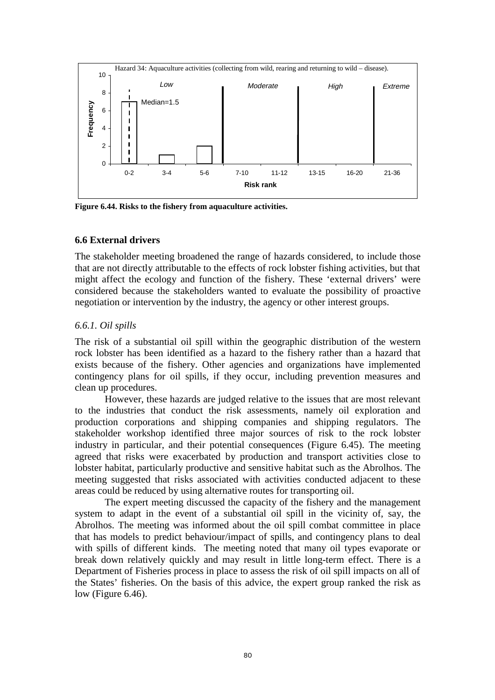

**Figure 6.44. Risks to the fishery from aquaculture activities.** 

#### **6.6 External drivers**

The stakeholder meeting broadened the range of hazards considered, to include those that are not directly attributable to the effects of rock lobster fishing activities, but that might affect the ecology and function of the fishery. These 'external drivers' were considered because the stakeholders wanted to evaluate the possibility of proactive negotiation or intervention by the industry, the agency or other interest groups.

### *6.6.1. Oil spills*

The risk of a substantial oil spill within the geographic distribution of the western rock lobster has been identified as a hazard to the fishery rather than a hazard that exists because of the fishery. Other agencies and organizations have implemented contingency plans for oil spills, if they occur, including prevention measures and clean up procedures.

However, these hazards are judged relative to the issues that are most relevant to the industries that conduct the risk assessments, namely oil exploration and production corporations and shipping companies and shipping regulators. The stakeholder workshop identified three major sources of risk to the rock lobster industry in particular, and their potential consequences (Figure 6.45). The meeting agreed that risks were exacerbated by production and transport activities close to lobster habitat, particularly productive and sensitive habitat such as the Abrolhos. The meeting suggested that risks associated with activities conducted adjacent to these areas could be reduced by using alternative routes for transporting oil.

The expert meeting discussed the capacity of the fishery and the management system to adapt in the event of a substantial oil spill in the vicinity of, say, the Abrolhos. The meeting was informed about the oil spill combat committee in place that has models to predict behaviour/impact of spills, and contingency plans to deal with spills of different kinds. The meeting noted that many oil types evaporate or break down relatively quickly and may result in little long-term effect. There is a Department of Fisheries process in place to assess the risk of oil spill impacts on all of the States' fisheries. On the basis of this advice, the expert group ranked the risk as low (Figure 6.46).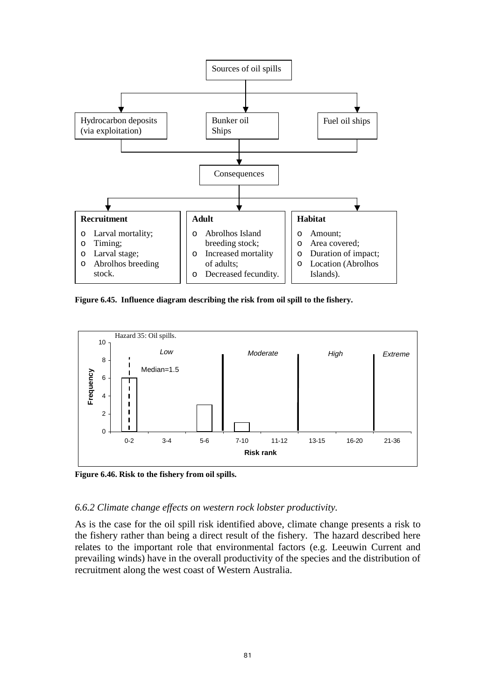

**Figure 6.45. Influence diagram describing the risk from oil spill to the fishery.** 



**Figure 6.46. Risk to the fishery from oil spills.** 

#### *6.6.2 Climate change effects on western rock lobster productivity.*

As is the case for the oil spill risk identified above, climate change presents a risk to the fishery rather than being a direct result of the fishery. The hazard described here relates to the important role that environmental factors (e.g. Leeuwin Current and prevailing winds) have in the overall productivity of the species and the distribution of recruitment along the west coast of Western Australia.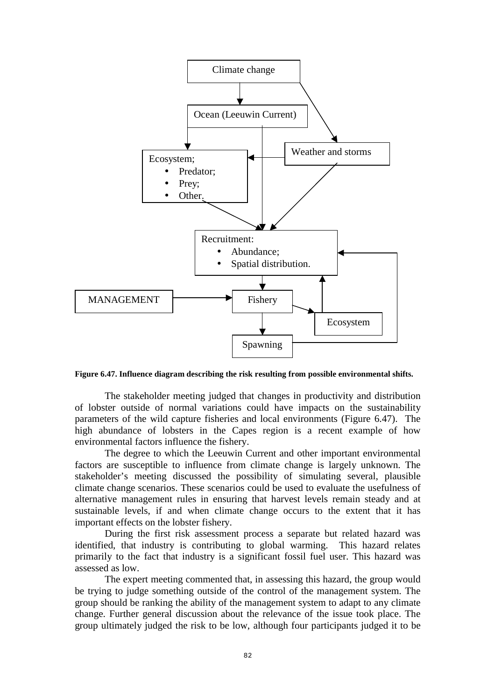

**Figure 6.47. Influence diagram describing the risk resulting from possible environmental shifts.** 

The stakeholder meeting judged that changes in productivity and distribution of lobster outside of normal variations could have impacts on the sustainability parameters of the wild capture fisheries and local environments (Figure 6.47). The high abundance of lobsters in the Capes region is a recent example of how environmental factors influence the fishery.

The degree to which the Leeuwin Current and other important environmental factors are susceptible to influence from climate change is largely unknown. The stakeholder's meeting discussed the possibility of simulating several, plausible climate change scenarios. These scenarios could be used to evaluate the usefulness of alternative management rules in ensuring that harvest levels remain steady and at sustainable levels, if and when climate change occurs to the extent that it has important effects on the lobster fishery.

During the first risk assessment process a separate but related hazard was identified, that industry is contributing to global warming. This hazard relates primarily to the fact that industry is a significant fossil fuel user. This hazard was assessed as low.

The expert meeting commented that, in assessing this hazard, the group would be trying to judge something outside of the control of the management system. The group should be ranking the ability of the management system to adapt to any climate change. Further general discussion about the relevance of the issue took place. The group ultimately judged the risk to be low, although four participants judged it to be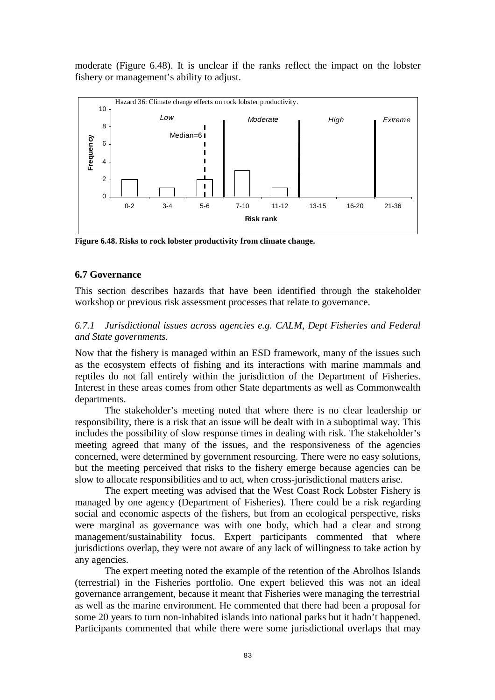moderate (Figure 6.48). It is unclear if the ranks reflect the impact on the lobster fishery or management's ability to adjust.



**Figure 6.48. Risks to rock lobster productivity from climate change.** 

#### **6.7 Governance**

This section describes hazards that have been identified through the stakeholder workshop or previous risk assessment processes that relate to governance.

### *6.7.1 Jurisdictional issues across agencies e.g. CALM, Dept Fisheries and Federal and State governments.*

Now that the fishery is managed within an ESD framework, many of the issues such as the ecosystem effects of fishing and its interactions with marine mammals and reptiles do not fall entirely within the jurisdiction of the Department of Fisheries. Interest in these areas comes from other State departments as well as Commonwealth departments.

 The stakeholder's meeting noted that where there is no clear leadership or responsibility, there is a risk that an issue will be dealt with in a suboptimal way. This includes the possibility of slow response times in dealing with risk. The stakeholder's meeting agreed that many of the issues, and the responsiveness of the agencies concerned, were determined by government resourcing. There were no easy solutions, but the meeting perceived that risks to the fishery emerge because agencies can be slow to allocate responsibilities and to act, when cross-jurisdictional matters arise.

 The expert meeting was advised that the West Coast Rock Lobster Fishery is managed by one agency (Department of Fisheries). There could be a risk regarding social and economic aspects of the fishers, but from an ecological perspective, risks were marginal as governance was with one body, which had a clear and strong management/sustainability focus. Expert participants commented that where jurisdictions overlap, they were not aware of any lack of willingness to take action by any agencies.

The expert meeting noted the example of the retention of the Abrolhos Islands (terrestrial) in the Fisheries portfolio. One expert believed this was not an ideal governance arrangement, because it meant that Fisheries were managing the terrestrial as well as the marine environment. He commented that there had been a proposal for some 20 years to turn non-inhabited islands into national parks but it hadn't happened. Participants commented that while there were some jurisdictional overlaps that may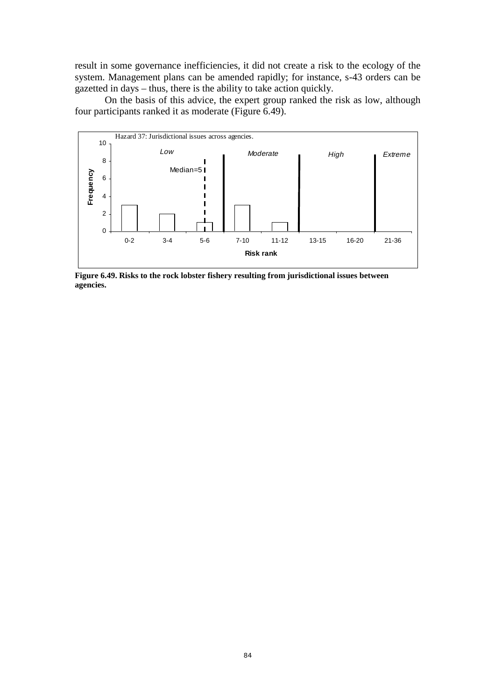result in some governance inefficiencies, it did not create a risk to the ecology of the system. Management plans can be amended rapidly; for instance, s-43 orders can be gazetted in days – thus, there is the ability to take action quickly.

On the basis of this advice, the expert group ranked the risk as low, although four participants ranked it as moderate (Figure 6.49).



**Figure 6.49. Risks to the rock lobster fishery resulting from jurisdictional issues between agencies.**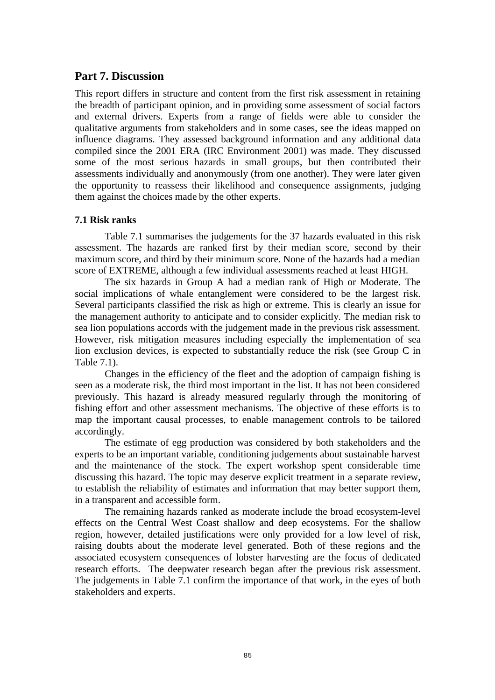# **Part 7. Discussion**

This report differs in structure and content from the first risk assessment in retaining the breadth of participant opinion, and in providing some assessment of social factors and external drivers. Experts from a range of fields were able to consider the qualitative arguments from stakeholders and in some cases, see the ideas mapped on influence diagrams. They assessed background information and any additional data compiled since the 2001 ERA (IRC Environment 2001) was made. They discussed some of the most serious hazards in small groups, but then contributed their assessments individually and anonymously (from one another). They were later given the opportunity to reassess their likelihood and consequence assignments, judging them against the choices made by the other experts.

# **7.1 Risk ranks**

 Table 7.1 summarises the judgements for the 37 hazards evaluated in this risk assessment. The hazards are ranked first by their median score, second by their maximum score, and third by their minimum score. None of the hazards had a median score of EXTREME, although a few individual assessments reached at least HIGH.

The six hazards in Group A had a median rank of High or Moderate. The social implications of whale entanglement were considered to be the largest risk. Several participants classified the risk as high or extreme. This is clearly an issue for the management authority to anticipate and to consider explicitly. The median risk to sea lion populations accords with the judgement made in the previous risk assessment. However, risk mitigation measures including especially the implementation of sea lion exclusion devices, is expected to substantially reduce the risk (see Group C in Table 7.1).

Changes in the efficiency of the fleet and the adoption of campaign fishing is seen as a moderate risk, the third most important in the list. It has not been considered previously. This hazard is already measured regularly through the monitoring of fishing effort and other assessment mechanisms. The objective of these efforts is to map the important causal processes, to enable management controls to be tailored accordingly.

The estimate of egg production was considered by both stakeholders and the experts to be an important variable, conditioning judgements about sustainable harvest and the maintenance of the stock. The expert workshop spent considerable time discussing this hazard. The topic may deserve explicit treatment in a separate review, to establish the reliability of estimates and information that may better support them, in a transparent and accessible form.

The remaining hazards ranked as moderate include the broad ecosystem-level effects on the Central West Coast shallow and deep ecosystems. For the shallow region, however, detailed justifications were only provided for a low level of risk, raising doubts about the moderate level generated. Both of these regions and the associated ecosystem consequences of lobster harvesting are the focus of dedicated research efforts. The deepwater research began after the previous risk assessment. The judgements in Table 7.1 confirm the importance of that work, in the eyes of both stakeholders and experts.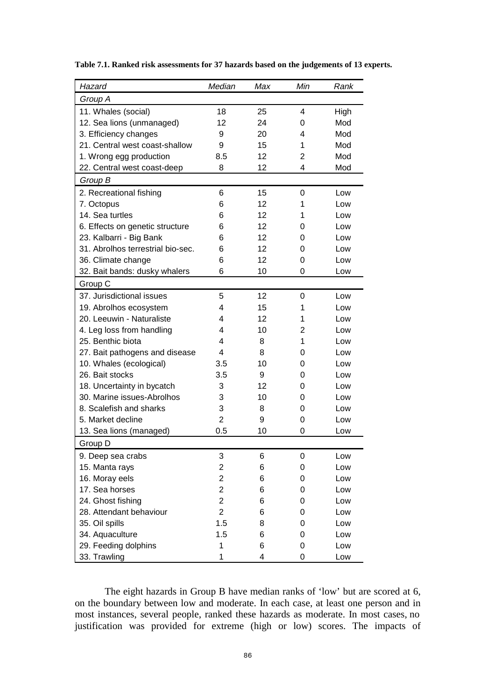| Hazard                            | Median                  | Max | Min | Rank |
|-----------------------------------|-------------------------|-----|-----|------|
| Group A                           |                         |     |     |      |
| 11. Whales (social)               | 18                      | 25  | 4   | High |
| 12. Sea lions (unmanaged)         | 12                      | 24  | 0   | Mod  |
| 3. Efficiency changes             | 9                       | 20  | 4   | Mod  |
| 21. Central west coast-shallow    | 9                       | 15  | 1   | Mod  |
| 1. Wrong egg production           | 8.5                     | 12  | 2   | Mod  |
| 22. Central west coast-deep       | 8                       | 12  | 4   | Mod  |
| Group B                           |                         |     |     |      |
| 2. Recreational fishing           | 6                       | 15  | 0   | Low  |
| 7. Octopus                        | 6                       | 12  | 1   | Low  |
| 14. Sea turtles                   | 6                       | 12  | 1   | Low  |
| 6. Effects on genetic structure   | 6                       | 12  | 0   | Low  |
| 23. Kalbarri - Big Bank           | 6                       | 12  | 0   | Low  |
| 31. Abrolhos terrestrial bio-sec. | 6                       | 12  | 0   | Low  |
| 36. Climate change                | 6                       | 12  | 0   | Low  |
| 32. Bait bands: dusky whalers     | 6                       | 10  | 0   | Low  |
| Group C                           |                         |     |     |      |
| 37. Jurisdictional issues         | 5                       | 12  | 0   | Low  |
| 19. Abrolhos ecosystem            | 4                       | 15  | 1   | Low  |
| 20. Leeuwin - Naturaliste         | 4                       | 12  | 1   | Low  |
| 4. Leg loss from handling         | 4                       | 10  | 2   | Low  |
| 25. Benthic biota                 | $\overline{\mathbf{4}}$ | 8   | 1   | Low  |
| 27. Bait pathogens and disease    | $\overline{\mathbf{4}}$ | 8   | 0   | Low  |
| 10. Whales (ecological)           | 3.5                     | 10  | 0   | Low  |
| 26. Bait stocks                   | 3.5                     | 9   | 0   | Low  |
| 18. Uncertainty in bycatch        | 3                       | 12  | 0   | Low  |
| 30. Marine issues-Abrolhos        | 3                       | 10  | 0   | Low  |
| 8. Scalefish and sharks           | 3                       | 8   | 0   | Low  |
| 5. Market decline                 | $\overline{2}$          | 9   | 0   | Low  |
| 13. Sea lions (managed)           | 0.5                     | 10  | 0   | Low  |
| Group D                           |                         |     |     |      |
| 9. Deep sea crabs                 | 3                       | 6   | 0   | Low  |
| 15. Manta rays                    | $\overline{\mathbf{c}}$ | 6   | 0   | Low  |
| 16. Moray eels                    | $\overline{c}$          | 6   | 0   | Low  |
| 17. Sea horses                    | $\overline{c}$          | 6   | 0   | Low  |
| 24. Ghost fishing                 | $\overline{2}$          | 6   | 0   | Low  |
| 28. Attendant behaviour           | $\overline{2}$          | 6   | 0   | Low  |
| 35. Oil spills                    | 1.5                     | 8   | 0   | Low  |
| 34. Aquaculture                   | 1.5                     | 6   | 0   | Low  |
| 29. Feeding dolphins              | 1                       | 6   | 0   | Low  |
| 33. Trawling                      | 1                       | 4   | 0   | Low  |

**Table 7.1. Ranked risk assessments for 37 hazards based on the judgements of 13 experts.** 

The eight hazards in Group B have median ranks of 'low' but are scored at 6, on the boundary between low and moderate. In each case, at least one person and in most instances, several people, ranked these hazards as moderate. In most cases, no justification was provided for extreme (high or low) scores. The impacts of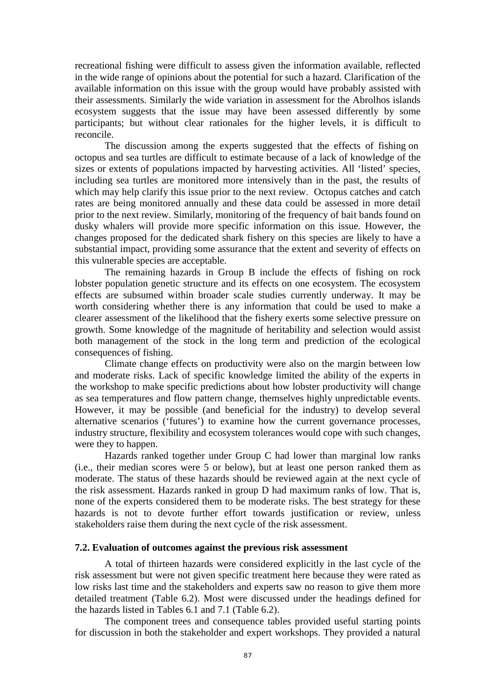recreational fishing were difficult to assess given the information available, reflected in the wide range of opinions about the potential for such a hazard. Clarification of the available information on this issue with the group would have probably assisted with their assessments. Similarly the wide variation in assessment for the Abrolhos islands ecosystem suggests that the issue may have been assessed differently by some participants; but without clear rationales for the higher levels, it is difficult to reconcile.

The discussion among the experts suggested that the effects of fishing on octopus and sea turtles are difficult to estimate because of a lack of knowledge of the sizes or extents of populations impacted by harvesting activities. All 'listed' species, including sea turtles are monitored more intensively than in the past, the results of which may help clarify this issue prior to the next review. Octopus catches and catch rates are being monitored annually and these data could be assessed in more detail prior to the next review. Similarly, monitoring of the frequency of bait bands found on dusky whalers will provide more specific information on this issue. However, the changes proposed for the dedicated shark fishery on this species are likely to have a substantial impact, providing some assurance that the extent and severity of effects on this vulnerable species are acceptable.

The remaining hazards in Group B include the effects of fishing on rock lobster population genetic structure and its effects on one ecosystem. The ecosystem effects are subsumed within broader scale studies currently underway. It may be worth considering whether there is any information that could be used to make a clearer assessment of the likelihood that the fishery exerts some selective pressure on growth. Some knowledge of the magnitude of heritability and selection would assist both management of the stock in the long term and prediction of the ecological consequences of fishing.

Climate change effects on productivity were also on the margin between low and moderate risks. Lack of specific knowledge limited the ability of the experts in the workshop to make specific predictions about how lobster productivity will change as sea temperatures and flow pattern change, themselves highly unpredictable events. However, it may be possible (and beneficial for the industry) to develop several alternative scenarios ('futures') to examine how the current governance processes, industry structure, flexibility and ecosystem tolerances would cope with such changes, were they to happen.

Hazards ranked together under Group C had lower than marginal low ranks (i.e., their median scores were 5 or below), but at least one person ranked them as moderate. The status of these hazards should be reviewed again at the next cycle of the risk assessment. Hazards ranked in group D had maximum ranks of low. That is, none of the experts considered them to be moderate risks. The best strategy for these hazards is not to devote further effort towards justification or review, unless stakeholders raise them during the next cycle of the risk assessment.

#### **7.2. Evaluation of outcomes against the previous risk assessment**

 A total of thirteen hazards were considered explicitly in the last cycle of the risk assessment but were not given specific treatment here because they were rated as low risks last time and the stakeholders and experts saw no reason to give them more detailed treatment (Table 6.2). Most were discussed under the headings defined for the hazards listed in Tables 6.1 and 7.1 (Table 6.2).

The component trees and consequence tables provided useful starting points for discussion in both the stakeholder and expert workshops. They provided a natural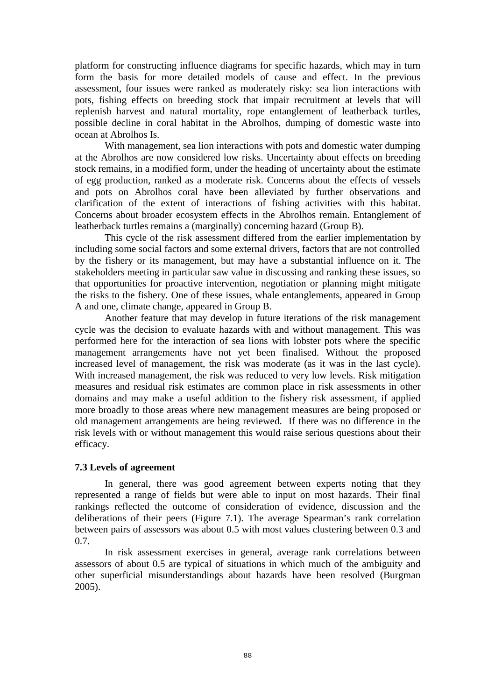platform for constructing influence diagrams for specific hazards, which may in turn form the basis for more detailed models of cause and effect. In the previous assessment, four issues were ranked as moderately risky: sea lion interactions with pots, fishing effects on breeding stock that impair recruitment at levels that will replenish harvest and natural mortality, rope entanglement of leatherback turtles, possible decline in coral habitat in the Abrolhos, dumping of domestic waste into ocean at Abrolhos Is.

 With management, sea lion interactions with pots and domestic water dumping at the Abrolhos are now considered low risks. Uncertainty about effects on breeding stock remains, in a modified form, under the heading of uncertainty about the estimate of egg production, ranked as a moderate risk. Concerns about the effects of vessels and pots on Abrolhos coral have been alleviated by further observations and clarification of the extent of interactions of fishing activities with this habitat. Concerns about broader ecosystem effects in the Abrolhos remain. Entanglement of leatherback turtles remains a (marginally) concerning hazard (Group B).

This cycle of the risk assessment differed from the earlier implementation by including some social factors and some external drivers, factors that are not controlled by the fishery or its management, but may have a substantial influence on it. The stakeholders meeting in particular saw value in discussing and ranking these issues, so that opportunities for proactive intervention, negotiation or planning might mitigate the risks to the fishery. One of these issues, whale entanglements, appeared in Group A and one, climate change, appeared in Group B.

Another feature that may develop in future iterations of the risk management cycle was the decision to evaluate hazards with and without management. This was performed here for the interaction of sea lions with lobster pots where the specific management arrangements have not yet been finalised. Without the proposed increased level of management, the risk was moderate (as it was in the last cycle). With increased management, the risk was reduced to very low levels. Risk mitigation measures and residual risk estimates are common place in risk assessments in other domains and may make a useful addition to the fishery risk assessment, if applied more broadly to those areas where new management measures are being proposed or old management arrangements are being reviewed. If there was no difference in the risk levels with or without management this would raise serious questions about their efficacy.

#### **7.3 Levels of agreement**

 In general, there was good agreement between experts noting that they represented a range of fields but were able to input on most hazards. Their final rankings reflected the outcome of consideration of evidence, discussion and the deliberations of their peers (Figure 7.1). The average Spearman's rank correlation between pairs of assessors was about 0.5 with most values clustering between 0.3 and 0.7.

 In risk assessment exercises in general, average rank correlations between assessors of about 0.5 are typical of situations in which much of the ambiguity and other superficial misunderstandings about hazards have been resolved (Burgman 2005).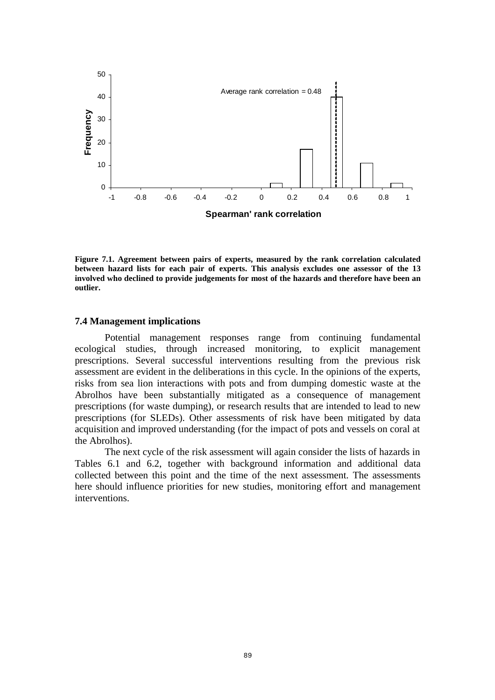

**Figure 7.1. Agreement between pairs of experts, measured by the rank correlation calculated between hazard lists for each pair of experts. This analysis excludes one assessor of the 13 involved who declined to provide judgements for most of the hazards and therefore have been an outlier.** 

#### **7.4 Management implications**

 Potential management responses range from continuing fundamental ecological studies, through increased monitoring, to explicit management prescriptions. Several successful interventions resulting from the previous risk assessment are evident in the deliberations in this cycle. In the opinions of the experts, risks from sea lion interactions with pots and from dumping domestic waste at the Abrolhos have been substantially mitigated as a consequence of management prescriptions (for waste dumping), or research results that are intended to lead to new prescriptions (for SLEDs). Other assessments of risk have been mitigated by data acquisition and improved understanding (for the impact of pots and vessels on coral at the Abrolhos).

 The next cycle of the risk assessment will again consider the lists of hazards in Tables 6.1 and 6.2, together with background information and additional data collected between this point and the time of the next assessment. The assessments here should influence priorities for new studies, monitoring effort and management interventions.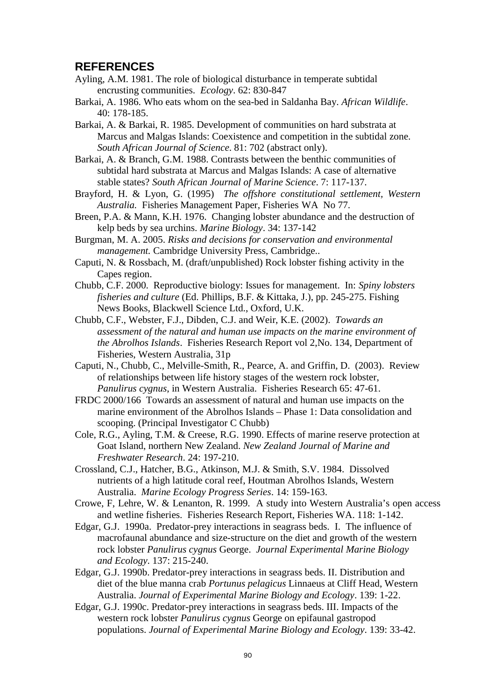# **REFERENCES**

- Ayling, A.M. 1981. The role of biological disturbance in temperate subtidal encrusting communities. *Ecology*. 62: 830-847
- Barkai, A. 1986. Who eats whom on the sea-bed in Saldanha Bay. *African Wildlife*. 40: 178-185.
- Barkai, A. & Barkai, R. 1985. Development of communities on hard substrata at Marcus and Malgas Islands: Coexistence and competition in the subtidal zone. *South African Journal of Science*. 81: 702 (abstract only).

Barkai, A. & Branch, G.M. 1988. Contrasts between the benthic communities of subtidal hard substrata at Marcus and Malgas Islands: A case of alternative stable states? *South African Journal of Marine Science*. 7: 117-137.

Brayford, H. & Lyon, G. (1995) *The offshore constitutional settlement, Western Australia.* Fisheries Management Paper, Fisheries WA No 77.

Breen, P.A. & Mann, K.H. 1976. Changing lobster abundance and the destruction of kelp beds by sea urchins. *Marine Biology*. 34: 137-142

Burgman, M. A. 2005. *Risks and decisions for conservation and environmental management.* Cambridge University Press, Cambridge..

- Caputi, N. & Rossbach, M. (draft/unpublished) Rock lobster fishing activity in the Capes region.
- Chubb, C.F. 2000. Reproductive biology: Issues for management. In: *Spiny lobsters fisheries and culture* (Ed. Phillips, B.F. & Kittaka, J.), pp. 245-275. Fishing News Books, Blackwell Science Ltd., Oxford, U.K.
- Chubb, C.F., Webster, F.J., Dibden, C.J. and Weir, K.E. (2002). *Towards an assessment of the natural and human use impacts on the marine environment of the Abrolhos Islands*. Fisheries Research Report vol 2,No. 134, Department of Fisheries, Western Australia, 31p
- Caputi, N., Chubb, C., Melville-Smith, R., Pearce, A. and Griffin, D. (2003). Review of relationships between life history stages of the western rock lobster, *Panulirus cygnus*, in Western Australia. Fisheries Research 65: 47-61.
- FRDC 2000/166 Towards an assessment of natural and human use impacts on the marine environment of the Abrolhos Islands – Phase 1: Data consolidation and scooping. (Principal Investigator C Chubb)
- Cole, R.G., Ayling, T.M. & Creese, R.G. 1990. Effects of marine reserve protection at Goat Island, northern New Zealand. *New Zealand Journal of Marine and Freshwater Research*. 24: 197-210.
- Crossland, C.J., Hatcher, B.G., Atkinson, M.J. & Smith, S.V. 1984. Dissolved nutrients of a high latitude coral reef, Houtman Abrolhos Islands, Western Australia. *Marine Ecology Progress Series*. 14: 159-163.
- Crowe, F, Lehre, W. & Lenanton, R. 1999. A study into Western Australia's open access and wetline fisheries. Fisheries Research Report, Fisheries WA. 118: 1-142.
- Edgar, G.J. 1990a. Predator-prey interactions in seagrass beds. I. The influence of macrofaunal abundance and size-structure on the diet and growth of the western rock lobster *Panulirus cygnus* George. *Journal Experimental Marine Biology and Ecology*. 137: 215-240.
- Edgar, G.J. 1990b. Predator-prey interactions in seagrass beds. II. Distribution and diet of the blue manna crab *Portunus pelagicus* Linnaeus at Cliff Head, Western Australia. *Journal of Experimental Marine Biology and Ecology*. 139: 1-22.
- Edgar, G.J. 1990c. Predator-prey interactions in seagrass beds. III. Impacts of the western rock lobster *Panulirus cygnus* George on epifaunal gastropod populations. *Journal of Experimental Marine Biology and Ecology*. 139: 33-42.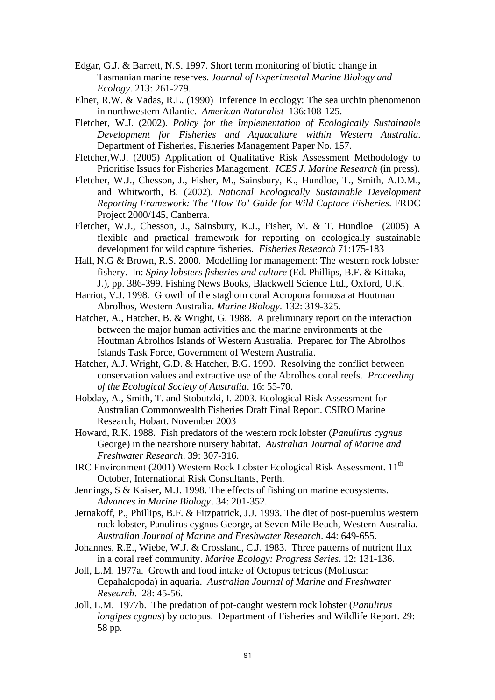- Edgar, G.J. & Barrett, N.S. 1997. Short term monitoring of biotic change in Tasmanian marine reserves. *Journal of Experimental Marine Biology and Ecology*. 213: 261-279.
- Elner, R.W. & Vadas, R.L. (1990) Inference in ecology: The sea urchin phenomenon in northwestern Atlantic. *American Naturalist* 136:108-125.
- Fletcher, W.J. (2002). *Policy for the Implementation of Ecologically Sustainable Development for Fisheries and Aquaculture within Western Australia*. Department of Fisheries, Fisheries Management Paper No. 157.
- Fletcher,W.J. (2005) Application of Qualitative Risk Assessment Methodology to Prioritise Issues for Fisheries Management. *ICES J. Marine Research* (in press).
- Fletcher, W.J., Chesson, J., Fisher, M., Sainsbury, K., Hundloe, T., Smith, A.D.M., and Whitworth, B. (2002). *National Ecologically Sustainable Development Reporting Framework: The 'How To' Guide for Wild Capture Fisheries*. FRDC Project 2000/145, Canberra.
- Fletcher, W.J., Chesson, J., Sainsbury, K.J., Fisher, M. & T. Hundloe (2005) A flexible and practical framework for reporting on ecologically sustainable development for wild capture fisheries. *Fisheries Research* 71:175-183
- Hall, N.G & Brown, R.S. 2000. Modelling for management: The western rock lobster fishery. In: *Spiny lobsters fisheries and culture* (Ed. Phillips, B.F. & Kittaka, J.), pp. 386-399. Fishing News Books, Blackwell Science Ltd., Oxford, U.K.
- Harriot, V.J. 1998. Growth of the staghorn coral Acropora formosa at Houtman Abrolhos, Western Australia. *Marine Biology*. 132: 319-325.
- Hatcher, A., Hatcher, B. & Wright, G. 1988. A preliminary report on the interaction between the major human activities and the marine environments at the Houtman Abrolhos Islands of Western Australia. Prepared for The Abrolhos Islands Task Force, Government of Western Australia.
- Hatcher, A.J. Wright, G.D. & Hatcher, B.G. 1990. Resolving the conflict between conservation values and extractive use of the Abrolhos coral reefs. *Proceeding of the Ecological Society of Australia*. 16: 55-70.
- Hobday, A., Smith, T. and Stobutzki, I. 2003. Ecological Risk Assessment for Australian Commonwealth Fisheries Draft Final Report. CSIRO Marine Research, Hobart. November 2003
- Howard, R.K. 1988. Fish predators of the western rock lobster (*Panulirus cygnus*  George) in the nearshore nursery habitat. *Australian Journal of Marine and Freshwater Research*. 39: 307-316.
- IRC Environment (2001) Western Rock Lobster Ecological Risk Assessment. 11th October, International Risk Consultants, Perth.
- Jennings, S & Kaiser, M.J. 1998. The effects of fishing on marine ecosystems. *Advances in Marine Biology*. 34: 201-352.
- Jernakoff, P., Phillips, B.F. & Fitzpatrick, J.J. 1993. The diet of post-puerulus western rock lobster, Panulirus cygnus George, at Seven Mile Beach, Western Australia. *Australian Journal of Marine and Freshwater Research*. 44: 649-655.
- Johannes, R.E., Wiebe, W.J. & Crossland, C.J. 1983. Three patterns of nutrient flux in a coral reef community. *Marine Ecology: Progress Series*. 12: 131-136.
- Joll, L.M. 1977a. Growth and food intake of Octopus tetricus (Mollusca: Cepahalopoda) in aquaria. *Australian Journal of Marine and Freshwater Research*. 28: 45-56.
- Joll, L.M. 1977b. The predation of pot-caught western rock lobster (*Panulirus longipes cygnus*) by octopus. Department of Fisheries and Wildlife Report. 29: 58 pp.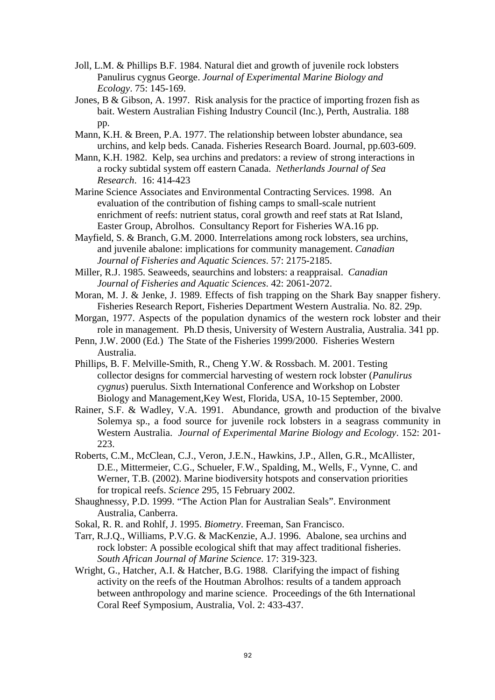- Joll, L.M. & Phillips B.F. 1984. Natural diet and growth of juvenile rock lobsters Panulirus cygnus George. *Journal of Experimental Marine Biology and Ecology*. 75: 145-169.
- Jones, B & Gibson, A. 1997. Risk analysis for the practice of importing frozen fish as bait. Western Australian Fishing Industry Council (Inc.), Perth, Australia. 188 pp.
- Mann, K.H. & Breen, P.A. 1977. The relationship between lobster abundance, sea urchins, and kelp beds. Canada. Fisheries Research Board. Journal, pp.603-609.
- Mann, K.H. 1982. Kelp, sea urchins and predators: a review of strong interactions in a rocky subtidal system off eastern Canada. *Netherlands Journal of Sea Research*. 16: 414-423
- Marine Science Associates and Environmental Contracting Services. 1998. An evaluation of the contribution of fishing camps to small-scale nutrient enrichment of reefs: nutrient status, coral growth and reef stats at Rat Island, Easter Group, Abrolhos. Consultancy Report for Fisheries WA.16 pp.
- Mayfield, S. & Branch, G.M. 2000. Interrelations among rock lobsters, sea urchins, and juvenile abalone: implications for community management. *Canadian Journal of Fisheries and Aquatic Sciences*. 57: 2175-2185.
- Miller, R.J. 1985. Seaweeds, seaurchins and lobsters: a reappraisal. *Canadian Journal of Fisheries and Aquatic Sciences*. 42: 2061-2072.
- Moran, M. J. & Jenke, J. 1989. Effects of fish trapping on the Shark Bay snapper fishery. Fisheries Research Report, Fisheries Department Western Australia. No. 82. 29p.
- Morgan, 1977. Aspects of the population dynamics of the western rock lobster and their role in management. Ph.D thesis, University of Western Australia, Australia. 341 pp.
- Penn, J.W. 2000 (Ed.) The State of the Fisheries 1999/2000. Fisheries Western Australia.
- Phillips, B. F. Melville-Smith, R., Cheng Y.W. & Rossbach. M. 2001. Testing collector designs for commercial harvesting of western rock lobster (*Panulirus cygnus*) puerulus. Sixth International Conference and Workshop on Lobster Biology and Management,Key West, Florida, USA, 10-15 September, 2000.
- Rainer, S.F. & Wadley, V.A. 1991. Abundance, growth and production of the bivalve Solemya sp., a food source for juvenile rock lobsters in a seagrass community in Western Australia. *Journal of Experimental Marine Biology and Ecology*. 152: 201- 223.
- Roberts, C.M., McClean, C.J., Veron, J.E.N., Hawkins, J.P., Allen, G.R., McAllister, D.E., Mittermeier, C.G., Schueler, F.W., Spalding, M., Wells, F., Vynne, C. and Werner, T.B. (2002). Marine biodiversity hotspots and conservation priorities for tropical reefs. *Science* 295, 15 February 2002.
- Shaughnessy, P.D. 1999. "The Action Plan for Australian Seals". Environment Australia, Canberra.
- Sokal, R. R. and Rohlf, J. 1995. *Biometry*. Freeman, San Francisco.
- Tarr, R.J.Q., Williams, P.V.G. & MacKenzie, A.J. 1996. Abalone, sea urchins and rock lobster: A possible ecological shift that may affect traditional fisheries. *South African Journal of Marine Science*. 17: 319-323.
- Wright, G., Hatcher, A.I. & Hatcher, B.G. 1988. Clarifying the impact of fishing activity on the reefs of the Houtman Abrolhos: results of a tandem approach between anthropology and marine science. Proceedings of the 6th International Coral Reef Symposium, Australia, Vol. 2: 433-437.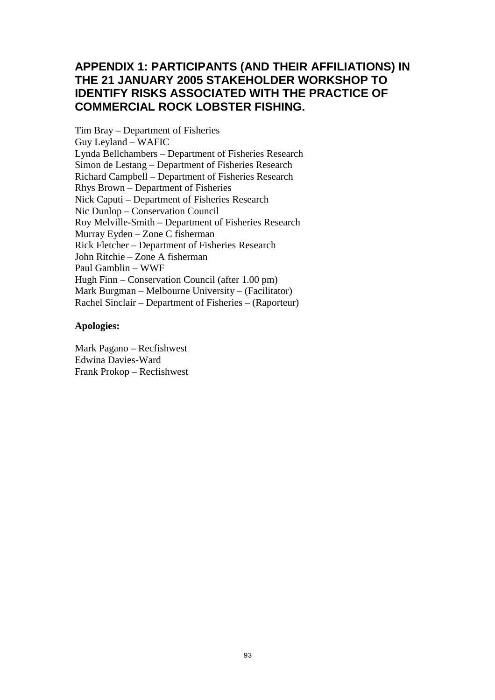# **APPENDIX 1: PARTICIPANTS (AND THEIR AFFILIATIONS) IN THE 21 JANUARY 2005 STAKEHOLDER WORKSHOP TO IDENTIFY RISKS ASSOCIATED WITH THE PRACTICE OF COMMERCIAL ROCK LOBSTER FISHING.**

Tim Bray – Department of Fisheries Guy Leyland – WAFIC Lynda Bellchambers – Department of Fisheries Research Simon de Lestang – Department of Fisheries Research Richard Campbell – Department of Fisheries Research Rhys Brown – Department of Fisheries Nick Caputi – Department of Fisheries Research Nic Dunlop – Conservation Council Roy Melville-Smith – Department of Fisheries Research Murray Eyden – Zone C fisherman Rick Fletcher – Department of Fisheries Research John Ritchie – Zone A fisherman Paul Gamblin – WWF Hugh Finn – Conservation Council (after 1.00 pm) Mark Burgman – Melbourne University – (Facilitator) Rachel Sinclair – Department of Fisheries – (Raporteur)

### **Apologies:**

Mark Pagano – Recfishwest Edwina Davies-Ward Frank Prokop – Recfishwest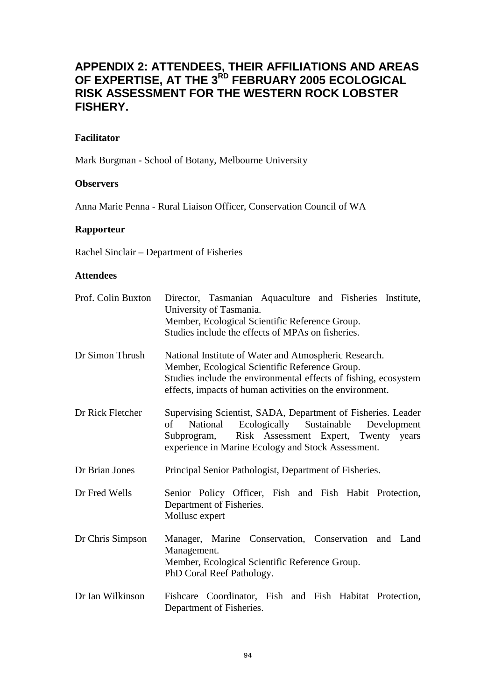# **APPENDIX 2: ATTENDEES, THEIR AFFILIATIONS AND AREAS OF EXPERTISE, AT THE 3RD FEBRUARY 2005 ECOLOGICAL RISK ASSESSMENT FOR THE WESTERN ROCK LOBSTER FISHERY.**

# **Facilitator**

Mark Burgman - School of Botany, Melbourne University

## **Observers**

Anna Marie Penna - Rural Liaison Officer, Conservation Council of WA

## **Rapporteur**

Rachel Sinclair – Department of Fisheries

## **Attendees**

| Prof. Colin Buxton | Director, Tasmanian Aquaculture and Fisheries Institute,<br>University of Tasmania.<br>Member, Ecological Scientific Reference Group.<br>Studies include the effects of MPAs on fisheries.                                             |  |  |
|--------------------|----------------------------------------------------------------------------------------------------------------------------------------------------------------------------------------------------------------------------------------|--|--|
| Dr Simon Thrush    | National Institute of Water and Atmospheric Research.<br>Member, Ecological Scientific Reference Group.<br>Studies include the environmental effects of fishing, ecosystem<br>effects, impacts of human activities on the environment. |  |  |
| Dr Rick Fletcher   | Supervising Scientist, SADA, Department of Fisheries. Leader<br>Ecologically Sustainable Development<br>of<br>National<br>Subprogram, Risk Assessment Expert, Twenty years<br>experience in Marine Ecology and Stock Assessment.       |  |  |
| Dr Brian Jones     | Principal Senior Pathologist, Department of Fisheries.                                                                                                                                                                                 |  |  |
| Dr Fred Wells      | Senior Policy Officer, Fish and Fish Habit Protection,<br>Department of Fisheries.<br>Mollusc expert                                                                                                                                   |  |  |
| Dr Chris Simpson   | Manager, Marine Conservation, Conservation and Land<br>Management.<br>Member, Ecological Scientific Reference Group.<br>PhD Coral Reef Pathology.                                                                                      |  |  |
| Dr Ian Wilkinson   | Fishcare Coordinator, Fish and Fish Habitat Protection,<br>Department of Fisheries.                                                                                                                                                    |  |  |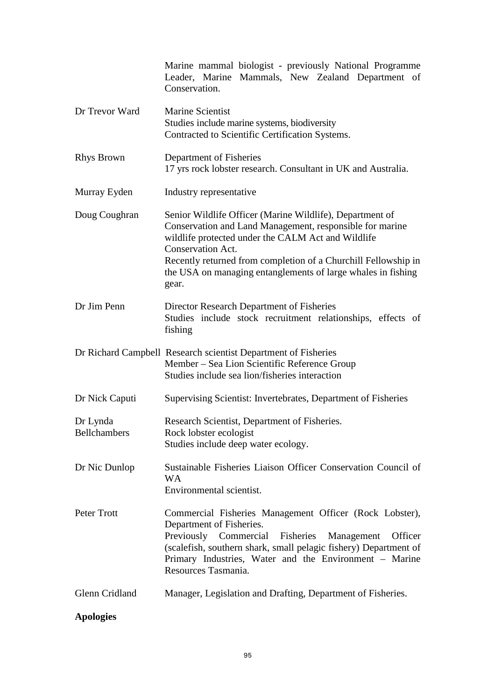|                                 | Marine mammal biologist - previously National Programme<br>Leader, Marine Mammals, New Zealand Department of<br>Conservation.                                                                                                                                                                                                                     |  |  |  |
|---------------------------------|---------------------------------------------------------------------------------------------------------------------------------------------------------------------------------------------------------------------------------------------------------------------------------------------------------------------------------------------------|--|--|--|
| Dr Trevor Ward                  | Marine Scientist<br>Studies include marine systems, biodiversity<br>Contracted to Scientific Certification Systems.                                                                                                                                                                                                                               |  |  |  |
| <b>Rhys Brown</b>               | Department of Fisheries<br>17 yrs rock lobster research. Consultant in UK and Australia.                                                                                                                                                                                                                                                          |  |  |  |
| Murray Eyden                    | Industry representative                                                                                                                                                                                                                                                                                                                           |  |  |  |
| Doug Coughran                   | Senior Wildlife Officer (Marine Wildlife), Department of<br>Conservation and Land Management, responsible for marine<br>wildlife protected under the CALM Act and Wildlife<br><b>Conservation Act.</b><br>Recently returned from completion of a Churchill Fellowship in<br>the USA on managing entanglements of large whales in fishing<br>gear. |  |  |  |
| Dr Jim Penn                     | Director Research Department of Fisheries<br>Studies include stock recruitment relationships, effects of<br>fishing                                                                                                                                                                                                                               |  |  |  |
|                                 | Dr Richard Campbell Research scientist Department of Fisheries<br>Member – Sea Lion Scientific Reference Group<br>Studies include sea lion/fisheries interaction                                                                                                                                                                                  |  |  |  |
| Dr Nick Caputi                  | Supervising Scientist: Invertebrates, Department of Fisheries                                                                                                                                                                                                                                                                                     |  |  |  |
| Dr Lynda<br><b>Bellchambers</b> | Research Scientist, Department of Fisheries.<br>Rock lobster ecologist<br>Studies include deep water ecology.                                                                                                                                                                                                                                     |  |  |  |
| Dr Nic Dunlop                   | Sustainable Fisheries Liaison Officer Conservation Council of<br><b>WA</b><br>Environmental scientist.                                                                                                                                                                                                                                            |  |  |  |
| Peter Trott                     | Commercial Fisheries Management Officer (Rock Lobster),<br>Department of Fisheries.<br>Previously<br>Commercial<br>Fisheries<br>Management<br>Officer<br>(scalefish, southern shark, small pelagic fishery) Department of<br>Primary Industries, Water and the Environment – Marine<br>Resources Tasmania.                                        |  |  |  |
| Glenn Cridland                  | Manager, Legislation and Drafting, Department of Fisheries.                                                                                                                                                                                                                                                                                       |  |  |  |

# **Apologies**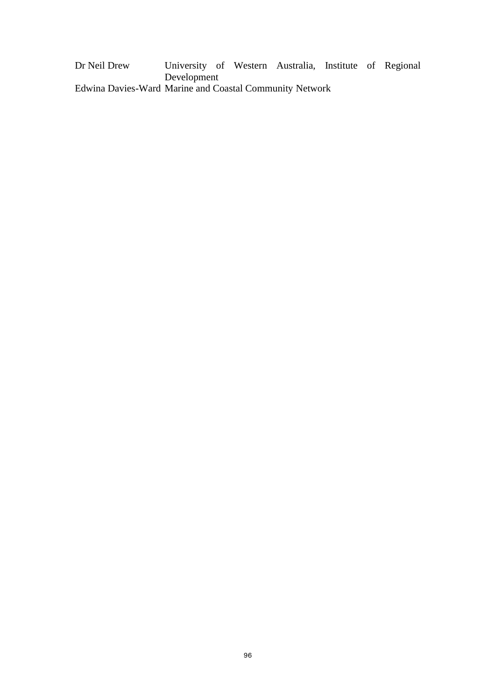Dr Neil Drew University of Western Australia, Institute of Regional Development Edwina Davies-Ward Marine and Coastal Community Network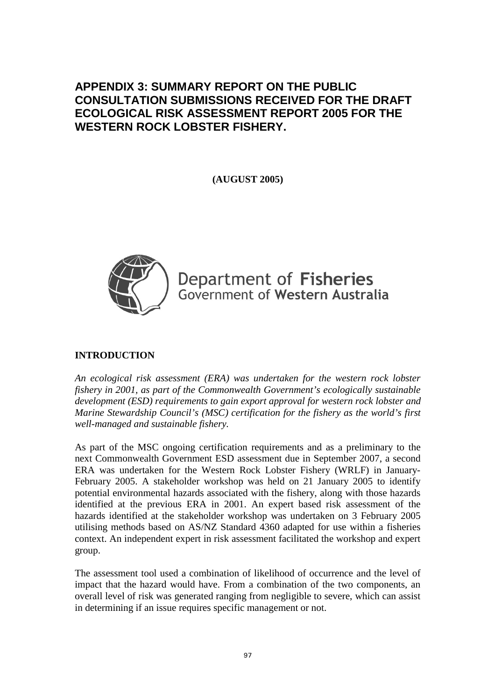# **APPENDIX 3: SUMMARY REPORT ON THE PUBLIC CONSULTATION SUBMISSIONS RECEIVED FOR THE DRAFT ECOLOGICAL RISK ASSESSMENT REPORT 2005 FOR THE WESTERN ROCK LOBSTER FISHERY.**

**(AUGUST 2005)** 



Department of Fisheries Government of Western Australia

# **INTRODUCTION**

*An ecological risk assessment (ERA) was undertaken for the western rock lobster fishery in 2001, as part of the Commonwealth Government's ecologically sustainable development (ESD) requirements to gain export approval for western rock lobster and Marine Stewardship Council's (MSC) certification for the fishery as the world's first well-managed and sustainable fishery.* 

As part of the MSC ongoing certification requirements and as a preliminary to the next Commonwealth Government ESD assessment due in September 2007, a second ERA was undertaken for the Western Rock Lobster Fishery (WRLF) in January-February 2005. A stakeholder workshop was held on 21 January 2005 to identify potential environmental hazards associated with the fishery, along with those hazards identified at the previous ERA in 2001. An expert based risk assessment of the hazards identified at the stakeholder workshop was undertaken on 3 February 2005 utilising methods based on AS/NZ Standard 4360 adapted for use within a fisheries context. An independent expert in risk assessment facilitated the workshop and expert group.

The assessment tool used a combination of likelihood of occurrence and the level of impact that the hazard would have. From a combination of the two components, an overall level of risk was generated ranging from negligible to severe, which can assist in determining if an issue requires specific management or not.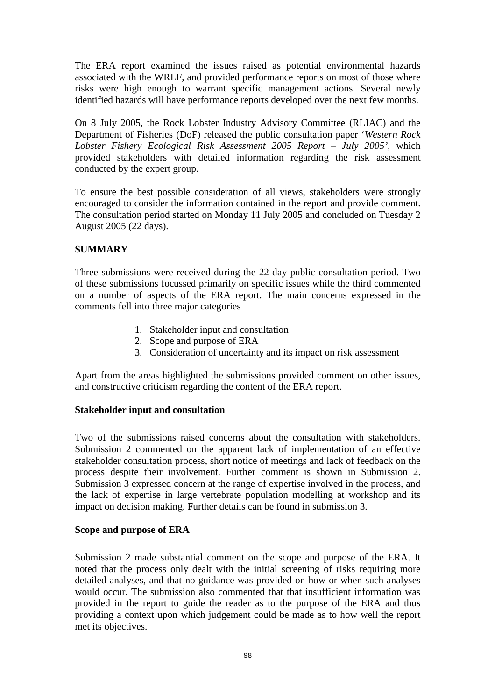The ERA report examined the issues raised as potential environmental hazards associated with the WRLF, and provided performance reports on most of those where risks were high enough to warrant specific management actions. Several newly identified hazards will have performance reports developed over the next few months.

On 8 July 2005, the Rock Lobster Industry Advisory Committee (RLIAC) and the Department of Fisheries (DoF) released the public consultation paper '*Western Rock Lobster Fishery Ecological Risk Assessment 2005 Report – July 2005'*, which provided stakeholders with detailed information regarding the risk assessment conducted by the expert group.

To ensure the best possible consideration of all views, stakeholders were strongly encouraged to consider the information contained in the report and provide comment. The consultation period started on Monday 11 July 2005 and concluded on Tuesday 2 August 2005 (22 days).

# **SUMMARY**

Three submissions were received during the 22-day public consultation period. Two of these submissions focussed primarily on specific issues while the third commented on a number of aspects of the ERA report. The main concerns expressed in the comments fell into three major categories

- 1. Stakeholder input and consultation
- 2. Scope and purpose of ERA
- 3. Consideration of uncertainty and its impact on risk assessment

Apart from the areas highlighted the submissions provided comment on other issues, and constructive criticism regarding the content of the ERA report.

### **Stakeholder input and consultation**

Two of the submissions raised concerns about the consultation with stakeholders. Submission 2 commented on the apparent lack of implementation of an effective stakeholder consultation process, short notice of meetings and lack of feedback on the process despite their involvement. Further comment is shown in Submission 2. Submission 3 expressed concern at the range of expertise involved in the process, and the lack of expertise in large vertebrate population modelling at workshop and its impact on decision making. Further details can be found in submission 3.

# **Scope and purpose of ERA**

Submission 2 made substantial comment on the scope and purpose of the ERA. It noted that the process only dealt with the initial screening of risks requiring more detailed analyses, and that no guidance was provided on how or when such analyses would occur. The submission also commented that that insufficient information was provided in the report to guide the reader as to the purpose of the ERA and thus providing a context upon which judgement could be made as to how well the report met its objectives.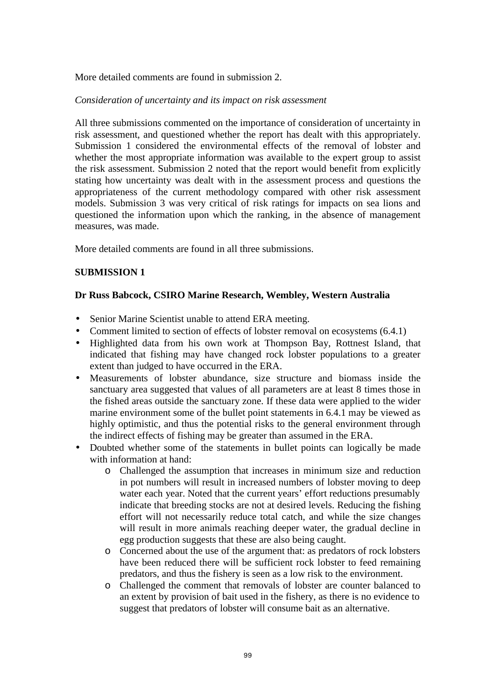More detailed comments are found in submission 2.

#### *Consideration of uncertainty and its impact on risk assessment*

All three submissions commented on the importance of consideration of uncertainty in risk assessment, and questioned whether the report has dealt with this appropriately. Submission 1 considered the environmental effects of the removal of lobster and whether the most appropriate information was available to the expert group to assist the risk assessment. Submission 2 noted that the report would benefit from explicitly stating how uncertainty was dealt with in the assessment process and questions the appropriateness of the current methodology compared with other risk assessment models. Submission 3 was very critical of risk ratings for impacts on sea lions and questioned the information upon which the ranking, in the absence of management measures, was made.

More detailed comments are found in all three submissions.

### **SUBMISSION 1**

### **Dr Russ Babcock, CSIRO Marine Research, Wembley, Western Australia**

- Senior Marine Scientist unable to attend ERA meeting.
- Comment limited to section of effects of lobster removal on ecosystems  $(6.4.1)$
- Highlighted data from his own work at Thompson Bay, Rottnest Island, that indicated that fishing may have changed rock lobster populations to a greater extent than judged to have occurred in the ERA.
- Measurements of lobster abundance, size structure and biomass inside the sanctuary area suggested that values of all parameters are at least 8 times those in the fished areas outside the sanctuary zone. If these data were applied to the wider marine environment some of the bullet point statements in 6.4.1 may be viewed as highly optimistic, and thus the potential risks to the general environment through the indirect effects of fishing may be greater than assumed in the ERA.
- Doubted whether some of the statements in bullet points can logically be made with information at hand:
	- o Challenged the assumption that increases in minimum size and reduction in pot numbers will result in increased numbers of lobster moving to deep water each year. Noted that the current years' effort reductions presumably indicate that breeding stocks are not at desired levels. Reducing the fishing effort will not necessarily reduce total catch, and while the size changes will result in more animals reaching deeper water, the gradual decline in egg production suggests that these are also being caught.
	- o Concerned about the use of the argument that: as predators of rock lobsters have been reduced there will be sufficient rock lobster to feed remaining predators, and thus the fishery is seen as a low risk to the environment.
	- o Challenged the comment that removals of lobster are counter balanced to an extent by provision of bait used in the fishery, as there is no evidence to suggest that predators of lobster will consume bait as an alternative.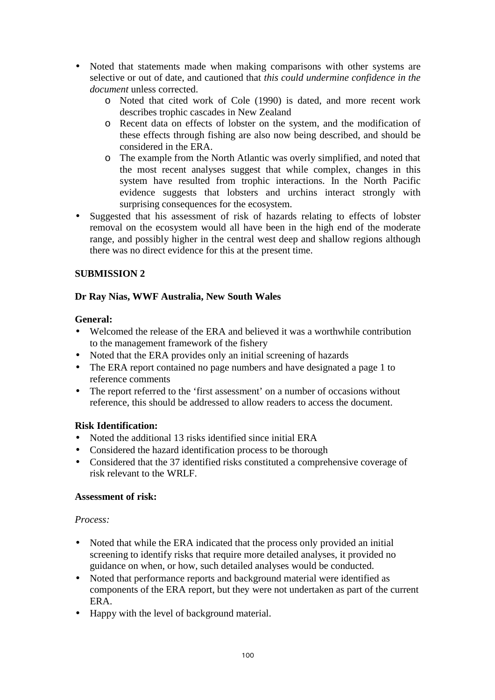- Noted that statements made when making comparisons with other systems are selective or out of date, and cautioned that *this could undermine confidence in the document* unless corrected.
	- o Noted that cited work of Cole (1990) is dated, and more recent work describes trophic cascades in New Zealand
	- o Recent data on effects of lobster on the system, and the modification of these effects through fishing are also now being described, and should be considered in the ERA.
	- o The example from the North Atlantic was overly simplified, and noted that the most recent analyses suggest that while complex, changes in this system have resulted from trophic interactions. In the North Pacific evidence suggests that lobsters and urchins interact strongly with surprising consequences for the ecosystem.
- Suggested that his assessment of risk of hazards relating to effects of lobster removal on the ecosystem would all have been in the high end of the moderate range, and possibly higher in the central west deep and shallow regions although there was no direct evidence for this at the present time.

# **SUBMISSION 2**

# **Dr Ray Nias, WWF Australia, New South Wales**

## **General:**

- Welcomed the release of the ERA and believed it was a worthwhile contribution to the management framework of the fishery
- Noted that the ERA provides only an initial screening of hazards
- The ERA report contained no page numbers and have designated a page 1 to reference comments
- The report referred to the 'first assessment' on a number of occasions without reference, this should be addressed to allow readers to access the document.

# **Risk Identification:**

- Noted the additional 13 risks identified since initial ERA
- Considered the hazard identification process to be thorough
- Considered that the 37 identified risks constituted a comprehensive coverage of risk relevant to the WRLF.

# **Assessment of risk:**

### *Process:*

- Noted that while the ERA indicated that the process only provided an initial screening to identify risks that require more detailed analyses, it provided no guidance on when, or how, such detailed analyses would be conducted.
- Noted that performance reports and background material were identified as components of the ERA report, but they were not undertaken as part of the current ERA.
- Happy with the level of background material.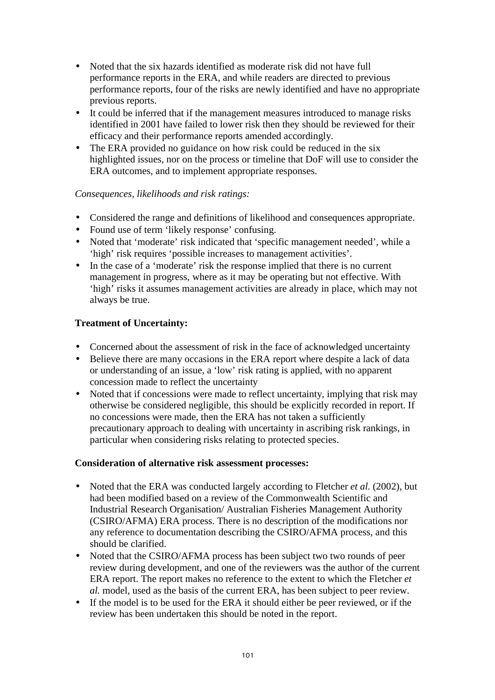- Noted that the six hazards identified as moderate risk did not have full performance reports in the ERA, and while readers are directed to previous performance reports, four of the risks are newly identified and have no appropriate previous reports.
- It could be inferred that if the management measures introduced to manage risks identified in 2001 have failed to lower risk then they should be reviewed for their efficacy and their performance reports amended accordingly.
- The ERA provided no guidance on how risk could be reduced in the six highlighted issues, nor on the process or timeline that DoF will use to consider the ERA outcomes, and to implement appropriate responses.

## *Consequences, likelihoods and risk ratings:*

- Considered the range and definitions of likelihood and consequences appropriate.
- Found use of term 'likely response' confusing.
- Noted that 'moderate' risk indicated that 'specific management needed', while a 'high' risk requires 'possible increases to management activities'.
- In the case of a 'moderate' risk the response implied that there is no current management in progress, where as it may be operating but not effective. With 'high' risks it assumes management activities are already in place, which may not always be true.

# **Treatment of Uncertainty:**

- Concerned about the assessment of risk in the face of acknowledged uncertainty
- Believe there are many occasions in the ERA report where despite a lack of data or understanding of an issue, a 'low' risk rating is applied, with no apparent concession made to reflect the uncertainty
- Noted that if concessions were made to reflect uncertainty, implying that risk may otherwise be considered negligible, this should be explicitly recorded in report. If no concessions were made, then the ERA has not taken a sufficiently precautionary approach to dealing with uncertainty in ascribing risk rankings, in particular when considering risks relating to protected species.

### **Consideration of alternative risk assessment processes:**

- Noted that the ERA was conducted largely according to Fletcher *et al.* (2002), but had been modified based on a review of the Commonwealth Scientific and Industrial Research Organisation/ Australian Fisheries Management Authority (CSIRO/AFMA) ERA process. There is no description of the modifications nor any reference to documentation describing the CSIRO/AFMA process, and this should be clarified.
- Noted that the CSIRO/AFMA process has been subject two two rounds of peer review during development, and one of the reviewers was the author of the current ERA report. The report makes no reference to the extent to which the Fletcher *et al.* model, used as the basis of the current ERA, has been subject to peer review.
- If the model is to be used for the ERA it should either be peer reviewed, or if the review has been undertaken this should be noted in the report.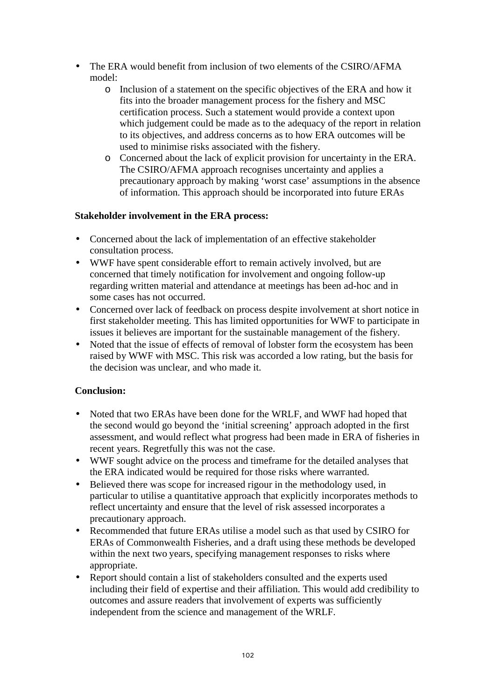- The ERA would benefit from inclusion of two elements of the CSIRO/AFMA model:
	- o Inclusion of a statement on the specific objectives of the ERA and how it fits into the broader management process for the fishery and MSC certification process. Such a statement would provide a context upon which judgement could be made as to the adequacy of the report in relation to its objectives, and address concerns as to how ERA outcomes will be used to minimise risks associated with the fishery.
	- o Concerned about the lack of explicit provision for uncertainty in the ERA. The CSIRO/AFMA approach recognises uncertainty and applies a precautionary approach by making 'worst case' assumptions in the absence of information. This approach should be incorporated into future ERAs

## **Stakeholder involvement in the ERA process:**

- Concerned about the lack of implementation of an effective stakeholder consultation process.
- WWF have spent considerable effort to remain actively involved, but are concerned that timely notification for involvement and ongoing follow-up regarding written material and attendance at meetings has been ad-hoc and in some cases has not occurred.
- Concerned over lack of feedback on process despite involvement at short notice in first stakeholder meeting. This has limited opportunities for WWF to participate in issues it believes are important for the sustainable management of the fishery.
- Noted that the issue of effects of removal of lobster form the ecosystem has been raised by WWF with MSC. This risk was accorded a low rating, but the basis for the decision was unclear, and who made it.

# **Conclusion:**

- Noted that two ERAs have been done for the WRLF, and WWF had hoped that the second would go beyond the 'initial screening' approach adopted in the first assessment, and would reflect what progress had been made in ERA of fisheries in recent years. Regretfully this was not the case.
- WWF sought advice on the process and time frame for the detailed analyses that the ERA indicated would be required for those risks where warranted.
- Believed there was scope for increased rigour in the methodology used, in particular to utilise a quantitative approach that explicitly incorporates methods to reflect uncertainty and ensure that the level of risk assessed incorporates a precautionary approach.
- Recommended that future ERAs utilise a model such as that used by CSIRO for ERAs of Commonwealth Fisheries, and a draft using these methods be developed within the next two years, specifying management responses to risks where appropriate.
- Report should contain a list of stakeholders consulted and the experts used including their field of expertise and their affiliation. This would add credibility to outcomes and assure readers that involvement of experts was sufficiently independent from the science and management of the WRLF.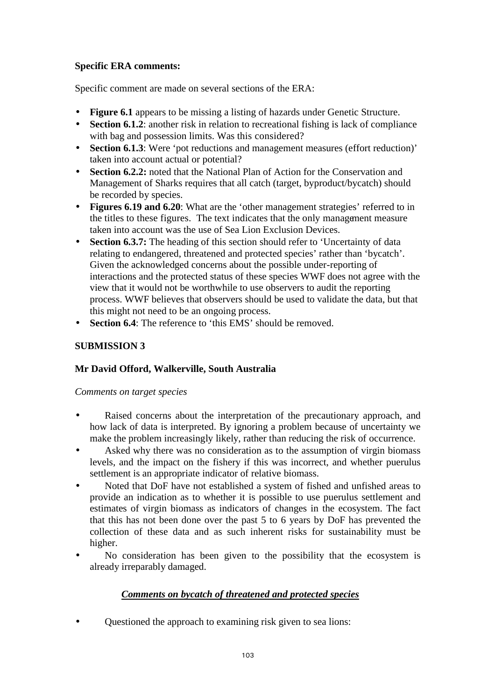# **Specific ERA comments:**

Specific comment are made on several sections of the ERA:

- **Figure 6.1** appears to be missing a listing of hazards under Genetic Structure.
- **Section 6.1.2**: another risk in relation to recreational fishing is lack of compliance with bag and possession limits. Was this considered?
- **Section 6.1.3**: Were 'pot reductions and management measures (effort reduction)' taken into account actual or potential?
- **Section 6.2.2:** noted that the National Plan of Action for the Conservation and Management of Sharks requires that all catch (target, byproduct/bycatch) should be recorded by species.
- **Figures 6.19 and 6.20**: What are the 'other management strategies' referred to in the titles to these figures. The text indicates that the only management measure taken into account was the use of Sea Lion Exclusion Devices.
- **Section 6.3.7:** The heading of this section should refer to 'Uncertainty of data relating to endangered, threatened and protected species' rather than 'bycatch'. Given the acknowledged concerns about the possible under-reporting of interactions and the protected status of these species WWF does not agree with the view that it would not be worthwhile to use observers to audit the reporting process. WWF believes that observers should be used to validate the data, but that this might not need to be an ongoing process.
- **Section 6.4**: The reference to 'this EMS' should be removed.

# **SUBMISSION 3**

# **Mr David Offord, Walkerville, South Australia**

# *Comments on target species*

- Raised concerns about the interpretation of the precautionary approach, and how lack of data is interpreted. By ignoring a problem because of uncertainty we make the problem increasingly likely, rather than reducing the risk of occurrence.
- Asked why there was no consideration as to the assumption of virgin biomass levels, and the impact on the fishery if this was incorrect, and whether puerulus settlement is an appropriate indicator of relative biomass.
- Noted that DoF have not established a system of fished and unfished areas to provide an indication as to whether it is possible to use puerulus settlement and estimates of virgin biomass as indicators of changes in the ecosystem. The fact that this has not been done over the past 5 to 6 years by DoF has prevented the collection of these data and as such inherent risks for sustainability must be higher.
- No consideration has been given to the possibility that the ecosystem is already irreparably damaged.

# *Comments on bycatch of threatened and protected species*

• Questioned the approach to examining risk given to sea lions: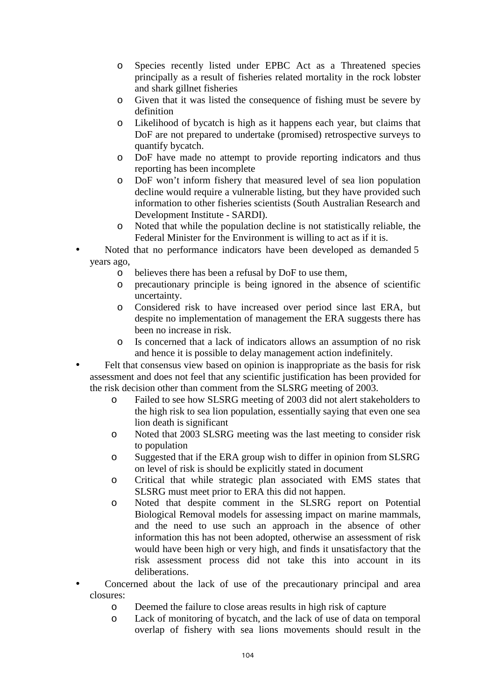- o Species recently listed under EPBC Act as a Threatened species principally as a result of fisheries related mortality in the rock lobster and shark gillnet fisheries
- o Given that it was listed the consequence of fishing must be severe by definition
- o Likelihood of bycatch is high as it happens each year, but claims that DoF are not prepared to undertake (promised) retrospective surveys to quantify bycatch.
- o DoF have made no attempt to provide reporting indicators and thus reporting has been incomplete
- o DoF won't inform fishery that measured level of sea lion population decline would require a vulnerable listing, but they have provided such information to other fisheries scientists (South Australian Research and Development Institute - SARDI).
- o Noted that while the population decline is not statistically reliable, the Federal Minister for the Environment is willing to act as if it is.
- Noted that no performance indicators have been developed as demanded 5 years ago,
	- o believes there has been a refusal by DoF to use them,
	- o precautionary principle is being ignored in the absence of scientific uncertainty.
	- o Considered risk to have increased over period since last ERA, but despite no implementation of management the ERA suggests there has been no increase in risk.
	- o Is concerned that a lack of indicators allows an assumption of no risk and hence it is possible to delay management action indefinitely.
- Felt that consensus view based on opinion is inappropriate as the basis for risk assessment and does not feel that any scientific justification has been provided for the risk decision other than comment from the SLSRG meeting of 2003.
	- o Failed to see how SLSRG meeting of 2003 did not alert stakeholders to the high risk to sea lion population, essentially saying that even one sea lion death is significant
	- o Noted that 2003 SLSRG meeting was the last meeting to consider risk to population
	- o Suggested that if the ERA group wish to differ in opinion from SLSRG on level of risk is should be explicitly stated in document
	- o Critical that while strategic plan associated with EMS states that SLSRG must meet prior to ERA this did not happen.
	- o Noted that despite comment in the SLSRG report on Potential Biological Removal models for assessing impact on marine mammals, and the need to use such an approach in the absence of other information this has not been adopted, otherwise an assessment of risk would have been high or very high, and finds it unsatisfactory that the risk assessment process did not take this into account in its deliberations.
- Concerned about the lack of use of the precautionary principal and area closures:
	- o Deemed the failure to close areas results in high risk of capture
	- o Lack of monitoring of bycatch, and the lack of use of data on temporal overlap of fishery with sea lions movements should result in the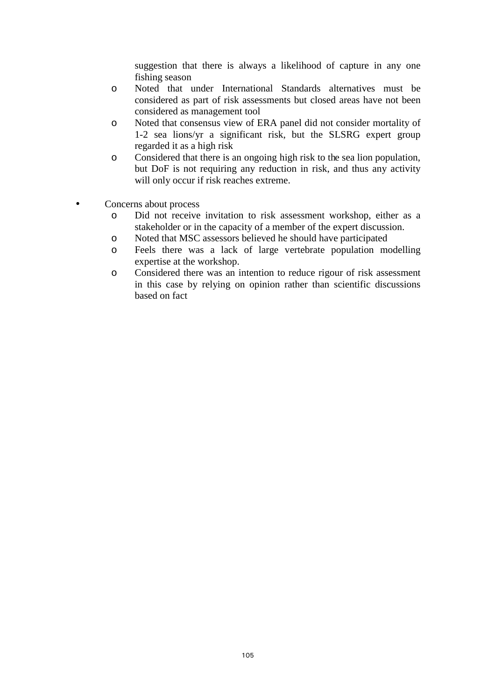suggestion that there is always a likelihood of capture in any one fishing season

- o Noted that under International Standards alternatives must be considered as part of risk assessments but closed areas have not been considered as management tool
- o Noted that consensus view of ERA panel did not consider mortality of 1-2 sea lions/yr a significant risk, but the SLSRG expert group regarded it as a high risk
- o Considered that there is an ongoing high risk to the sea lion population, but DoF is not requiring any reduction in risk, and thus any activity will only occur if risk reaches extreme.
- Concerns about process
	- o Did not receive invitation to risk assessment workshop, either as a stakeholder or in the capacity of a member of the expert discussion.
	- o Noted that MSC assessors believed he should have participated
	- o Feels there was a lack of large vertebrate population modelling expertise at the workshop.
	- o Considered there was an intention to reduce rigour of risk assessment in this case by relying on opinion rather than scientific discussions based on fact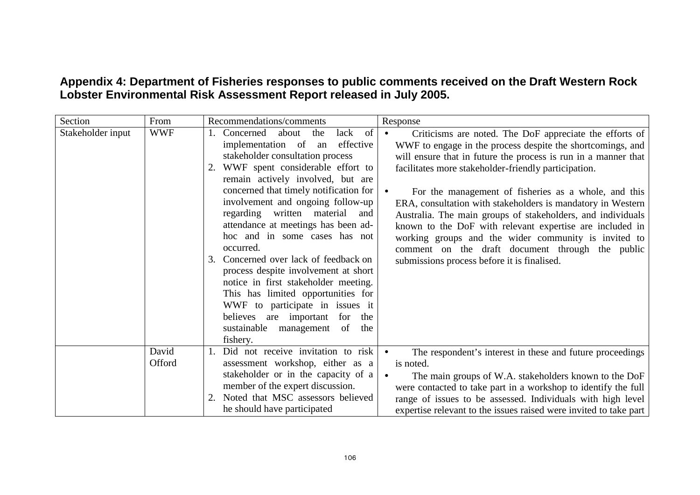# **Appendix 4: Department of Fisheries responses to public comments received on the Draft Western Rock Lobster Environmental Risk Assessment Report released in July 2005.**

| Section           | From            | Recommendations/comments                                                                                                                                                                                                                                                                                                                                                                    | Response                                                                                                                                                                                                                                                                                                                                                                                                                                                                                                                                                               |
|-------------------|-----------------|---------------------------------------------------------------------------------------------------------------------------------------------------------------------------------------------------------------------------------------------------------------------------------------------------------------------------------------------------------------------------------------------|------------------------------------------------------------------------------------------------------------------------------------------------------------------------------------------------------------------------------------------------------------------------------------------------------------------------------------------------------------------------------------------------------------------------------------------------------------------------------------------------------------------------------------------------------------------------|
| Stakeholder input | <b>WWF</b>      | of<br>Concerned<br>about<br>the<br>lack<br>implementation of<br>effective<br>an<br>stakeholder consultation process<br>2. WWF spent considerable effort to<br>remain actively involved, but are<br>concerned that timely notification for<br>involvement and ongoing follow-up<br>regarding written material<br>and<br>attendance at meetings has been ad-<br>hoc and in some cases has not | Criticisms are noted. The DoF appreciate the efforts of<br>$\bullet$<br>WWF to engage in the process despite the shortcomings, and<br>will ensure that in future the process is run in a manner that<br>facilitates more stakeholder-friendly participation.<br>For the management of fisheries as a whole, and this<br>ERA, consultation with stakeholders is mandatory in Western<br>Australia. The main groups of stakeholders, and individuals<br>known to the DoF with relevant expertise are included in<br>working groups and the wider community is invited to |
|                   |                 | occurred.<br>Concerned over lack of feedback on<br>3.<br>process despite involvement at short<br>notice in first stakeholder meeting.<br>This has limited opportunities for<br>WWF to participate in issues it<br>believes are important for the<br>sustainable management of<br>the<br>fishery.                                                                                            | comment on the draft document through the public<br>submissions process before it is finalised.                                                                                                                                                                                                                                                                                                                                                                                                                                                                        |
|                   | David<br>Offord | Did not receive invitation to risk<br>assessment workshop, either as a<br>stakeholder or in the capacity of a<br>member of the expert discussion.<br>Noted that MSC assessors believed<br>he should have participated                                                                                                                                                                       | The respondent's interest in these and future proceedings<br>is noted.<br>The main groups of W.A. stakeholders known to the DoF<br>were contacted to take part in a workshop to identify the full<br>range of issues to be assessed. Individuals with high level<br>expertise relevant to the issues raised were invited to take part                                                                                                                                                                                                                                  |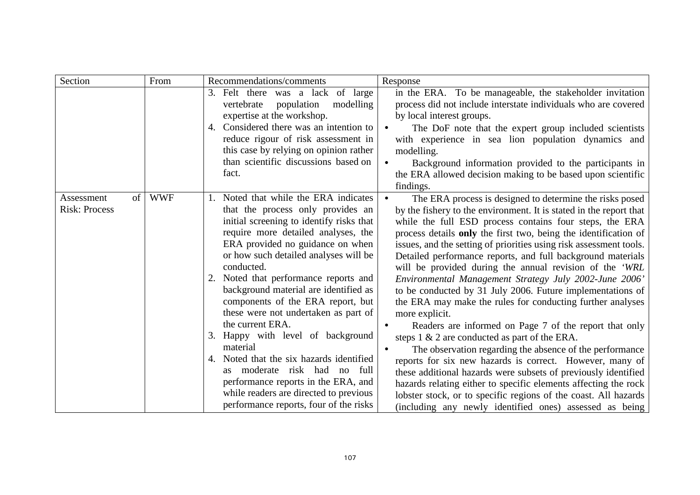| Section                                  | From       | Recommendations/comments                                                                                                                                                                                                                                                                                                                                                                                                                                                                                                                                                                                                                                                                            | Response                                                                                                                                                                                                                                                                                                                                                                                                                                                                                                                                                                                                                                                                                                                                                                                                                                                                                                                                                                                                                                                                                                                                                                      |
|------------------------------------------|------------|-----------------------------------------------------------------------------------------------------------------------------------------------------------------------------------------------------------------------------------------------------------------------------------------------------------------------------------------------------------------------------------------------------------------------------------------------------------------------------------------------------------------------------------------------------------------------------------------------------------------------------------------------------------------------------------------------------|-------------------------------------------------------------------------------------------------------------------------------------------------------------------------------------------------------------------------------------------------------------------------------------------------------------------------------------------------------------------------------------------------------------------------------------------------------------------------------------------------------------------------------------------------------------------------------------------------------------------------------------------------------------------------------------------------------------------------------------------------------------------------------------------------------------------------------------------------------------------------------------------------------------------------------------------------------------------------------------------------------------------------------------------------------------------------------------------------------------------------------------------------------------------------------|
|                                          |            | 3. Felt there was a lack of large<br>population<br>modelling<br>vertebrate<br>expertise at the workshop.<br>4. Considered there was an intention to<br>reduce rigour of risk assessment in<br>this case by relying on opinion rather<br>than scientific discussions based on<br>fact.                                                                                                                                                                                                                                                                                                                                                                                                               | in the ERA. To be manageable, the stakeholder invitation<br>process did not include interstate individuals who are covered<br>by local interest groups.<br>The DoF note that the expert group included scientists<br>with experience in sea lion population dynamics and<br>modelling.<br>Background information provided to the participants in<br>the ERA allowed decision making to be based upon scientific<br>findings.                                                                                                                                                                                                                                                                                                                                                                                                                                                                                                                                                                                                                                                                                                                                                  |
| of<br>Assessment<br><b>Risk: Process</b> | <b>WWF</b> | 1. Noted that while the ERA indicates<br>that the process only provides an<br>initial screening to identify risks that<br>require more detailed analyses, the<br>ERA provided no guidance on when<br>or how such detailed analyses will be<br>conducted.<br>2. Noted that performance reports and<br>background material are identified as<br>components of the ERA report, but<br>these were not undertaken as part of<br>the current ERA.<br>3. Happy with level of background<br>material<br>4. Noted that the six hazards identified<br>as moderate risk had no full<br>performance reports in the ERA, and<br>while readers are directed to previous<br>performance reports, four of the risks | The ERA process is designed to determine the risks posed<br>by the fishery to the environment. It is stated in the report that<br>while the full ESD process contains four steps, the ERA<br>process details only the first two, being the identification of<br>issues, and the setting of priorities using risk assessment tools.<br>Detailed performance reports, and full background materials<br>will be provided during the annual revision of the 'WRL<br>Environmental Management Strategy July 2002-June 2006'<br>to be conducted by 31 July 2006. Future implementations of<br>the ERA may make the rules for conducting further analyses<br>more explicit.<br>Readers are informed on Page 7 of the report that only<br>steps $1 \& 2$ are conducted as part of the ERA.<br>The observation regarding the absence of the performance<br>reports for six new hazards is correct. However, many of<br>these additional hazards were subsets of previously identified<br>hazards relating either to specific elements affecting the rock<br>lobster stock, or to specific regions of the coast. All hazards<br>(including any newly identified ones) assessed as being |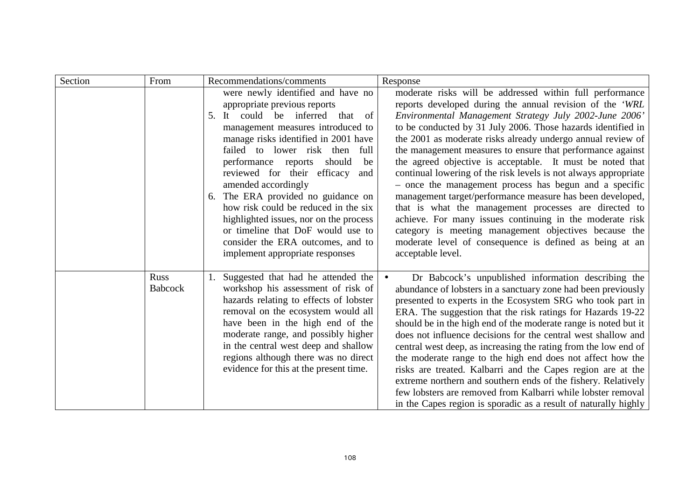| Section | From                   | Recommendations/comments                                                                                                                                                                                                                                                                                                                                                                                                                                                                                                                                           | Response                                                                                                                                                                                                                                                                                                                                                                                                                                                                                                                                                                                                                                                                                                                                                                                                                                                                                         |
|---------|------------------------|--------------------------------------------------------------------------------------------------------------------------------------------------------------------------------------------------------------------------------------------------------------------------------------------------------------------------------------------------------------------------------------------------------------------------------------------------------------------------------------------------------------------------------------------------------------------|--------------------------------------------------------------------------------------------------------------------------------------------------------------------------------------------------------------------------------------------------------------------------------------------------------------------------------------------------------------------------------------------------------------------------------------------------------------------------------------------------------------------------------------------------------------------------------------------------------------------------------------------------------------------------------------------------------------------------------------------------------------------------------------------------------------------------------------------------------------------------------------------------|
|         |                        | were newly identified and have no<br>appropriate previous reports<br>5. It could be inferred that<br>of<br>management measures introduced to<br>manage risks identified in 2001 have<br>failed to lower risk then<br>full<br>performance reports<br>should<br>be<br>reviewed for their efficacy<br>and<br>amended accordingly<br>6. The ERA provided no guidance on<br>how risk could be reduced in the six<br>highlighted issues, nor on the process<br>or timeline that DoF would use to<br>consider the ERA outcomes, and to<br>implement appropriate responses | moderate risks will be addressed within full performance<br>reports developed during the annual revision of the 'WRL<br>Environmental Management Strategy July 2002-June 2006'<br>to be conducted by 31 July 2006. Those hazards identified in<br>the 2001 as moderate risks already undergo annual review of<br>the management measures to ensure that performance against<br>the agreed objective is acceptable. It must be noted that<br>continual lowering of the risk levels is not always appropriate<br>- once the management process has begun and a specific<br>management target/performance measure has been developed,<br>that is what the management processes are directed to<br>achieve. For many issues continuing in the moderate risk<br>category is meeting management objectives because the<br>moderate level of consequence is defined as being at an<br>acceptable level. |
|         | Russ<br><b>Babcock</b> | Suggested that had he attended the<br>workshop his assessment of risk of<br>hazards relating to effects of lobster<br>removal on the ecosystem would all<br>have been in the high end of the<br>moderate range, and possibly higher<br>in the central west deep and shallow<br>regions although there was no direct<br>evidence for this at the present time.                                                                                                                                                                                                      | Dr Babcock's unpublished information describing the<br>abundance of lobsters in a sanctuary zone had been previously<br>presented to experts in the Ecosystem SRG who took part in<br>ERA. The suggestion that the risk ratings for Hazards 19-22<br>should be in the high end of the moderate range is noted but it<br>does not influence decisions for the central west shallow and<br>central west deep, as increasing the rating from the low end of<br>the moderate range to the high end does not affect how the<br>risks are treated. Kalbarri and the Capes region are at the<br>extreme northern and southern ends of the fishery. Relatively<br>few lobsters are removed from Kalbarri while lobster removal<br>in the Capes region is sporadic as a result of naturally highly                                                                                                        |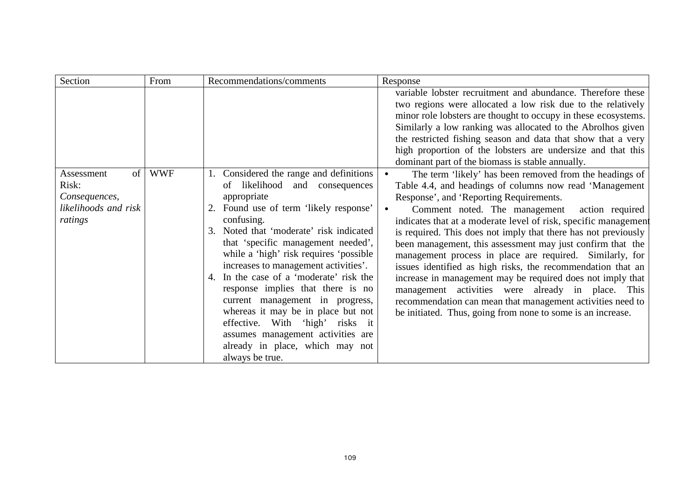| Section                                                                       | From       | Recommendations/comments                                                                                                                                                                                                                                                                                                                                                                                                                                                                                                                                                                                      | Response                                                                                                                                                                                                                                                                                                                                                                                                                                                                                                                                                                                                                                                                                                                                                                                                     |
|-------------------------------------------------------------------------------|------------|---------------------------------------------------------------------------------------------------------------------------------------------------------------------------------------------------------------------------------------------------------------------------------------------------------------------------------------------------------------------------------------------------------------------------------------------------------------------------------------------------------------------------------------------------------------------------------------------------------------|--------------------------------------------------------------------------------------------------------------------------------------------------------------------------------------------------------------------------------------------------------------------------------------------------------------------------------------------------------------------------------------------------------------------------------------------------------------------------------------------------------------------------------------------------------------------------------------------------------------------------------------------------------------------------------------------------------------------------------------------------------------------------------------------------------------|
|                                                                               |            |                                                                                                                                                                                                                                                                                                                                                                                                                                                                                                                                                                                                               | variable lobster recruitment and abundance. Therefore these<br>two regions were allocated a low risk due to the relatively<br>minor role lobsters are thought to occupy in these ecosystems.<br>Similarly a low ranking was allocated to the Abrolhos given<br>the restricted fishing season and data that show that a very<br>high proportion of the lobsters are undersize and that this<br>dominant part of the biomass is stable annually.                                                                                                                                                                                                                                                                                                                                                               |
| of<br>Assessment<br>Risk:<br>Consequences,<br>likelihoods and risk<br>ratings | <b>WWF</b> | 1. Considered the range and definitions<br>likelihood and consequences<br>of<br>appropriate<br>2. Found use of term 'likely response'<br>confusing.<br>3. Noted that 'moderate' risk indicated<br>that 'specific management needed',<br>while a 'high' risk requires 'possible<br>increases to management activities'.<br>4. In the case of a 'moderate' risk the<br>response implies that there is no<br>current management in progress,<br>whereas it may be in place but not<br>effective. With 'high' risks it<br>assumes management activities are<br>already in place, which may not<br>always be true. | The term 'likely' has been removed from the headings of<br>$\bullet$<br>Table 4.4, and headings of columns now read 'Management<br>Response', and 'Reporting Requirements.<br>Comment noted. The management<br>action required<br>indicates that at a moderate level of risk, specific management<br>is required. This does not imply that there has not previously<br>been management, this assessment may just confirm that the<br>management process in place are required. Similarly, for<br>issues identified as high risks, the recommendation that an<br>increase in management may be required does not imply that<br>management activities were already in place. This<br>recommendation can mean that management activities need to<br>be initiated. Thus, going from none to some is an increase. |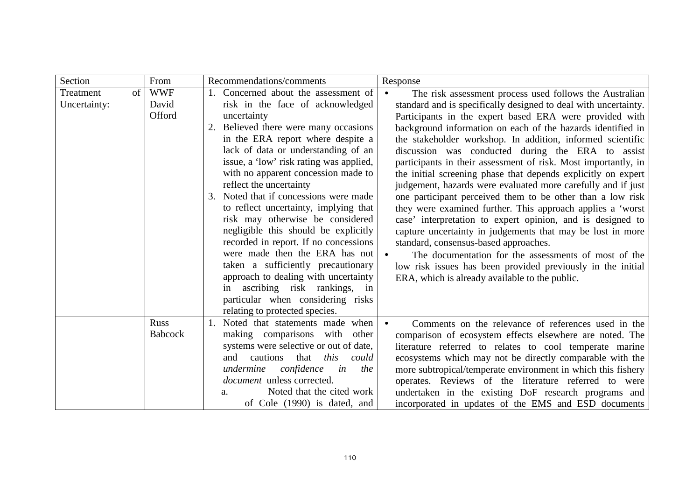| Section                         | From                          | Recommendations/comments                                                                                                                                                                                                                                                                                                                                                                                                                                                                                                                                                                                                                                                                                                                                   | Response                                                                                                                                                                                                                                                                                                                                                                                                                                                                                                                                                                                                                                                                                                                                                                                                                                                                                                                                                                                                                                             |
|---------------------------------|-------------------------------|------------------------------------------------------------------------------------------------------------------------------------------------------------------------------------------------------------------------------------------------------------------------------------------------------------------------------------------------------------------------------------------------------------------------------------------------------------------------------------------------------------------------------------------------------------------------------------------------------------------------------------------------------------------------------------------------------------------------------------------------------------|------------------------------------------------------------------------------------------------------------------------------------------------------------------------------------------------------------------------------------------------------------------------------------------------------------------------------------------------------------------------------------------------------------------------------------------------------------------------------------------------------------------------------------------------------------------------------------------------------------------------------------------------------------------------------------------------------------------------------------------------------------------------------------------------------------------------------------------------------------------------------------------------------------------------------------------------------------------------------------------------------------------------------------------------------|
| Treatment<br>of<br>Uncertainty: | <b>WWF</b><br>David<br>Offord | Concerned about the assessment of<br>risk in the face of acknowledged<br>uncertainty<br>2. Believed there were many occasions<br>in the ERA report where despite a<br>lack of data or understanding of an<br>issue, a 'low' risk rating was applied,<br>with no apparent concession made to<br>reflect the uncertainty<br>3. Noted that if concessions were made<br>to reflect uncertainty, implying that<br>risk may otherwise be considered<br>negligible this should be explicitly<br>recorded in report. If no concessions<br>were made then the ERA has not<br>taken a sufficiently precautionary<br>approach to dealing with uncertainty<br>ascribing risk rankings, in<br>in<br>particular when considering risks<br>relating to protected species. | The risk assessment process used follows the Australian<br>standard and is specifically designed to deal with uncertainty.<br>Participants in the expert based ERA were provided with<br>background information on each of the hazards identified in<br>the stakeholder workshop. In addition, informed scientific<br>discussion was conducted during the ERA to assist<br>participants in their assessment of risk. Most importantly, in<br>the initial screening phase that depends explicitly on expert<br>judgement, hazards were evaluated more carefully and if just<br>one participant perceived them to be other than a low risk<br>they were examined further. This approach applies a 'worst<br>case' interpretation to expert opinion, and is designed to<br>capture uncertainty in judgements that may be lost in more<br>standard, consensus-based approaches.<br>The documentation for the assessments of most of the<br>low risk issues has been provided previously in the initial<br>ERA, which is already available to the public. |
|                                 | <b>Russ</b><br><b>Babcock</b> | Noted that statements made when<br>making comparisons with<br>other<br>systems were selective or out of date,<br>cautions<br>that<br>this<br>and<br>could<br>confidence<br>undermine<br>in<br>the<br><i>document</i> unless corrected.<br>Noted that the cited work<br>a.<br>of Cole (1990) is dated, and                                                                                                                                                                                                                                                                                                                                                                                                                                                  | Comments on the relevance of references used in the<br>comparison of ecosystem effects elsewhere are noted. The<br>literature referred to relates to cool temperate marine<br>ecosystems which may not be directly comparable with the<br>more subtropical/temperate environment in which this fishery<br>operates. Reviews of the literature referred to were<br>undertaken in the existing DoF research programs and<br>incorporated in updates of the EMS and ESD documents                                                                                                                                                                                                                                                                                                                                                                                                                                                                                                                                                                       |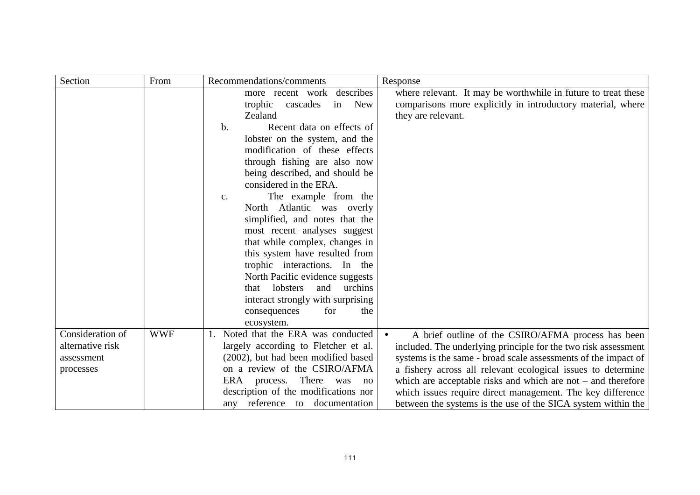| Section          | From       | Recommendations/comments                    | Response                                                       |
|------------------|------------|---------------------------------------------|----------------------------------------------------------------|
|                  |            | describes<br>more recent work               | where relevant. It may be worthwhile in future to treat these  |
|                  |            | <b>New</b><br>trophic<br>cascades<br>in     | comparisons more explicitly in introductory material, where    |
|                  |            | Zealand                                     | they are relevant.                                             |
|                  |            | Recent data on effects of<br>$\mathbf{b}$ . |                                                                |
|                  |            | lobster on the system, and the              |                                                                |
|                  |            | modification of these effects               |                                                                |
|                  |            | through fishing are also now                |                                                                |
|                  |            | being described, and should be              |                                                                |
|                  |            | considered in the ERA.                      |                                                                |
|                  |            | The example from the<br>$\mathbf{c}$ .      |                                                                |
|                  |            | North Atlantic was overly                   |                                                                |
|                  |            | simplified, and notes that the              |                                                                |
|                  |            | most recent analyses suggest                |                                                                |
|                  |            | that while complex, changes in              |                                                                |
|                  |            | this system have resulted from              |                                                                |
|                  |            | trophic interactions. In the                |                                                                |
|                  |            | North Pacific evidence suggests             |                                                                |
|                  |            | lobsters<br>urchins<br>and<br>that          |                                                                |
|                  |            | interact strongly with surprising           |                                                                |
|                  |            | for<br>the<br>consequences                  |                                                                |
|                  |            | ecosystem.                                  |                                                                |
| Consideration of | <b>WWF</b> | Noted that the ERA was conducted            | A brief outline of the CSIRO/AFMA process has been             |
| alternative risk |            | largely according to Fletcher et al.        | included. The underlying principle for the two risk assessment |
| assessment       |            | (2002), but had been modified based         | systems is the same - broad scale assessments of the impact of |
| processes        |            | on a review of the CSIRO/AFMA               | a fishery across all relevant ecological issues to determine   |
|                  |            | There was<br>ERA process.<br>no             | which are acceptable risks and which are not $-$ and therefore |
|                  |            | description of the modifications nor        | which issues require direct management. The key difference     |
|                  |            | any reference to documentation              | between the systems is the use of the SICA system within the   |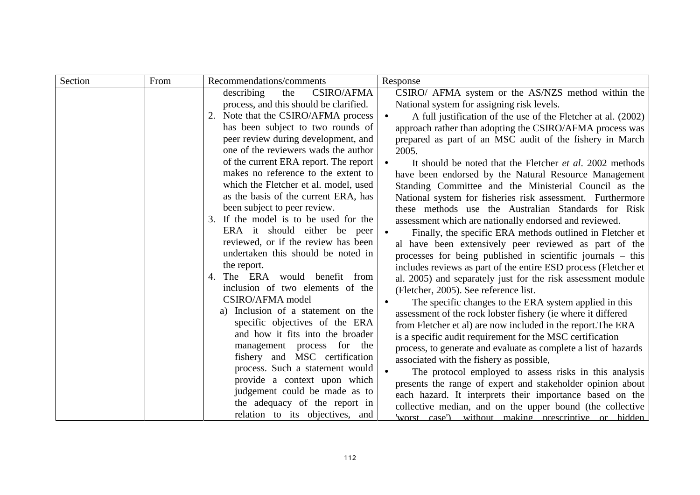| Section | From | Recommendations/comments                                                      | Response                                                                                                          |
|---------|------|-------------------------------------------------------------------------------|-------------------------------------------------------------------------------------------------------------------|
|         |      | <b>CSIRO/AFMA</b><br>describing<br>the                                        | CSIRO/ AFMA system or the AS/NZS method within the                                                                |
|         |      | process, and this should be clarified.                                        | National system for assigning risk levels.                                                                        |
|         |      | 2. Note that the CSIRO/AFMA process                                           | A full justification of the use of the Fletcher at al. (2002)                                                     |
|         |      | has been subject to two rounds of                                             | approach rather than adopting the CSIRO/AFMA process was                                                          |
|         |      | peer review during development, and                                           | prepared as part of an MSC audit of the fishery in March                                                          |
|         |      | one of the reviewers wads the author                                          | 2005.                                                                                                             |
|         |      | of the current ERA report. The report                                         | It should be noted that the Fletcher et al. 2002 methods                                                          |
|         |      | makes no reference to the extent to                                           | have been endorsed by the Natural Resource Management                                                             |
|         |      | which the Fletcher et al. model, used<br>as the basis of the current ERA, has | Standing Committee and the Ministerial Council as the                                                             |
|         |      | been subject to peer review.                                                  | National system for fisheries risk assessment. Furthermore<br>these methods use the Australian Standards for Risk |
|         |      | 3. If the model is to be used for the                                         | assessment which are nationally endorsed and reviewed.                                                            |
|         |      | ERA it should either be peer                                                  | Finally, the specific ERA methods outlined in Fletcher et                                                         |
|         |      | reviewed, or if the review has been                                           | al have been extensively peer reviewed as part of the                                                             |
|         |      | undertaken this should be noted in                                            | processes for being published in scientific journals – this                                                       |
|         |      | the report.                                                                   | includes reviews as part of the entire ESD process (Fletcher et                                                   |
|         |      | 4. The ERA would benefit from                                                 | al. 2005) and separately just for the risk assessment module                                                      |
|         |      | inclusion of two elements of the                                              | (Fletcher, 2005). See reference list.                                                                             |
|         |      | CSIRO/AFMA model                                                              | The specific changes to the ERA system applied in this                                                            |
|         |      | Inclusion of a statement on the<br>a)                                         | assessment of the rock lobster fishery (ie where it differed                                                      |
|         |      | specific objectives of the ERA                                                | from Fletcher et al) are now included in the report. The ERA                                                      |
|         |      | and how it fits into the broader                                              | is a specific audit requirement for the MSC certification                                                         |
|         |      | management process for the                                                    | process, to generate and evaluate as complete a list of hazards                                                   |
|         |      | fishery and MSC certification                                                 | associated with the fishery as possible,                                                                          |
|         |      | process. Such a statement would                                               | The protocol employed to assess risks in this analysis                                                            |
|         |      | provide a context upon which<br>judgement could be made as to                 | presents the range of expert and stakeholder opinion about                                                        |
|         |      | the adequacy of the report in                                                 | each hazard. It interprets their importance based on the                                                          |
|         |      | relation to its objectives, and                                               | collective median, and on the upper bound (the collective                                                         |
|         |      |                                                                               | 'worst case') without making prescriptive or hidden                                                               |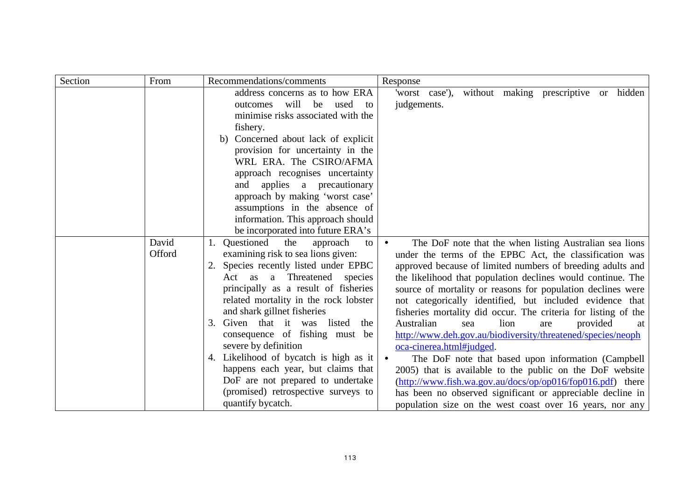| Section | From   | Recommendations/comments               | Response                                                                                                                |
|---------|--------|----------------------------------------|-------------------------------------------------------------------------------------------------------------------------|
|         |        | address concerns as to how ERA         | without making prescriptive<br>'worst case'),<br>hidden<br><sub>or</sub>                                                |
|         |        | will<br>be<br>used<br>outcomes<br>to   | judgements.                                                                                                             |
|         |        | minimise risks associated with the     |                                                                                                                         |
|         |        | fishery.                               |                                                                                                                         |
|         |        | Concerned about lack of explicit<br>b) |                                                                                                                         |
|         |        | provision for uncertainty in the       |                                                                                                                         |
|         |        | WRL ERA. The CSIRO/AFMA                |                                                                                                                         |
|         |        | approach recognises uncertainty        |                                                                                                                         |
|         |        | and applies a precautionary            |                                                                                                                         |
|         |        | approach by making 'worst case'        |                                                                                                                         |
|         |        | assumptions in the absence of          |                                                                                                                         |
|         |        | information. This approach should      |                                                                                                                         |
|         |        | be incorporated into future ERA's      |                                                                                                                         |
|         | David  | 1. Questioned<br>the<br>approach<br>to | The DoF note that the when listing Australian sea lions                                                                 |
|         | Offord | examining risk to sea lions given:     | under the terms of the EPBC Act, the classification was                                                                 |
|         |        | 2. Species recently listed under EPBC  | approved because of limited numbers of breeding adults and                                                              |
|         |        | a Threatened species<br>Act as         | the likelihood that population declines would continue. The                                                             |
|         |        | principally as a result of fisheries   | source of mortality or reasons for population declines were                                                             |
|         |        | related mortality in the rock lobster  | not categorically identified, but included evidence that                                                                |
|         |        | and shark gillnet fisheries            | fisheries mortality did occur. The criteria for listing of the                                                          |
|         |        | 3. Given that it was listed<br>the     | Australian<br>lion<br>provided<br>sea<br>are<br>at                                                                      |
|         |        | consequence of fishing must be         | http://www.deh.gov.au/biodiversity/threatened/species/neoph                                                             |
|         |        | severe by definition                   | oca-cinerea.html#judged.                                                                                                |
|         |        | 4. Likelihood of bycatch is high as it | The DoF note that based upon information (Campbell                                                                      |
|         |        | happens each year, but claims that     | 2005) that is available to the public on the DoF website                                                                |
|         |        | DoF are not prepared to undertake      | $(\frac{http://www.fish.wa.gov.au/docs/op/op016/fop016.pdf}{http://www.fish.wa.gov.au/docs/op/op016/fop016.pdf})$ there |
|         |        | (promised) retrospective surveys to    | has been no observed significant or appreciable decline in                                                              |
|         |        | quantify bycatch.                      | population size on the west coast over 16 years, nor any                                                                |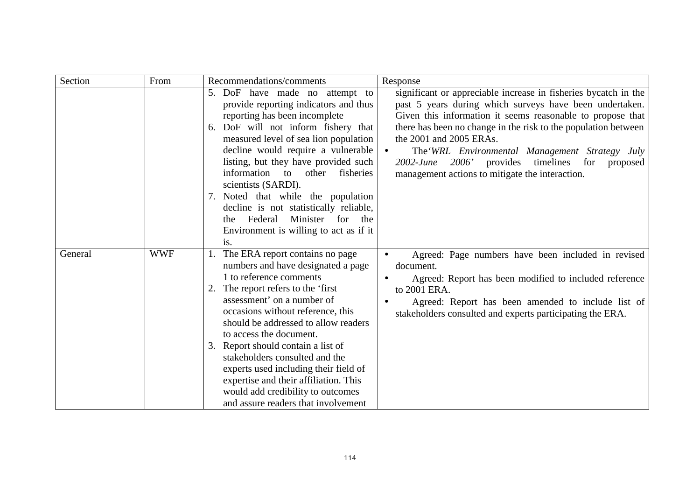| Section | From       | Recommendations/comments                                                                                                                                                                                                                                                                                                                                                                                                                                                                                              | Response                                                                                                                                                                                                                                                                                                                                                                                                                                                        |
|---------|------------|-----------------------------------------------------------------------------------------------------------------------------------------------------------------------------------------------------------------------------------------------------------------------------------------------------------------------------------------------------------------------------------------------------------------------------------------------------------------------------------------------------------------------|-----------------------------------------------------------------------------------------------------------------------------------------------------------------------------------------------------------------------------------------------------------------------------------------------------------------------------------------------------------------------------------------------------------------------------------------------------------------|
|         |            | 5. DoF have made no attempt to<br>provide reporting indicators and thus<br>reporting has been incomplete<br>6. DoF will not inform fishery that<br>measured level of sea lion population<br>decline would require a vulnerable<br>listing, but they have provided such<br>information to<br>other<br>fisheries<br>scientists (SARDI).<br>7. Noted that while the population<br>decline is not statistically reliable,<br>Federal<br>Minister<br>for<br>the<br>the t<br>Environment is willing to act as if it<br>is.  | significant or appreciable increase in fisheries bycatch in the<br>past 5 years during which surveys have been undertaken.<br>Given this information it seems reasonable to propose that<br>there has been no change in the risk to the population between<br>the 2001 and 2005 ERAs.<br>The WRL Environmental Management Strategy July<br>2006'<br>provides<br>timelines<br>for<br>$2002$ -June<br>proposed<br>management actions to mitigate the interaction. |
| General | <b>WWF</b> | 1. The ERA report contains no page<br>numbers and have designated a page<br>1 to reference comments<br>2. The report refers to the 'first<br>assessment' on a number of<br>occasions without reference, this<br>should be addressed to allow readers<br>to access the document.<br>3. Report should contain a list of<br>stakeholders consulted and the<br>experts used including their field of<br>expertise and their affiliation. This<br>would add credibility to outcomes<br>and assure readers that involvement | Agreed: Page numbers have been included in revised<br>document.<br>Agreed: Report has been modified to included reference<br>to 2001 ERA.<br>Agreed: Report has been amended to include list of<br>stakeholders consulted and experts participating the ERA.                                                                                                                                                                                                    |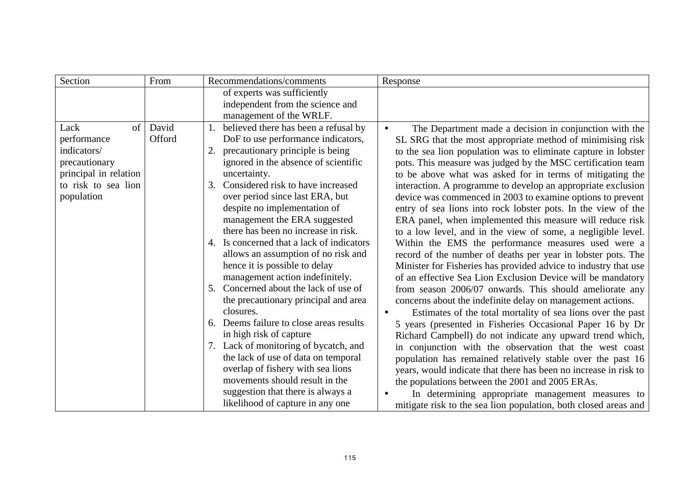| Section               | From   | Recommendations/comments                  | Response                                                         |
|-----------------------|--------|-------------------------------------------|------------------------------------------------------------------|
|                       |        | of experts was sufficiently               |                                                                  |
|                       |        | independent from the science and          |                                                                  |
|                       |        | management of the WRLF.                   |                                                                  |
| Lack<br>of            | David  | 1. believed there has been a refusal by   | The Department made a decision in conjunction with the           |
| performance           | Offord | DoF to use performance indicators,        | SL SRG that the most appropriate method of minimising risk       |
| indicators/           |        | precautionary principle is being          | to the sea lion population was to eliminate capture in lobster   |
| precautionary         |        | ignored in the absence of scientific      | pots. This measure was judged by the MSC certification team      |
| principal in relation |        | uncertainty.                              | to be above what was asked for in terms of mitigating the        |
| to risk to sea lion   |        | 3. Considered risk to have increased      | interaction. A programme to develop an appropriate exclusion     |
| population            |        | over period since last ERA, but           | device was commenced in 2003 to examine options to prevent       |
|                       |        | despite no implementation of              | entry of sea lions into rock lobster pots. In the view of the    |
|                       |        | management the ERA suggested              | ERA panel, when implemented this measure will reduce risk        |
|                       |        | there has been no increase in risk.       | to a low level, and in the view of some, a negligible level.     |
|                       |        | 4. Is concerned that a lack of indicators | Within the EMS the performance measures used were a              |
|                       |        | allows an assumption of no risk and       | record of the number of deaths per year in lobster pots. The     |
|                       |        | hence it is possible to delay             | Minister for Fisheries has provided advice to industry that use  |
|                       |        | management action indefinitely.           | of an effective Sea Lion Exclusion Device will be mandatory      |
|                       |        | 5. Concerned about the lack of use of     | from season 2006/07 onwards. This should ameliorate any          |
|                       |        | the precautionary principal and area      | concerns about the indefinite delay on management actions.       |
|                       |        | closures.                                 | Estimates of the total mortality of sea lions over the past      |
|                       |        | 6. Deems failure to close areas results   | 5 years (presented in Fisheries Occasional Paper 16 by Dr        |
|                       |        | in high risk of capture                   | Richard Campbell) do not indicate any upward trend which,        |
|                       |        | 7. Lack of monitoring of bycatch, and     | in conjunction with the observation that the west coast          |
|                       |        | the lack of use of data on temporal       | population has remained relatively stable over the past 16       |
|                       |        | overlap of fishery with sea lions         | years, would indicate that there has been no increase in risk to |
|                       |        | movements should result in the            | the populations between the 2001 and 2005 ERAs.                  |
|                       |        | suggestion that there is always a         | In determining appropriate management measures to                |
|                       |        | likelihood of capture in any one          | mitigate risk to the sea lion population, both closed areas and  |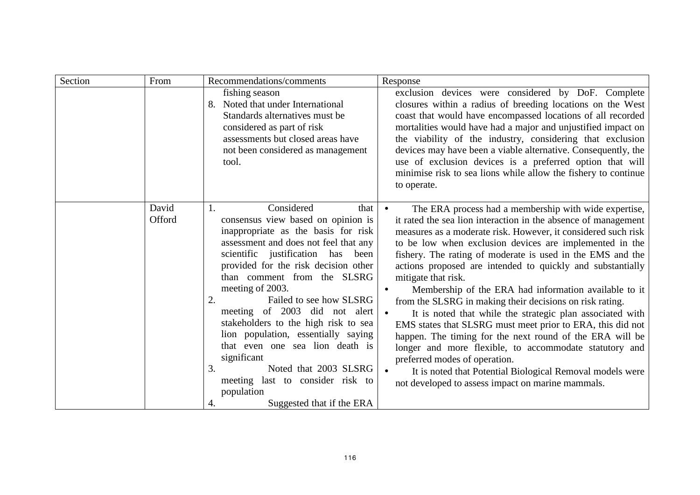| Section | From            | Recommendations/comments                                                                                                                                                                                                                                                                                                                                                                                                                                                                                                                                                                                 | Response                                                                                                                                                                                                                                                                                                                                                                                                                                                                                                                                                                                                                                                                                                                                                                                                                                                                                                                                     |
|---------|-----------------|----------------------------------------------------------------------------------------------------------------------------------------------------------------------------------------------------------------------------------------------------------------------------------------------------------------------------------------------------------------------------------------------------------------------------------------------------------------------------------------------------------------------------------------------------------------------------------------------------------|----------------------------------------------------------------------------------------------------------------------------------------------------------------------------------------------------------------------------------------------------------------------------------------------------------------------------------------------------------------------------------------------------------------------------------------------------------------------------------------------------------------------------------------------------------------------------------------------------------------------------------------------------------------------------------------------------------------------------------------------------------------------------------------------------------------------------------------------------------------------------------------------------------------------------------------------|
|         |                 | fishing season<br>8. Noted that under International<br>Standards alternatives must be<br>considered as part of risk<br>assessments but closed areas have<br>not been considered as management<br>tool.                                                                                                                                                                                                                                                                                                                                                                                                   | exclusion devices were considered by DoF. Complete<br>closures within a radius of breeding locations on the West<br>coast that would have encompassed locations of all recorded<br>mortalities would have had a major and unjustified impact on<br>the viability of the industry, considering that exclusion<br>devices may have been a viable alternative. Consequently, the<br>use of exclusion devices is a preferred option that will<br>minimise risk to sea lions while allow the fishery to continue<br>to operate.                                                                                                                                                                                                                                                                                                                                                                                                                   |
|         | David<br>Offord | Considered<br>that<br>1.<br>consensus view based on opinion is<br>inappropriate as the basis for risk<br>assessment and does not feel that any<br>scientific justification has<br>been<br>provided for the risk decision other<br>than comment from the SLSRG<br>meeting of 2003.<br>2.<br>Failed to see how SLSRG<br>meeting of 2003 did not alert<br>stakeholders to the high risk to sea<br>lion population, essentially saying<br>that even one sea lion death is<br>significant<br>3.<br>Noted that 2003 SLSRG<br>meeting last to consider risk to<br>population<br>Suggested that if the ERA<br>4. | The ERA process had a membership with wide expertise,<br>$\bullet$<br>it rated the sea lion interaction in the absence of management<br>measures as a moderate risk. However, it considered such risk<br>to be low when exclusion devices are implemented in the<br>fishery. The rating of moderate is used in the EMS and the<br>actions proposed are intended to quickly and substantially<br>mitigate that risk.<br>Membership of the ERA had information available to it<br>from the SLSRG in making their decisions on risk rating.<br>It is noted that while the strategic plan associated with<br>EMS states that SLSRG must meet prior to ERA, this did not<br>happen. The timing for the next round of the ERA will be<br>longer and more flexible, to accommodate statutory and<br>preferred modes of operation.<br>It is noted that Potential Biological Removal models were<br>not developed to assess impact on marine mammals. |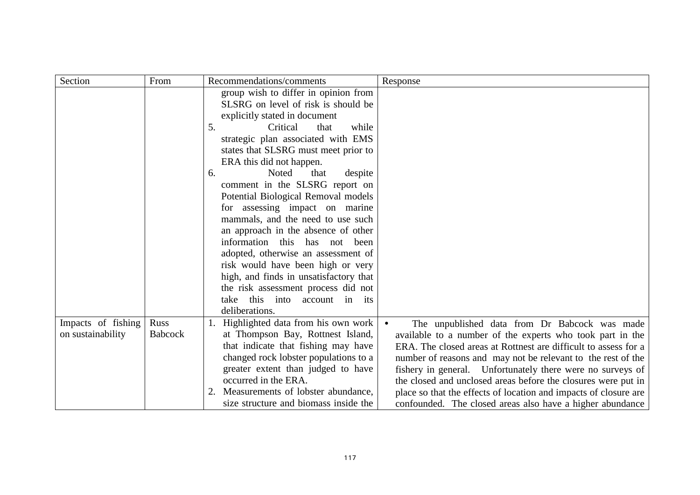| Section                                 | From                   | Recommendations/comments                                                                                                                                                                                                                                                                                                                                                                                                                                                                                                                                                                                                                                                                                                | Response                                                                                                                                                                                                                                                                                                                                                                                                                                                                                                      |
|-----------------------------------------|------------------------|-------------------------------------------------------------------------------------------------------------------------------------------------------------------------------------------------------------------------------------------------------------------------------------------------------------------------------------------------------------------------------------------------------------------------------------------------------------------------------------------------------------------------------------------------------------------------------------------------------------------------------------------------------------------------------------------------------------------------|---------------------------------------------------------------------------------------------------------------------------------------------------------------------------------------------------------------------------------------------------------------------------------------------------------------------------------------------------------------------------------------------------------------------------------------------------------------------------------------------------------------|
|                                         |                        | group wish to differ in opinion from<br>SLSRG on level of risk is should be<br>explicitly stated in document<br>5.<br>while<br>Critical<br>that<br>strategic plan associated with EMS<br>states that SLSRG must meet prior to<br>ERA this did not happen.<br>Noted<br>6.<br>that<br>despite<br>comment in the SLSRG report on<br>Potential Biological Removal models<br>for assessing impact on marine<br>mammals, and the need to use such<br>an approach in the absence of other<br>information this has not been<br>adopted, otherwise an assessment of<br>risk would have been high or very<br>high, and finds in unsatisfactory that<br>the risk assessment process did not<br>this into<br>take<br>account in its |                                                                                                                                                                                                                                                                                                                                                                                                                                                                                                               |
|                                         |                        | deliberations.                                                                                                                                                                                                                                                                                                                                                                                                                                                                                                                                                                                                                                                                                                          |                                                                                                                                                                                                                                                                                                                                                                                                                                                                                                               |
| Impacts of fishing<br>on sustainability | Russ<br><b>Babcock</b> | 1. Highlighted data from his own work<br>at Thompson Bay, Rottnest Island,<br>that indicate that fishing may have<br>changed rock lobster populations to a<br>greater extent than judged to have<br>occurred in the ERA.<br>2. Measurements of lobster abundance,<br>size structure and biomass inside the                                                                                                                                                                                                                                                                                                                                                                                                              | The unpublished data from Dr Babcock was made<br>available to a number of the experts who took part in the<br>ERA. The closed areas at Rottnest are difficult to assess for a<br>number of reasons and may not be relevant to the rest of the<br>fishery in general. Unfortunately there were no surveys of<br>the closed and unclosed areas before the closures were put in<br>place so that the effects of location and impacts of closure are<br>confounded. The closed areas also have a higher abundance |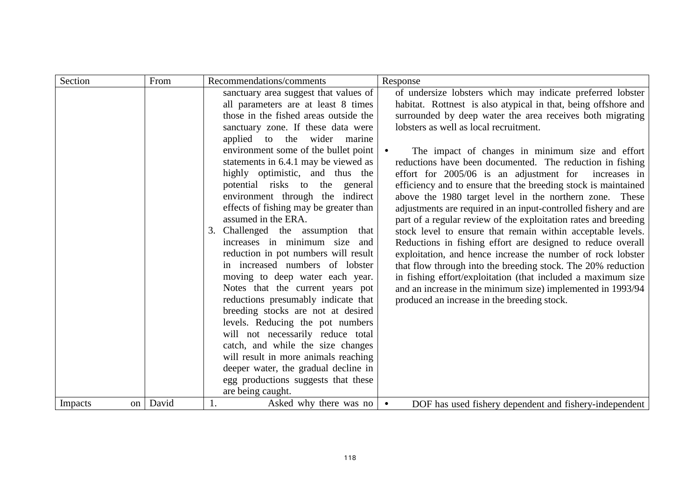| Section       | From  | Recommendations/comments               | Response                                                        |
|---------------|-------|----------------------------------------|-----------------------------------------------------------------|
|               |       | sanctuary area suggest that values of  | of undersize lobsters which may indicate preferred lobster      |
|               |       | all parameters are at least 8 times    | habitat. Rottnest is also atypical in that, being offshore and  |
|               |       | those in the fished areas outside the  | surrounded by deep water the area receives both migrating       |
|               |       | sanctuary zone. If these data were     | lobsters as well as local recruitment.                          |
|               |       | applied to the wider marine            |                                                                 |
|               |       | environment some of the bullet point   | The impact of changes in minimum size and effort                |
|               |       | statements in 6.4.1 may be viewed as   | reductions have been documented. The reduction in fishing       |
|               |       | highly optimistic, and thus the        | effort for 2005/06 is an adjustment for increases in            |
|               |       | potential risks to the general         | efficiency and to ensure that the breeding stock is maintained  |
|               |       | environment through the indirect       | above the 1980 target level in the northern zone. These         |
|               |       | effects of fishing may be greater than | adjustments are required in an input-controlled fishery and are |
|               |       | assumed in the ERA.                    | part of a regular review of the exploitation rates and breeding |
|               |       | 3. Challenged the assumption<br>that   | stock level to ensure that remain within acceptable levels.     |
|               |       | increases in minimum size and          | Reductions in fishing effort are designed to reduce overall     |
|               |       | reduction in pot numbers will result   | exploitation, and hence increase the number of rock lobster     |
|               |       | in increased numbers of lobster        | that flow through into the breeding stock. The 20% reduction    |
|               |       | moving to deep water each year.        | in fishing effort/exploitation (that included a maximum size    |
|               |       | Notes that the current years pot       | and an increase in the minimum size) implemented in 1993/94     |
|               |       | reductions presumably indicate that    | produced an increase in the breeding stock.                     |
|               |       | breeding stocks are not at desired     |                                                                 |
|               |       | levels. Reducing the pot numbers       |                                                                 |
|               |       | will not necessarily reduce total      |                                                                 |
|               |       | catch, and while the size changes      |                                                                 |
|               |       | will result in more animals reaching   |                                                                 |
|               |       | deeper water, the gradual decline in   |                                                                 |
|               |       | egg productions suggests that these    |                                                                 |
|               |       | are being caught.                      |                                                                 |
| Impacts<br>on | David | Asked why there was no<br>1.           | DOF has used fishery dependent and fishery-independent          |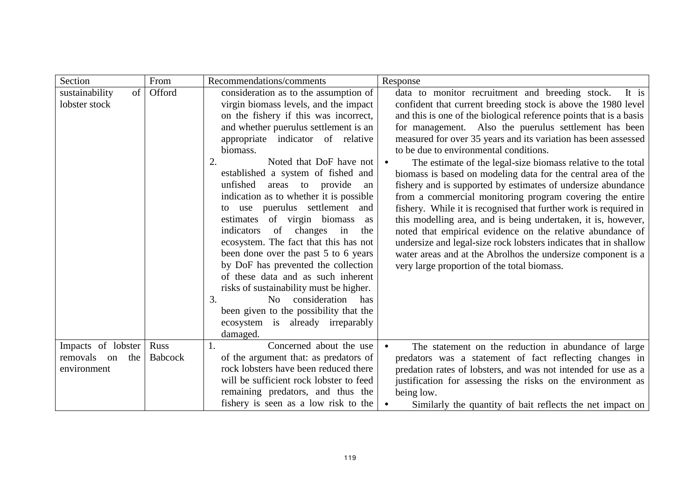| Section                                                 | From                   | Recommendations/comments                                                                                                                                                                                                                                                                                                                                                                                                                                                                                                                                                                                                                                                                                                                                                                                                                              | Response                                                                                                                                                                                                                                                                                                                                                                                                                                                                                                                                                                                                                                                                                                                                                                                                                                                                                                                                                                                                                |
|---------------------------------------------------------|------------------------|-------------------------------------------------------------------------------------------------------------------------------------------------------------------------------------------------------------------------------------------------------------------------------------------------------------------------------------------------------------------------------------------------------------------------------------------------------------------------------------------------------------------------------------------------------------------------------------------------------------------------------------------------------------------------------------------------------------------------------------------------------------------------------------------------------------------------------------------------------|-------------------------------------------------------------------------------------------------------------------------------------------------------------------------------------------------------------------------------------------------------------------------------------------------------------------------------------------------------------------------------------------------------------------------------------------------------------------------------------------------------------------------------------------------------------------------------------------------------------------------------------------------------------------------------------------------------------------------------------------------------------------------------------------------------------------------------------------------------------------------------------------------------------------------------------------------------------------------------------------------------------------------|
| of<br>sustainability<br>lobster stock                   | Offord                 | consideration as to the assumption of<br>virgin biomass levels, and the impact<br>on the fishery if this was incorrect,<br>and whether puerulus settlement is an<br>appropriate indicator of relative<br>biomass.<br>2.<br>Noted that DoF have not<br>established a system of fished and<br>unfished<br>areas to provide<br>an<br>indication as to whether it is possible<br>use puerulus settlement<br>and<br>to<br>of virgin biomass<br>estimates<br>as<br>of<br>changes in<br>indicators<br>the<br>ecosystem. The fact that this has not<br>been done over the past 5 to 6 years<br>by DoF has prevented the collection<br>of these data and as such inherent<br>risks of sustainability must be higher.<br>3.<br>consideration<br>has<br>N <sub>0</sub><br>been given to the possibility that the<br>ecosystem is already irreparably<br>damaged. | data to monitor recruitment and breeding stock.<br>It is<br>confident that current breeding stock is above the 1980 level<br>and this is one of the biological reference points that is a basis<br>for management. Also the puerulus settlement has been<br>measured for over 35 years and its variation has been assessed<br>to be due to environmental conditions.<br>The estimate of the legal-size biomass relative to the total<br>biomass is based on modeling data for the central area of the<br>fishery and is supported by estimates of undersize abundance<br>from a commercial monitoring program covering the entire<br>fishery. While it is recognised that further work is required in<br>this modelling area, and is being undertaken, it is, however,<br>noted that empirical evidence on the relative abundance of<br>undersize and legal-size rock lobsters indicates that in shallow<br>water areas and at the Abrolhos the undersize component is a<br>very large proportion of the total biomass. |
| Impacts of lobster<br>removals on<br>the<br>environment | Russ<br><b>Babcock</b> | Concerned about the use<br>of the argument that: as predators of<br>rock lobsters have been reduced there<br>will be sufficient rock lobster to feed<br>remaining predators, and thus the<br>fishery is seen as a low risk to the                                                                                                                                                                                                                                                                                                                                                                                                                                                                                                                                                                                                                     | The statement on the reduction in abundance of large<br>predators was a statement of fact reflecting changes in<br>predation rates of lobsters, and was not intended for use as a<br>justification for assessing the risks on the environment as<br>being low.<br>Similarly the quantity of bait reflects the net impact on                                                                                                                                                                                                                                                                                                                                                                                                                                                                                                                                                                                                                                                                                             |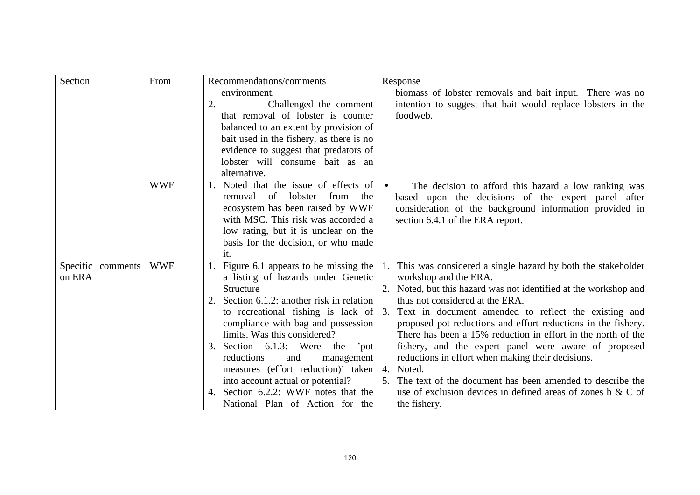| Section           | From       | Recommendations/comments                                           | Response                                                                                                                      |
|-------------------|------------|--------------------------------------------------------------------|-------------------------------------------------------------------------------------------------------------------------------|
|                   |            | environment.                                                       | biomass of lobster removals and bait input. There was no                                                                      |
|                   |            | 2.<br>Challenged the comment                                       | intention to suggest that bait would replace lobsters in the                                                                  |
|                   |            | that removal of lobster is counter                                 | foodweb.                                                                                                                      |
|                   |            | balanced to an extent by provision of                              |                                                                                                                               |
|                   |            | bait used in the fishery, as there is no                           |                                                                                                                               |
|                   |            | evidence to suggest that predators of                              |                                                                                                                               |
|                   |            | lobster will consume bait as an                                    |                                                                                                                               |
|                   |            | alternative.                                                       |                                                                                                                               |
|                   | <b>WWF</b> | 1. Noted that the issue of effects of                              | The decision to afford this hazard a low ranking was<br>$\bullet$                                                             |
|                   |            | lobster<br>from<br>of<br>the<br>removal                            | based upon the decisions of the expert panel after                                                                            |
|                   |            | ecosystem has been raised by WWF                                   | consideration of the background information provided in                                                                       |
|                   |            | with MSC. This risk was accorded a                                 | section 6.4.1 of the ERA report.                                                                                              |
|                   |            | low rating, but it is unclear on the                               |                                                                                                                               |
|                   |            | basis for the decision, or who made                                |                                                                                                                               |
|                   |            | it.                                                                |                                                                                                                               |
| Specific comments | <b>WWF</b> | 1. Figure 6.1 appears to be missing the                            | This was considered a single hazard by both the stakeholder                                                                   |
| on ERA            |            | a listing of hazards under Genetic                                 | workshop and the ERA.                                                                                                         |
|                   |            | Structure                                                          | 2. Noted, but this hazard was not identified at the workshop and                                                              |
|                   |            | Section 6.1.2: another risk in relation                            | thus not considered at the ERA.                                                                                               |
|                   |            | to recreational fishing is lack of                                 | 3. Text in document amended to reflect the existing and                                                                       |
|                   |            | compliance with bag and possession<br>limits. Was this considered? | proposed pot reductions and effort reductions in the fishery.<br>There has been a 15% reduction in effort in the north of the |
|                   |            | Section 6.1.3: Were the<br>'pot<br>3.                              | fishery, and the expert panel were aware of proposed                                                                          |
|                   |            | management<br>reductions<br>and                                    | reductions in effort when making their decisions.                                                                             |
|                   |            | measures (effort reduction)' taken                                 | 4. Noted.                                                                                                                     |
|                   |            | into account actual or potential?                                  | 5. The text of the document has been amended to describe the                                                                  |
|                   |            | Section 6.2.2: WWF notes that the<br>4.                            | use of exclusion devices in defined areas of zones $\mathbf{b} \& \mathbf{C}$ of                                              |
|                   |            | National Plan of Action for the                                    | the fishery.                                                                                                                  |
|                   |            |                                                                    |                                                                                                                               |